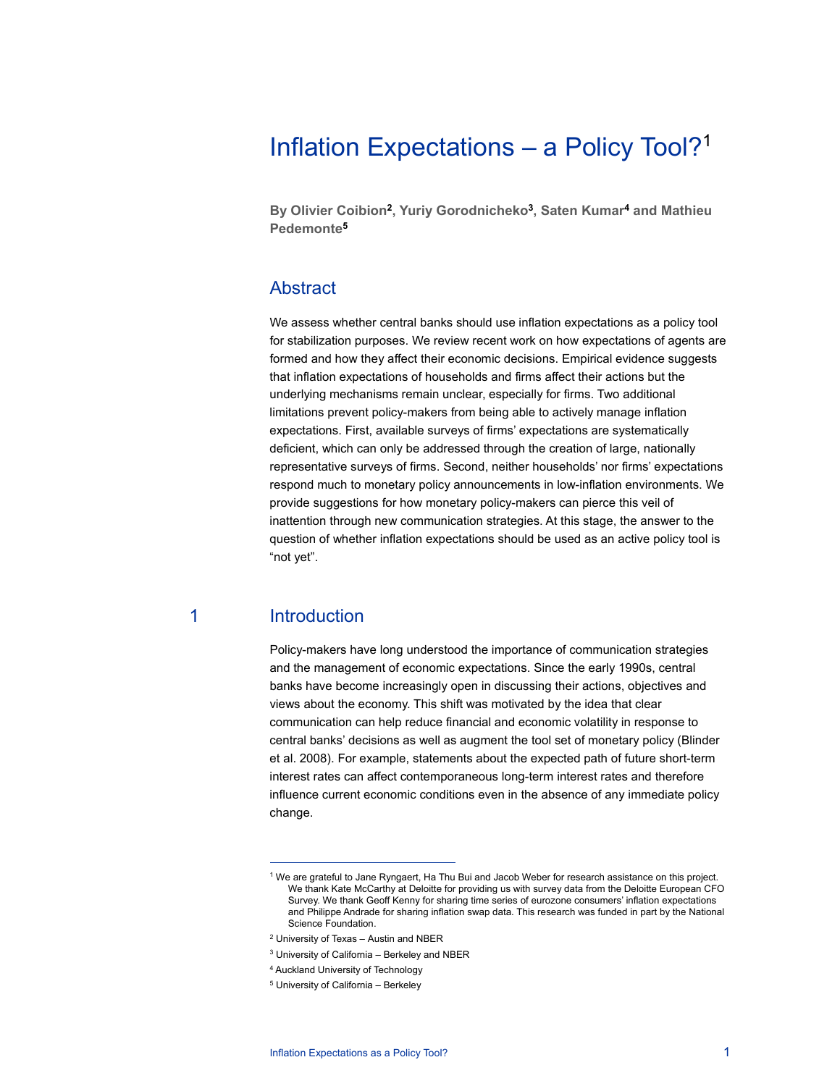# Inflation Expectations – a Policy Tool?1

**By Olivier Coibion2, Yuriy Gorodnicheko3, Saten Kumar4 and Mathieu Pedemonte5**

## Abstract

We assess whether central banks should use inflation expectations as a policy tool for stabilization purposes. We review recent work on how expectations of agents are formed and how they affect their economic decisions. Empirical evidence suggests that inflation expectations of households and firms affect their actions but the underlying mechanisms remain unclear, especially for firms. Two additional limitations prevent policy-makers from being able to actively manage inflation expectations. First, available surveys of firms' expectations are systematically deficient, which can only be addressed through the creation of large, nationally representative surveys of firms. Second, neither households' nor firms' expectations respond much to monetary policy announcements in low-inflation environments. We provide suggestions for how monetary policy-makers can pierce this veil of inattention through new communication strategies. At this stage, the answer to the question of whether inflation expectations should be used as an active policy tool is "not yet".

## 1 Introduction

 $\overline{a}$ 

Policy-makers have long understood the importance of communication strategies and the management of economic expectations. Since the early 1990s, central banks have become increasingly open in discussing their actions, objectives and views about the economy. This shift was motivated by the idea that clear communication can help reduce financial and economic volatility in response to central banks' decisions as well as augment the tool set of monetary policy (Blinder et al. 2008). For example, statements about the expected path of future short-term interest rates can affect contemporaneous long-term interest rates and therefore influence current economic conditions even in the absence of any immediate policy change.

<sup>1</sup> We are grateful to Jane Ryngaert, Ha Thu Bui and Jacob Weber for research assistance on this project. We thank Kate McCarthy at Deloitte for providing us with survey data from the Deloitte European CFO Survey. We thank Geoff Kenny for sharing time series of eurozone consumers' inflation expectations and Philippe Andrade for sharing inflation swap data. This research was funded in part by the National Science Foundation.

<sup>2</sup> University of Texas – Austin and NBER

<sup>3</sup> University of California – Berkeley and NBER

<sup>4</sup> Auckland University of Technology

<sup>5</sup> University of California – Berkeley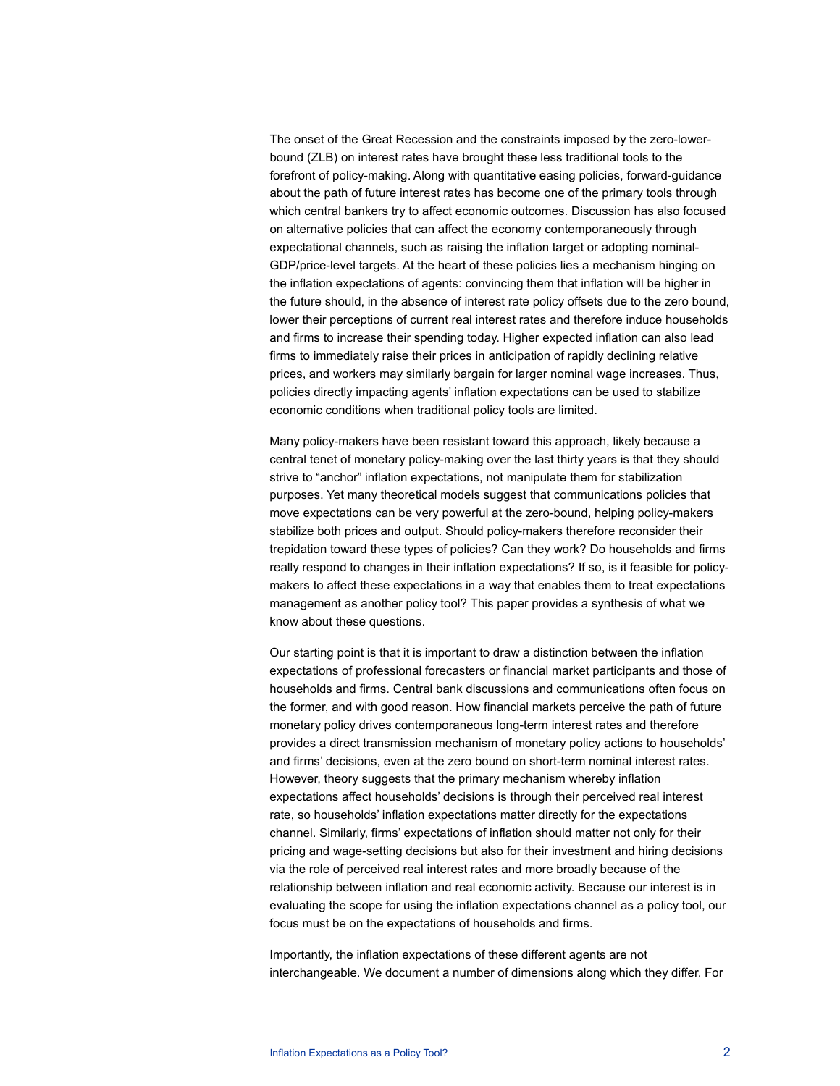The onset of the Great Recession and the constraints imposed by the zero-lowerbound (ZLB) on interest rates have brought these less traditional tools to the forefront of policy-making. Along with quantitative easing policies, forward-guidance about the path of future interest rates has become one of the primary tools through which central bankers try to affect economic outcomes. Discussion has also focused on alternative policies that can affect the economy contemporaneously through expectational channels, such as raising the inflation target or adopting nominal-GDP/price-level targets. At the heart of these policies lies a mechanism hinging on the inflation expectations of agents: convincing them that inflation will be higher in the future should, in the absence of interest rate policy offsets due to the zero bound, lower their perceptions of current real interest rates and therefore induce households and firms to increase their spending today. Higher expected inflation can also lead firms to immediately raise their prices in anticipation of rapidly declining relative prices, and workers may similarly bargain for larger nominal wage increases. Thus, policies directly impacting agents' inflation expectations can be used to stabilize economic conditions when traditional policy tools are limited.

Many policy-makers have been resistant toward this approach, likely because a central tenet of monetary policy-making over the last thirty years is that they should strive to "anchor" inflation expectations, not manipulate them for stabilization purposes. Yet many theoretical models suggest that communications policies that move expectations can be very powerful at the zero-bound, helping policy-makers stabilize both prices and output. Should policy-makers therefore reconsider their trepidation toward these types of policies? Can they work? Do households and firms really respond to changes in their inflation expectations? If so, is it feasible for policymakers to affect these expectations in a way that enables them to treat expectations management as another policy tool? This paper provides a synthesis of what we know about these questions.

Our starting point is that it is important to draw a distinction between the inflation expectations of professional forecasters or financial market participants and those of households and firms. Central bank discussions and communications often focus on the former, and with good reason. How financial markets perceive the path of future monetary policy drives contemporaneous long-term interest rates and therefore provides a direct transmission mechanism of monetary policy actions to households' and firms' decisions, even at the zero bound on short-term nominal interest rates. However, theory suggests that the primary mechanism whereby inflation expectations affect households' decisions is through their perceived real interest rate, so households' inflation expectations matter directly for the expectations channel. Similarly, firms' expectations of inflation should matter not only for their pricing and wage-setting decisions but also for their investment and hiring decisions via the role of perceived real interest rates and more broadly because of the relationship between inflation and real economic activity. Because our interest is in evaluating the scope for using the inflation expectations channel as a policy tool, our focus must be on the expectations of households and firms.

Importantly, the inflation expectations of these different agents are not interchangeable. We document a number of dimensions along which they differ. For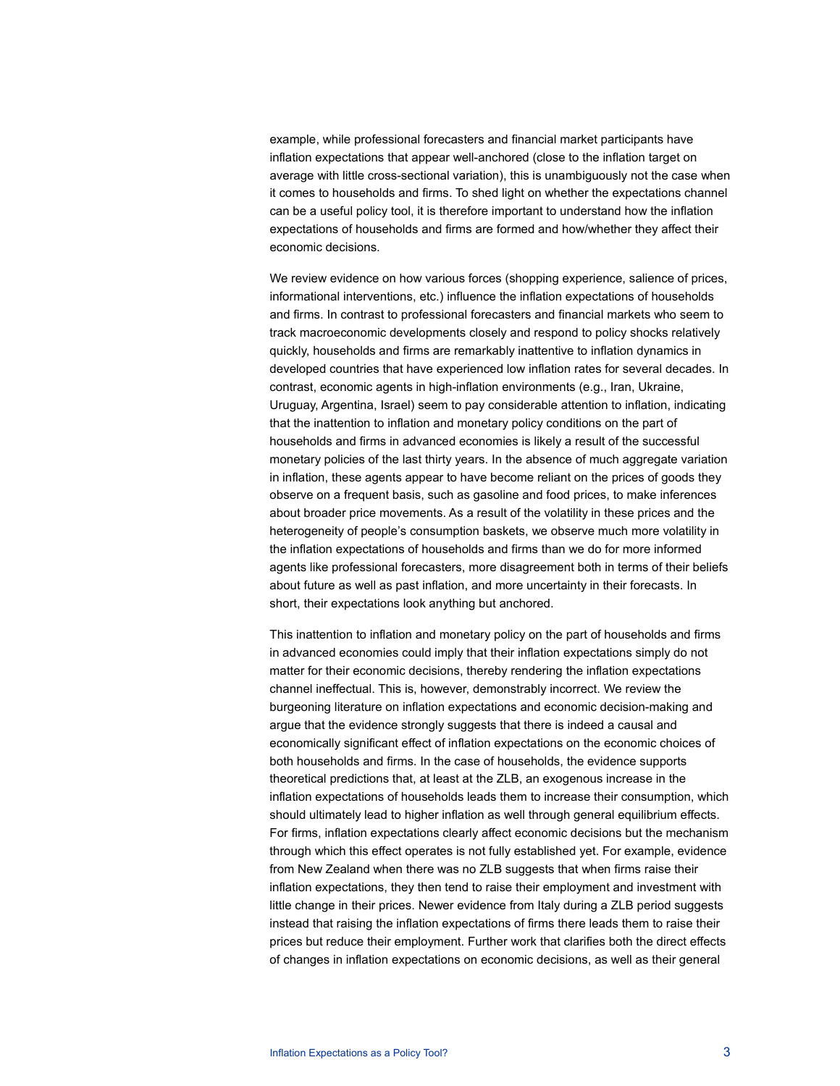example, while professional forecasters and financial market participants have inflation expectations that appear well-anchored (close to the inflation target on average with little cross-sectional variation), this is unambiguously not the case when it comes to households and firms. To shed light on whether the expectations channel can be a useful policy tool, it is therefore important to understand how the inflation expectations of households and firms are formed and how/whether they affect their economic decisions.

We review evidence on how various forces (shopping experience, salience of prices, informational interventions, etc.) influence the inflation expectations of households and firms. In contrast to professional forecasters and financial markets who seem to track macroeconomic developments closely and respond to policy shocks relatively quickly, households and firms are remarkably inattentive to inflation dynamics in developed countries that have experienced low inflation rates for several decades. In contrast, economic agents in high-inflation environments (e.g., Iran, Ukraine, Uruguay, Argentina, Israel) seem to pay considerable attention to inflation, indicating that the inattention to inflation and monetary policy conditions on the part of households and firms in advanced economies is likely a result of the successful monetary policies of the last thirty years. In the absence of much aggregate variation in inflation, these agents appear to have become reliant on the prices of goods they observe on a frequent basis, such as gasoline and food prices, to make inferences about broader price movements. As a result of the volatility in these prices and the heterogeneity of people's consumption baskets, we observe much more volatility in the inflation expectations of households and firms than we do for more informed agents like professional forecasters, more disagreement both in terms of their beliefs about future as well as past inflation, and more uncertainty in their forecasts. In short, their expectations look anything but anchored.

This inattention to inflation and monetary policy on the part of households and firms in advanced economies could imply that their inflation expectations simply do not matter for their economic decisions, thereby rendering the inflation expectations channel ineffectual. This is, however, demonstrably incorrect. We review the burgeoning literature on inflation expectations and economic decision-making and argue that the evidence strongly suggests that there is indeed a causal and economically significant effect of inflation expectations on the economic choices of both households and firms. In the case of households, the evidence supports theoretical predictions that, at least at the ZLB, an exogenous increase in the inflation expectations of households leads them to increase their consumption, which should ultimately lead to higher inflation as well through general equilibrium effects. For firms, inflation expectations clearly affect economic decisions but the mechanism through which this effect operates is not fully established yet. For example, evidence from New Zealand when there was no ZLB suggests that when firms raise their inflation expectations, they then tend to raise their employment and investment with little change in their prices. Newer evidence from Italy during a ZLB period suggests instead that raising the inflation expectations of firms there leads them to raise their prices but reduce their employment. Further work that clarifies both the direct effects of changes in inflation expectations on economic decisions, as well as their general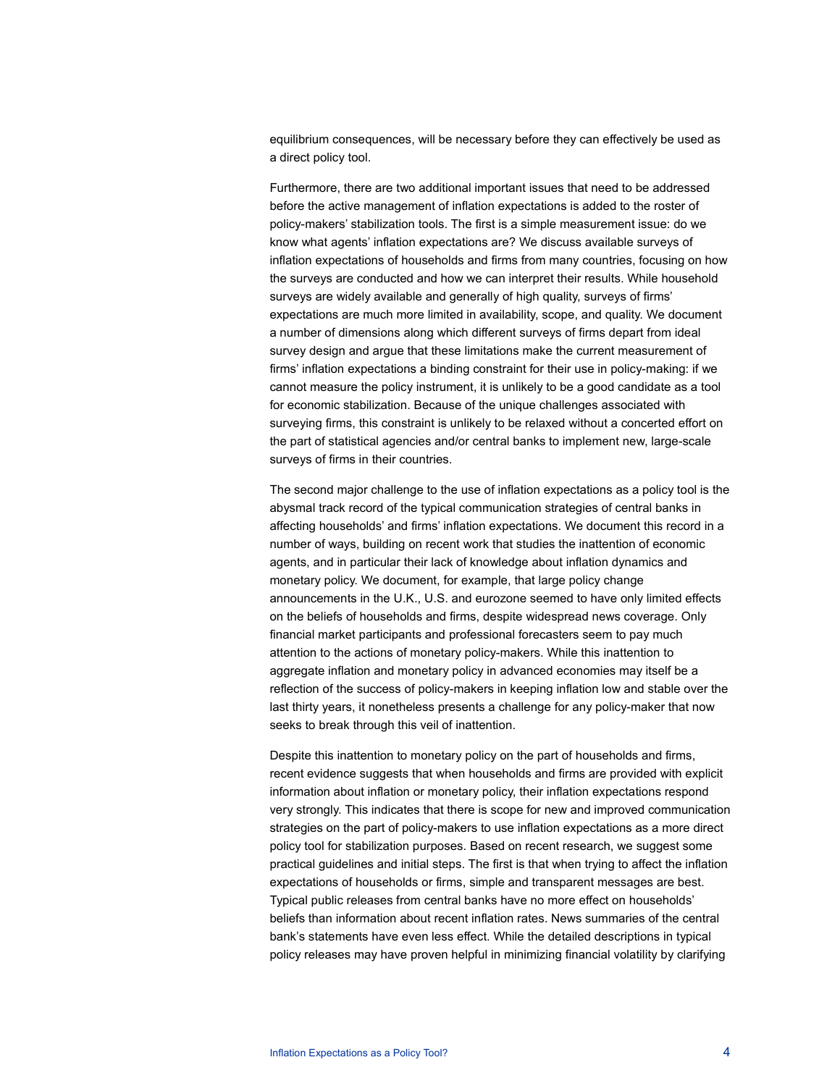equilibrium consequences, will be necessary before they can effectively be used as a direct policy tool.

Furthermore, there are two additional important issues that need to be addressed before the active management of inflation expectations is added to the roster of policy-makers' stabilization tools. The first is a simple measurement issue: do we know what agents' inflation expectations are? We discuss available surveys of inflation expectations of households and firms from many countries, focusing on how the surveys are conducted and how we can interpret their results. While household surveys are widely available and generally of high quality, surveys of firms' expectations are much more limited in availability, scope, and quality. We document a number of dimensions along which different surveys of firms depart from ideal survey design and argue that these limitations make the current measurement of firms' inflation expectations a binding constraint for their use in policy-making: if we cannot measure the policy instrument, it is unlikely to be a good candidate as a tool for economic stabilization. Because of the unique challenges associated with surveying firms, this constraint is unlikely to be relaxed without a concerted effort on the part of statistical agencies and/or central banks to implement new, large-scale surveys of firms in their countries.

The second major challenge to the use of inflation expectations as a policy tool is the abysmal track record of the typical communication strategies of central banks in affecting households' and firms' inflation expectations. We document this record in a number of ways, building on recent work that studies the inattention of economic agents, and in particular their lack of knowledge about inflation dynamics and monetary policy. We document, for example, that large policy change announcements in the U.K., U.S. and eurozone seemed to have only limited effects on the beliefs of households and firms, despite widespread news coverage. Only financial market participants and professional forecasters seem to pay much attention to the actions of monetary policy-makers. While this inattention to aggregate inflation and monetary policy in advanced economies may itself be a reflection of the success of policy-makers in keeping inflation low and stable over the last thirty years, it nonetheless presents a challenge for any policy-maker that now seeks to break through this veil of inattention.

Despite this inattention to monetary policy on the part of households and firms, recent evidence suggests that when households and firms are provided with explicit information about inflation or monetary policy, their inflation expectations respond very strongly. This indicates that there is scope for new and improved communication strategies on the part of policy-makers to use inflation expectations as a more direct policy tool for stabilization purposes. Based on recent research, we suggest some practical guidelines and initial steps. The first is that when trying to affect the inflation expectations of households or firms, simple and transparent messages are best. Typical public releases from central banks have no more effect on households' beliefs than information about recent inflation rates. News summaries of the central bank's statements have even less effect. While the detailed descriptions in typical policy releases may have proven helpful in minimizing financial volatility by clarifying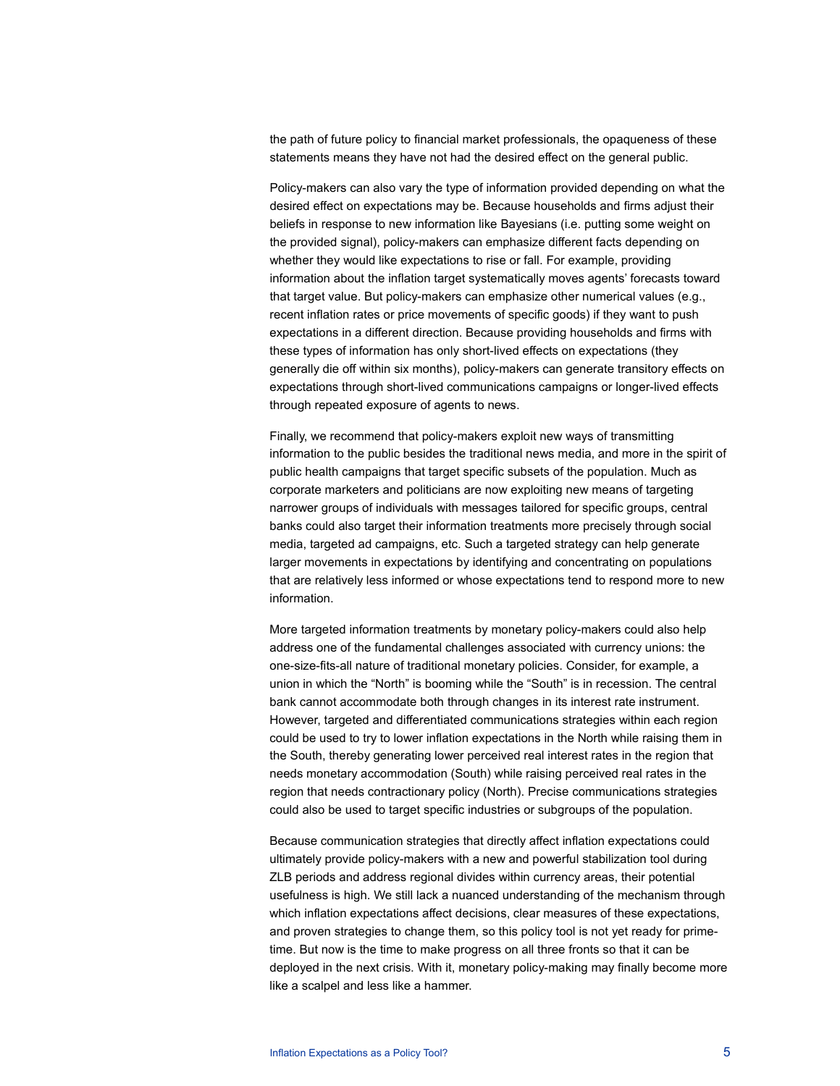the path of future policy to financial market professionals, the opaqueness of these statements means they have not had the desired effect on the general public.

Policy-makers can also vary the type of information provided depending on what the desired effect on expectations may be. Because households and firms adjust their beliefs in response to new information like Bayesians (i.e. putting some weight on the provided signal), policy-makers can emphasize different facts depending on whether they would like expectations to rise or fall. For example, providing information about the inflation target systematically moves agents' forecasts toward that target value. But policy-makers can emphasize other numerical values (e.g., recent inflation rates or price movements of specific goods) if they want to push expectations in a different direction. Because providing households and firms with these types of information has only short-lived effects on expectations (they generally die off within six months), policy-makers can generate transitory effects on expectations through short-lived communications campaigns or longer-lived effects through repeated exposure of agents to news.

Finally, we recommend that policy-makers exploit new ways of transmitting information to the public besides the traditional news media, and more in the spirit of public health campaigns that target specific subsets of the population. Much as corporate marketers and politicians are now exploiting new means of targeting narrower groups of individuals with messages tailored for specific groups, central banks could also target their information treatments more precisely through social media, targeted ad campaigns, etc. Such a targeted strategy can help generate larger movements in expectations by identifying and concentrating on populations that are relatively less informed or whose expectations tend to respond more to new information.

More targeted information treatments by monetary policy-makers could also help address one of the fundamental challenges associated with currency unions: the one-size-fits-all nature of traditional monetary policies. Consider, for example, a union in which the "North" is booming while the "South" is in recession. The central bank cannot accommodate both through changes in its interest rate instrument. However, targeted and differentiated communications strategies within each region could be used to try to lower inflation expectations in the North while raising them in the South, thereby generating lower perceived real interest rates in the region that needs monetary accommodation (South) while raising perceived real rates in the region that needs contractionary policy (North). Precise communications strategies could also be used to target specific industries or subgroups of the population.

Because communication strategies that directly affect inflation expectations could ultimately provide policy-makers with a new and powerful stabilization tool during ZLB periods and address regional divides within currency areas, their potential usefulness is high. We still lack a nuanced understanding of the mechanism through which inflation expectations affect decisions, clear measures of these expectations, and proven strategies to change them, so this policy tool is not yet ready for primetime. But now is the time to make progress on all three fronts so that it can be deployed in the next crisis. With it, monetary policy-making may finally become more like a scalpel and less like a hammer.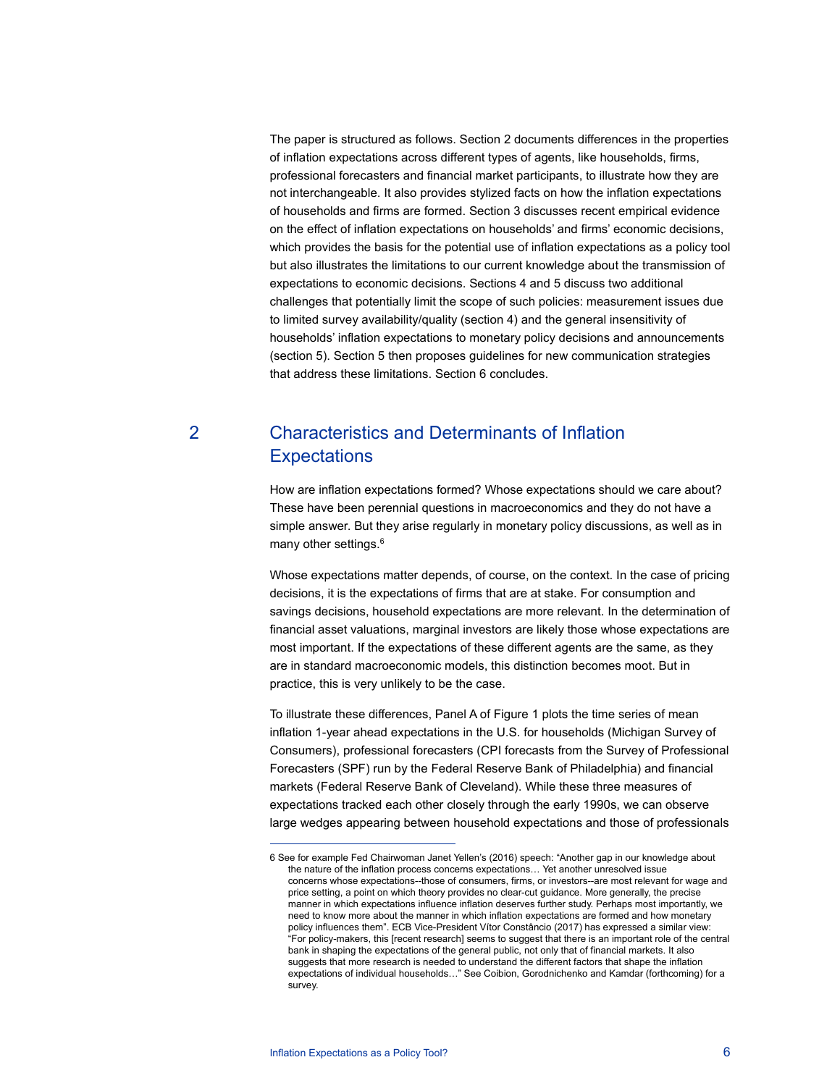The paper is structured as follows. Section 2 documents differences in the properties of inflation expectations across different types of agents, like households, firms, professional forecasters and financial market participants, to illustrate how they are not interchangeable. It also provides stylized facts on how the inflation expectations of households and firms are formed. Section 3 discusses recent empirical evidence on the effect of inflation expectations on households' and firms' economic decisions, which provides the basis for the potential use of inflation expectations as a policy tool but also illustrates the limitations to our current knowledge about the transmission of expectations to economic decisions. Sections 4 and 5 discuss two additional challenges that potentially limit the scope of such policies: measurement issues due to limited survey availability/quality (section 4) and the general insensitivity of households' inflation expectations to monetary policy decisions and announcements (section 5). Section 5 then proposes guidelines for new communication strategies that address these limitations. Section 6 concludes.

## 2 Characteristics and Determinants of Inflation **Expectations**

How are inflation expectations formed? Whose expectations should we care about? These have been perennial questions in macroeconomics and they do not have a simple answer. But they arise regularly in monetary policy discussions, as well as in many other settings.<sup>6</sup>

Whose expectations matter depends, of course, on the context. In the case of pricing decisions, it is the expectations of firms that are at stake. For consumption and savings decisions, household expectations are more relevant. In the determination of financial asset valuations, marginal investors are likely those whose expectations are most important. If the expectations of these different agents are the same, as they are in standard macroeconomic models, this distinction becomes moot. But in practice, this is very unlikely to be the case.

To illustrate these differences, Panel A of Figure 1 plots the time series of mean inflation 1-year ahead expectations in the U.S. for households (Michigan Survey of Consumers), professional forecasters (CPI forecasts from the Survey of Professional Forecasters (SPF) run by the Federal Reserve Bank of Philadelphia) and financial markets (Federal Reserve Bank of Cleveland). While these three measures of expectations tracked each other closely through the early 1990s, we can observe large wedges appearing between household expectations and those of professionals

j

<sup>6</sup> See for example Fed Chairwoman Janet Yellen's (2016) speech: "Another gap in our knowledge about the nature of the inflation process concerns expectations… Yet another unresolved issue concerns whose expectations--those of consumers, firms, or investors--are most relevant for wage and price setting, a point on which theory provides no clear-cut guidance. More generally, the precise manner in which expectations influence inflation deserves further study. Perhaps most importantly, we need to know more about the manner in which inflation expectations are formed and how monetary policy influences them". ECB Vice-President Vítor Constâncio (2017) has expressed a similar view: "For policy-makers, this [recent research] seems to suggest that there is an important role of the central bank in shaping the expectations of the general public, not only that of financial markets. It also suggests that more research is needed to understand the different factors that shape the inflation expectations of individual households…" See Coibion, Gorodnichenko and Kamdar (forthcoming) for a survey.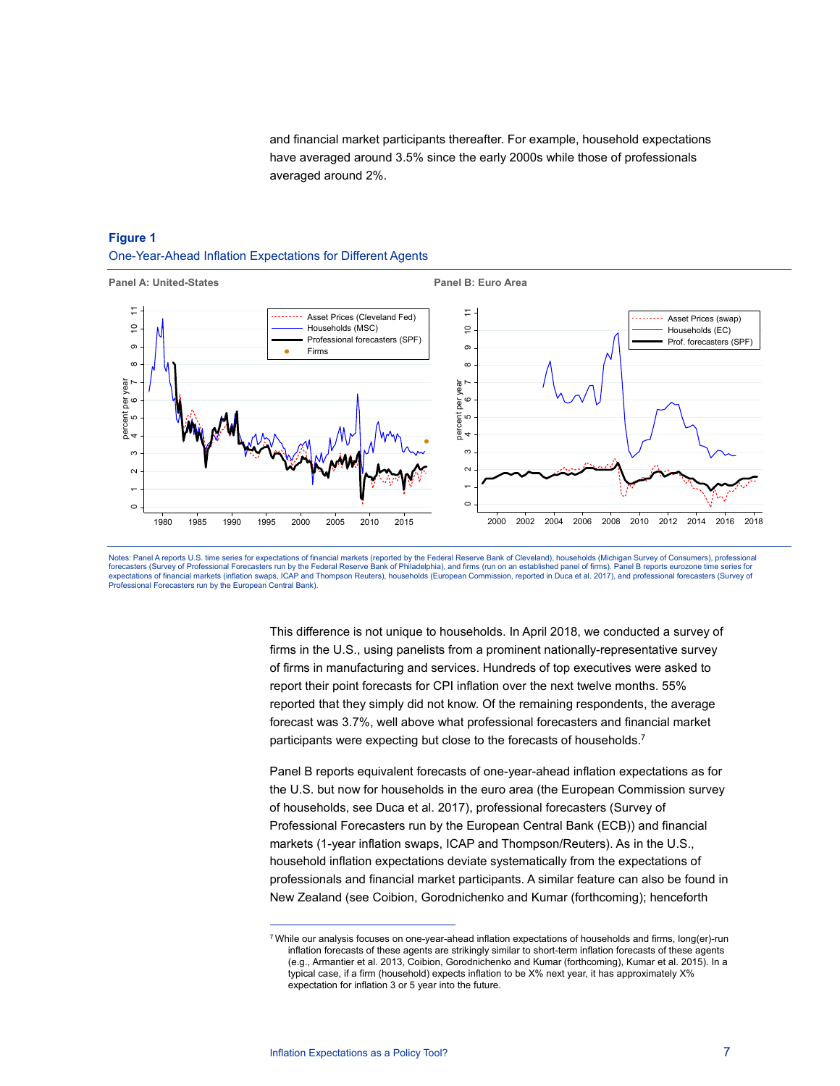and financial market participants thereafter. For example, household expectations have averaged around 3.5% since the early 2000s while those of professionals averaged around 2%.

## **Figure 1**  One-Year-Ahead Inflation Expectations for Different Agents





This difference is not unique to households. In April 2018, we conducted a survey of firms in the U.S., using panelists from a prominent nationally-representative survey of firms in manufacturing and services. Hundreds of top executives were asked to report their point forecasts for CPI inflation over the next twelve months. 55% reported that they simply did not know. Of the remaining respondents, the average forecast was 3.7%, well above what professional forecasters and financial market participants were expecting but close to the forecasts of households.<sup>7</sup>

Panel B reports equivalent forecasts of one-year-ahead inflation expectations as for the U.S. but now for households in the euro area (the European Commission survey of households, see Duca et al. 2017), professional forecasters (Survey of Professional Forecasters run by the European Central Bank (ECB)) and financial markets (1-year inflation swaps, ICAP and Thompson/Reuters). As in the U.S., household inflation expectations deviate systematically from the expectations of professionals and financial market participants. A similar feature can also be found in New Zealand (see Coibion, Gorodnichenko and Kumar (forthcoming); henceforth

j

<sup>7</sup> While our analysis focuses on one-year-ahead inflation expectations of households and firms, long(er)-run inflation forecasts of these agents are strikingly similar to short-term inflation forecasts of these agents (e.g., Armantier et al. 2013, Coibion, Gorodnichenko and Kumar (forthcoming), Kumar et al. 2015). In a typical case, if a firm (household) expects inflation to be X% next year, it has approximately X% expectation for inflation 3 or 5 year into the future.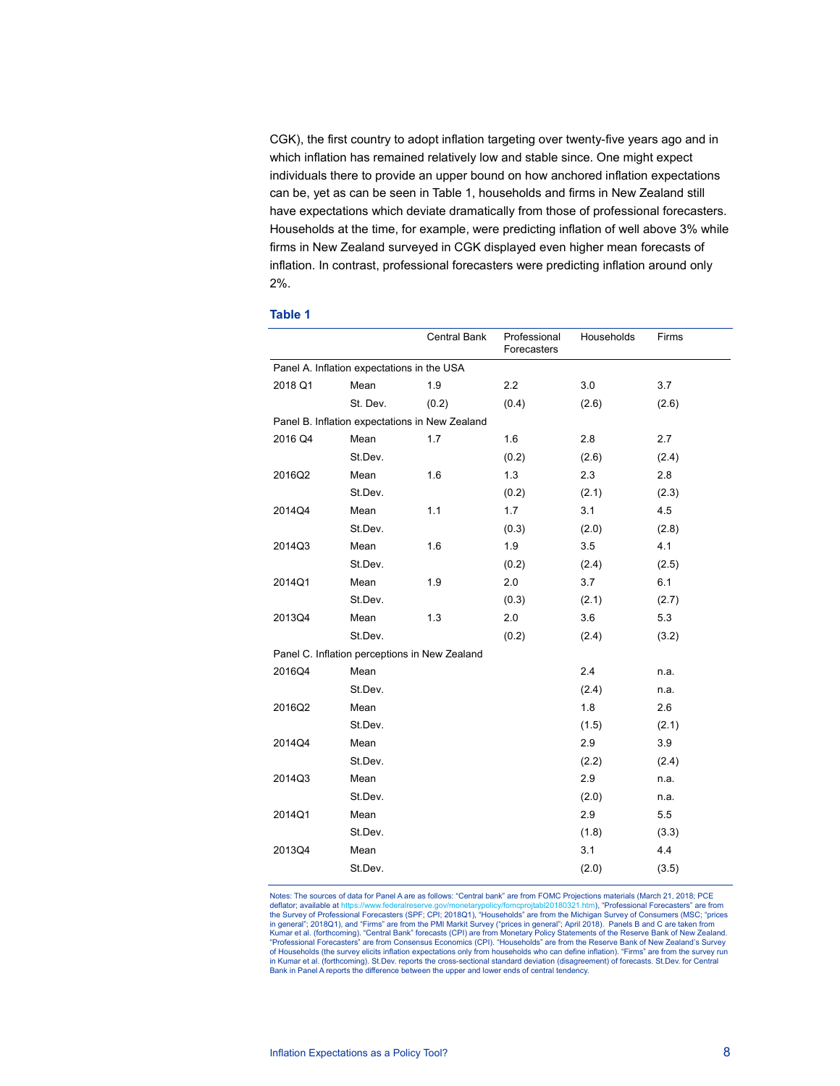CGK), the first country to adopt inflation targeting over twenty-five years ago and in which inflation has remained relatively low and stable since. One might expect individuals there to provide an upper bound on how anchored inflation expectations can be, yet as can be seen in Table 1, households and firms in New Zealand still have expectations which deviate dramatically from those of professional forecasters. Households at the time, for example, were predicting inflation of well above 3% while firms in New Zealand surveyed in CGK displayed even higher mean forecasts of inflation. In contrast, professional forecasters were predicting inflation around only 2%.

|         |                                                | <b>Central Bank</b> | Professional<br>Forecasters | Households | Firms |
|---------|------------------------------------------------|---------------------|-----------------------------|------------|-------|
|         | Panel A. Inflation expectations in the USA     |                     |                             |            |       |
| 2018 Q1 | Mean                                           | 1.9                 | 2.2                         | 3.0        | 3.7   |
|         | St. Dev.                                       | (0.2)               | (0.4)                       | (2.6)      | (2.6) |
|         | Panel B. Inflation expectations in New Zealand |                     |                             |            |       |
| 2016 Q4 | Mean                                           | 1.7                 | 1.6                         | 2.8        | 2.7   |
|         | St.Dev.                                        |                     | (0.2)                       | (2.6)      | (2.4) |
| 2016Q2  | Mean                                           | 1.6                 | 1.3                         | 2.3        | 2.8   |
|         | St.Dev.                                        |                     | (0.2)                       | (2.1)      | (2.3) |
| 2014Q4  | Mean                                           | 1.1                 | 1.7                         | 3.1        | 4.5   |
|         | St.Dev.                                        |                     | (0.3)                       | (2.0)      | (2.8) |
| 2014Q3  | Mean                                           | 1.6                 | 1.9                         | 3.5        | 4.1   |
|         | St.Dev.                                        |                     | (0.2)                       | (2.4)      | (2.5) |
| 2014Q1  | Mean                                           | 1.9                 | 2.0                         | 3.7        | 6.1   |
|         | St.Dev.                                        |                     | (0.3)                       | (2.1)      | (2.7) |
| 2013Q4  | Mean                                           | 1.3                 | 2.0                         | 3.6        | 5.3   |
|         | St.Dev.                                        |                     | (0.2)                       | (2.4)      | (3.2) |
|         | Panel C. Inflation perceptions in New Zealand  |                     |                             |            |       |
| 2016Q4  | Mean                                           |                     |                             | 2.4        | n.a.  |
|         | St.Dev.                                        |                     |                             | (2.4)      | n.a.  |
| 2016Q2  | Mean                                           |                     |                             | 1.8        | 2.6   |
|         | St.Dev.                                        |                     |                             | (1.5)      | (2.1) |
| 2014Q4  | Mean                                           |                     |                             | 2.9        | 3.9   |
|         | St.Dev.                                        |                     |                             | (2.2)      | (2.4) |
| 2014Q3  | Mean                                           |                     |                             | 2.9        | n.a.  |
|         | St.Dev.                                        |                     |                             | (2.0)      | n.a.  |
| 2014Q1  | Mean                                           |                     |                             | 2.9        | 5.5   |
|         | St.Dev.                                        |                     |                             | (1.8)      | (3.3) |
| 2013Q4  | Mean                                           |                     |                             | 3.1        | 4.4   |
|         | St.Dev.                                        |                     |                             | (2.0)      | (3.5) |

**Table 1** 

Notes: The sources of data for Panel A are as follows: "Central bank" are from FOMC Projections materials (March 21, 2018; PCE<br>deflator; available at https://www.federalreserve.gov/monetarypolicy/fomcprojtabl20180321.htm), deflator; available at https://www.federalreserve.gov/monetarypolicy/fomcprojtabl20180321.htm), "Professional Forecasters" are from<br>the Survey of Professional Forecasters (SPF; CPI; 2018Q1), "Households" are from the Michi of Households (the survey elicits inflation expectations only from households who can define inflation). "Firms" are from the survey run in Kumar et al. (forthcoming). St.Dev. reports the cross-sectional standard deviation (disagreement) of forecasts. St.Dev. for Central<br>Bank in Panel A reports the difference between the upper and lower ends of central tend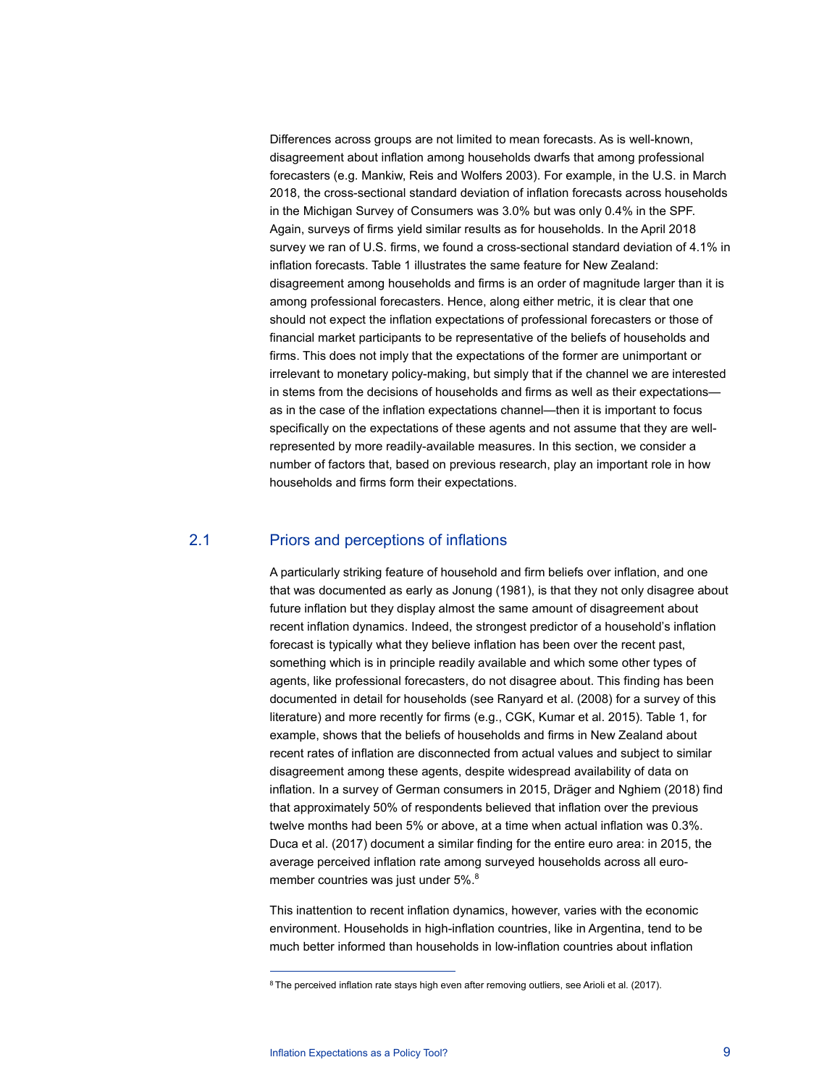Differences across groups are not limited to mean forecasts. As is well-known, disagreement about inflation among households dwarfs that among professional forecasters (e.g. Mankiw, Reis and Wolfers 2003). For example, in the U.S. in March 2018, the cross-sectional standard deviation of inflation forecasts across households in the Michigan Survey of Consumers was 3.0% but was only 0.4% in the SPF. Again, surveys of firms yield similar results as for households. In the April 2018 survey we ran of U.S. firms, we found a cross-sectional standard deviation of 4.1% in inflation forecasts. Table 1 illustrates the same feature for New Zealand: disagreement among households and firms is an order of magnitude larger than it is among professional forecasters. Hence, along either metric, it is clear that one should not expect the inflation expectations of professional forecasters or those of financial market participants to be representative of the beliefs of households and firms. This does not imply that the expectations of the former are unimportant or irrelevant to monetary policy-making, but simply that if the channel we are interested in stems from the decisions of households and firms as well as their expectations as in the case of the inflation expectations channel—then it is important to focus specifically on the expectations of these agents and not assume that they are wellrepresented by more readily-available measures. In this section, we consider a number of factors that, based on previous research, play an important role in how households and firms form their expectations.

## 2.1 Priors and perceptions of inflations

A particularly striking feature of household and firm beliefs over inflation, and one that was documented as early as Jonung (1981), is that they not only disagree about future inflation but they display almost the same amount of disagreement about recent inflation dynamics. Indeed, the strongest predictor of a household's inflation forecast is typically what they believe inflation has been over the recent past, something which is in principle readily available and which some other types of agents, like professional forecasters, do not disagree about. This finding has been documented in detail for households (see Ranyard et al. (2008) for a survey of this literature) and more recently for firms (e.g., CGK, Kumar et al. 2015). Table 1, for example, shows that the beliefs of households and firms in New Zealand about recent rates of inflation are disconnected from actual values and subject to similar disagreement among these agents, despite widespread availability of data on inflation. In a survey of German consumers in 2015, Dräger and Nghiem (2018) find that approximately 50% of respondents believed that inflation over the previous twelve months had been 5% or above, at a time when actual inflation was 0.3%. Duca et al. (2017) document a similar finding for the entire euro area: in 2015, the average perceived inflation rate among surveyed households across all euromember countries was just under 5%.<sup>8</sup>

This inattention to recent inflation dynamics, however, varies with the economic environment. Households in high-inflation countries, like in Argentina, tend to be much better informed than households in low-inflation countries about inflation

j

<sup>8</sup> The perceived inflation rate stays high even after removing outliers, see Arioli et al. (2017).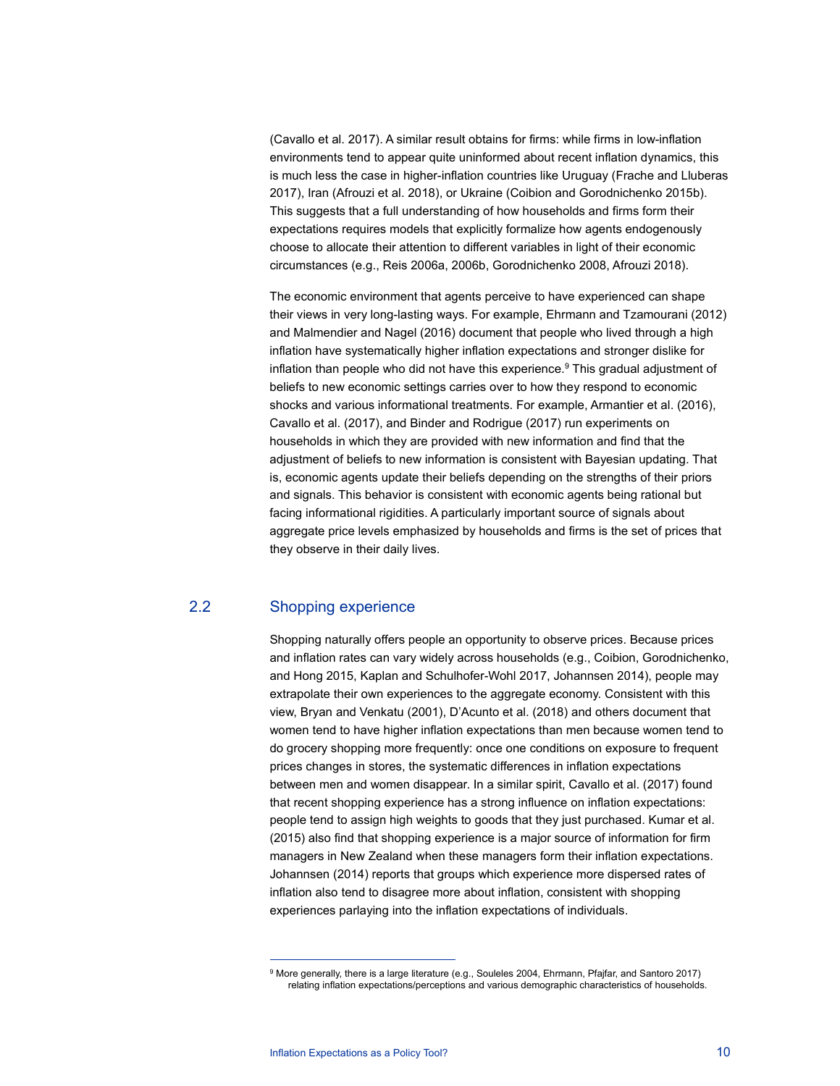(Cavallo et al. 2017). A similar result obtains for firms: while firms in low-inflation environments tend to appear quite uninformed about recent inflation dynamics, this is much less the case in higher-inflation countries like Uruguay (Frache and Lluberas 2017), Iran (Afrouzi et al. 2018), or Ukraine (Coibion and Gorodnichenko 2015b). This suggests that a full understanding of how households and firms form their expectations requires models that explicitly formalize how agents endogenously choose to allocate their attention to different variables in light of their economic circumstances (e.g., Reis 2006a, 2006b, Gorodnichenko 2008, Afrouzi 2018).

The economic environment that agents perceive to have experienced can shape their views in very long-lasting ways. For example, Ehrmann and Tzamourani (2012) and Malmendier and Nagel (2016) document that people who lived through a high inflation have systematically higher inflation expectations and stronger dislike for inflation than people who did not have this experience. $^9$  This gradual adjustment of beliefs to new economic settings carries over to how they respond to economic shocks and various informational treatments. For example, Armantier et al. (2016), Cavallo et al. (2017), and Binder and Rodrigue (2017) run experiments on households in which they are provided with new information and find that the adjustment of beliefs to new information is consistent with Bayesian updating. That is, economic agents update their beliefs depending on the strengths of their priors and signals. This behavior is consistent with economic agents being rational but facing informational rigidities. A particularly important source of signals about aggregate price levels emphasized by households and firms is the set of prices that they observe in their daily lives.

## 2.2 Shopping experience

j

Shopping naturally offers people an opportunity to observe prices. Because prices and inflation rates can vary widely across households (e.g., Coibion, Gorodnichenko, and Hong 2015, Kaplan and Schulhofer-Wohl 2017, Johannsen 2014), people may extrapolate their own experiences to the aggregate economy. Consistent with this view, Bryan and Venkatu (2001), D'Acunto et al. (2018) and others document that women tend to have higher inflation expectations than men because women tend to do grocery shopping more frequently: once one conditions on exposure to frequent prices changes in stores, the systematic differences in inflation expectations between men and women disappear. In a similar spirit, Cavallo et al. (2017) found that recent shopping experience has a strong influence on inflation expectations: people tend to assign high weights to goods that they just purchased. Kumar et al. (2015) also find that shopping experience is a major source of information for firm managers in New Zealand when these managers form their inflation expectations. Johannsen (2014) reports that groups which experience more dispersed rates of inflation also tend to disagree more about inflation, consistent with shopping experiences parlaying into the inflation expectations of individuals.

<sup>&</sup>lt;sup>9</sup> More generally, there is a large literature (e.g., Souleles 2004, Ehrmann, Pfajfar, and Santoro 2017) relating inflation expectations/perceptions and various demographic characteristics of households.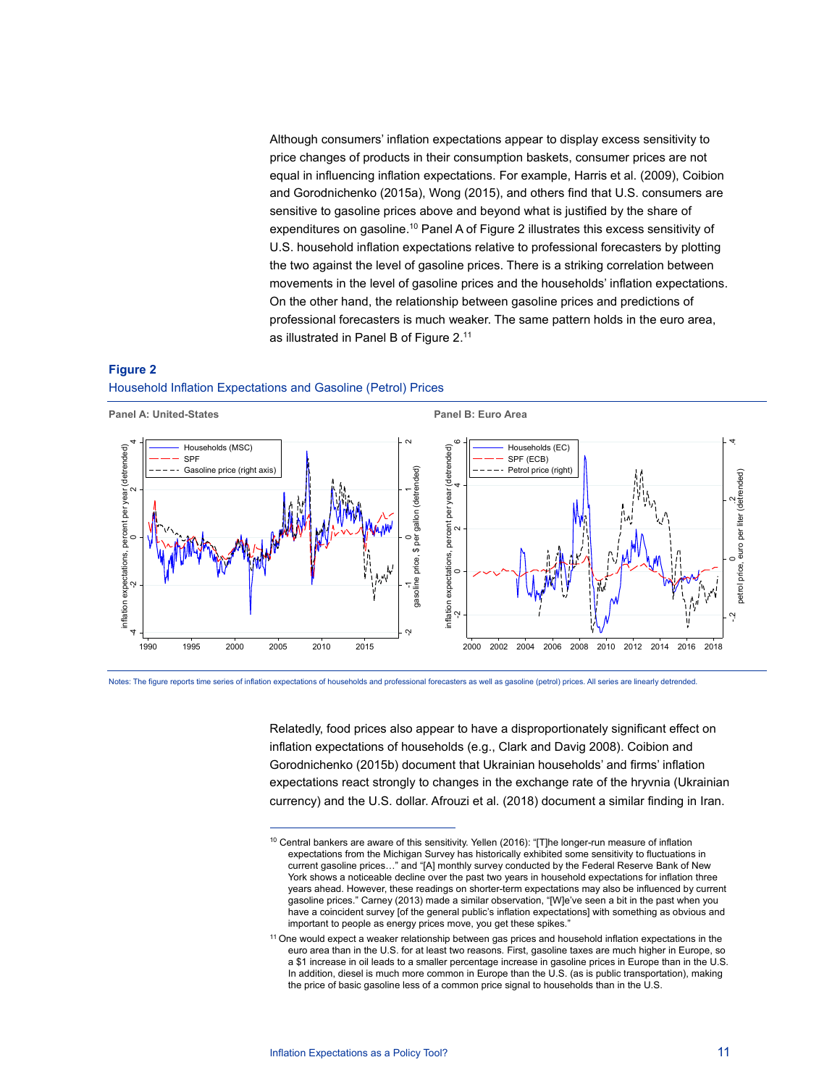Although consumers' inflation expectations appear to display excess sensitivity to price changes of products in their consumption baskets, consumer prices are not equal in influencing inflation expectations. For example, Harris et al. (2009), Coibion and Gorodnichenko (2015a), Wong (2015), and others find that U.S. consumers are sensitive to gasoline prices above and beyond what is justified by the share of expenditures on gasoline.<sup>10</sup> Panel A of Figure 2 illustrates this excess sensitivity of U.S. household inflation expectations relative to professional forecasters by plotting the two against the level of gasoline prices. There is a striking correlation between movements in the level of gasoline prices and the households' inflation expectations. On the other hand, the relationship between gasoline prices and predictions of professional forecasters is much weaker. The same pattern holds in the euro area, as illustrated in Panel B of Figure 2.11

#### **Figure 2**

#### Household Inflation Expectations and Gasoline (Petrol) Prices

j



Relatedly, food prices also appear to have a disproportionately significant effect on inflation expectations of households (e.g., Clark and Davig 2008). Coibion and Gorodnichenko (2015b) document that Ukrainian households' and firms' inflation expectations react strongly to changes in the exchange rate of the hryvnia (Ukrainian currency) and the U.S. dollar. Afrouzi et al. (2018) document a similar finding in Iran.

<sup>&</sup>lt;sup>10</sup> Central bankers are aware of this sensitivity. Yellen (2016): "[T]he longer-run measure of inflation expectations from the Michigan Survey has historically exhibited some sensitivity to fluctuations in current gasoline prices…" and "[A] monthly survey conducted by the Federal Reserve Bank of New York shows a noticeable decline over the past two years in household expectations for inflation three years ahead. However, these readings on shorter-term expectations may also be influenced by current gasoline prices." Carney (2013) made a similar observation, "[W]e've seen a bit in the past when you have a coincident survey [of the general public's inflation expectations] with something as obvious and important to people as energy prices move, you get these spikes."

<sup>11</sup> One would expect a weaker relationship between gas prices and household inflation expectations in the euro area than in the U.S. for at least two reasons. First, gasoline taxes are much higher in Europe, so a \$1 increase in oil leads to a smaller percentage increase in gasoline prices in Europe than in the U.S. In addition, diesel is much more common in Europe than the U.S. (as is public transportation), making the price of basic gasoline less of a common price signal to households than in the U.S.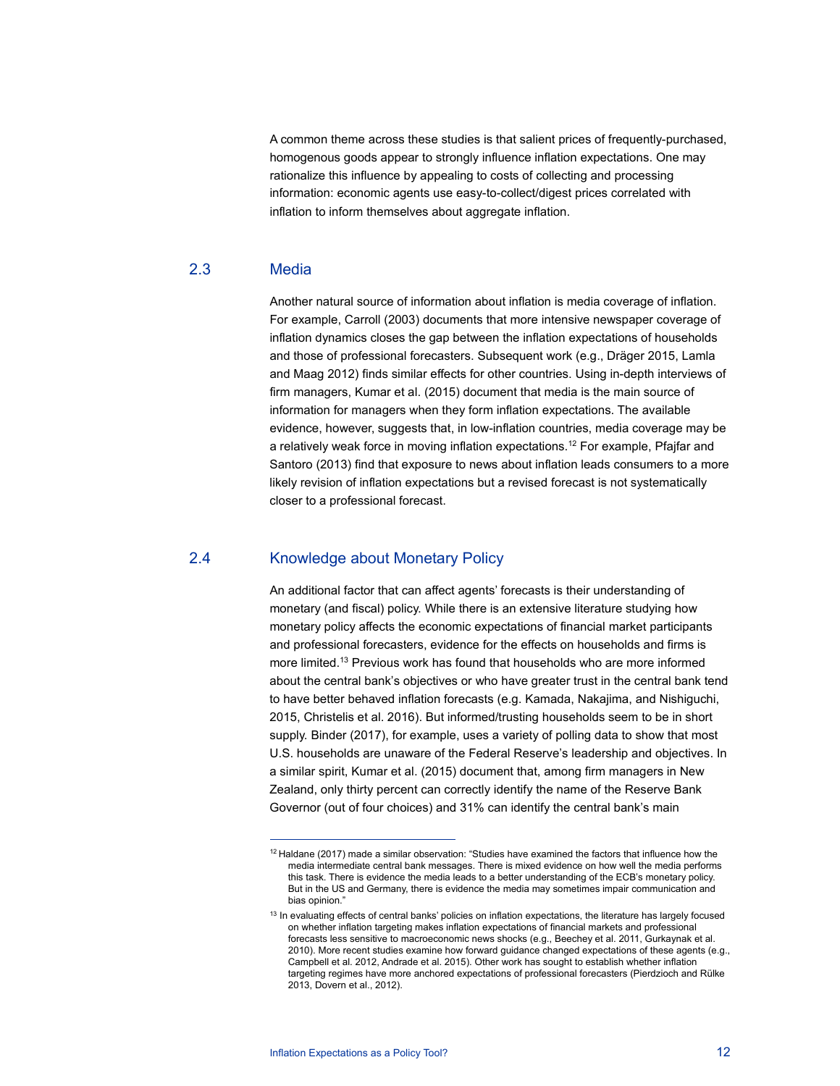A common theme across these studies is that salient prices of frequently-purchased, homogenous goods appear to strongly influence inflation expectations. One may rationalize this influence by appealing to costs of collecting and processing information: economic agents use easy-to-collect/digest prices correlated with inflation to inform themselves about aggregate inflation.

## 2.3 Media

Another natural source of information about inflation is media coverage of inflation. For example, Carroll (2003) documents that more intensive newspaper coverage of inflation dynamics closes the gap between the inflation expectations of households and those of professional forecasters. Subsequent work (e.g., Dräger 2015, Lamla and Maag 2012) finds similar effects for other countries. Using in-depth interviews of firm managers, Kumar et al. (2015) document that media is the main source of information for managers when they form inflation expectations. The available evidence, however, suggests that, in low-inflation countries, media coverage may be a relatively weak force in moving inflation expectations.12 For example, Pfajfar and Santoro (2013) find that exposure to news about inflation leads consumers to a more likely revision of inflation expectations but a revised forecast is not systematically closer to a professional forecast.

## 2.4 Knowledge about Monetary Policy

An additional factor that can affect agents' forecasts is their understanding of monetary (and fiscal) policy. While there is an extensive literature studying how monetary policy affects the economic expectations of financial market participants and professional forecasters, evidence for the effects on households and firms is more limited.13 Previous work has found that households who are more informed about the central bank's objectives or who have greater trust in the central bank tend to have better behaved inflation forecasts (e.g. Kamada, Nakajima, and Nishiguchi, 2015, Christelis et al. 2016). But informed/trusting households seem to be in short supply. Binder (2017), for example, uses a variety of polling data to show that most U.S. households are unaware of the Federal Reserve's leadership and objectives. In a similar spirit, Kumar et al. (2015) document that, among firm managers in New Zealand, only thirty percent can correctly identify the name of the Reserve Bank Governor (out of four choices) and 31% can identify the central bank's main

<sup>12</sup> Haldane (2017) made a similar observation: "Studies have examined the factors that influence how the media intermediate central bank messages. There is mixed evidence on how well the media performs this task. There is evidence the media leads to a better understanding of the ECB's monetary policy. But in the US and Germany, there is evidence the media may sometimes impair communication and bias opinion."

<sup>&</sup>lt;sup>13</sup> In evaluating effects of central banks' policies on inflation expectations, the literature has largely focused on whether inflation targeting makes inflation expectations of financial markets and professional forecasts less sensitive to macroeconomic news shocks (e.g., Beechey et al. 2011, Gurkaynak et al. 2010). More recent studies examine how forward guidance changed expectations of these agents (e.g., Campbell et al. 2012, Andrade et al. 2015). Other work has sought to establish whether inflation targeting regimes have more anchored expectations of professional forecasters (Pierdzioch and Rülke 2013, Dovern et al., 2012).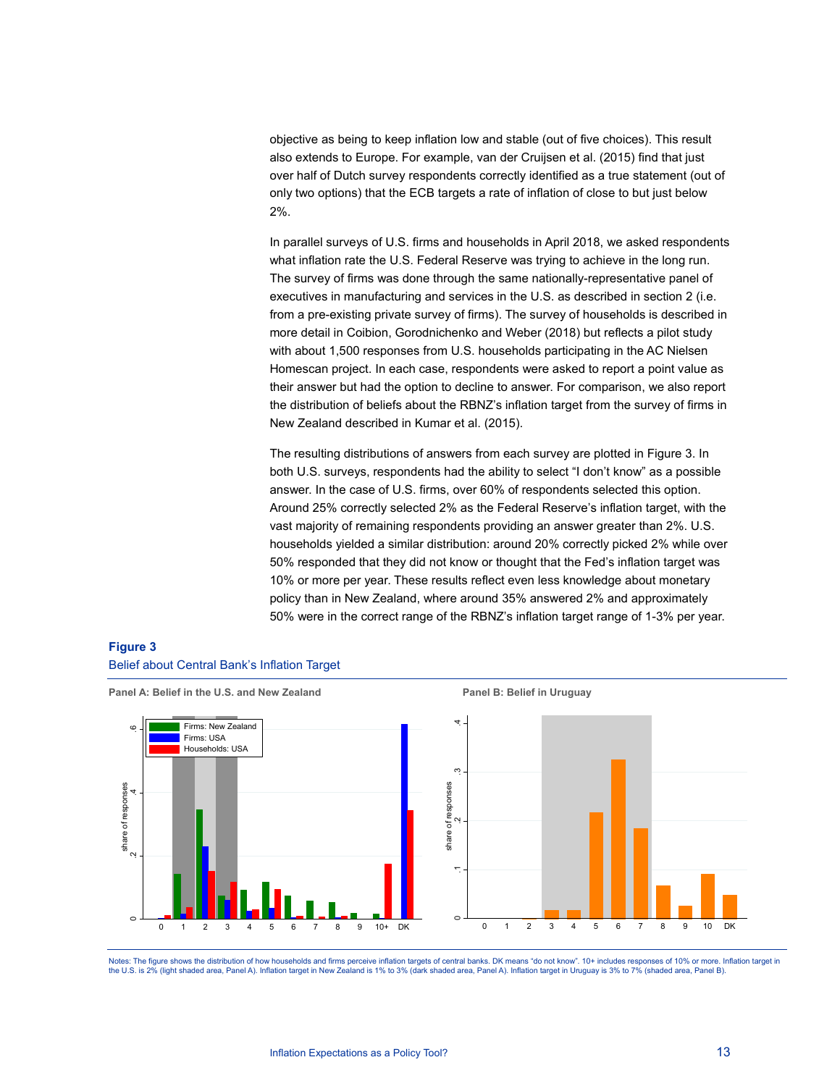objective as being to keep inflation low and stable (out of five choices). This result also extends to Europe. For example, van der Cruijsen et al. (2015) find that just over half of Dutch survey respondents correctly identified as a true statement (out of only two options) that the ECB targets a rate of inflation of close to but just below 2%.

In parallel surveys of U.S. firms and households in April 2018, we asked respondents what inflation rate the U.S. Federal Reserve was trying to achieve in the long run. The survey of firms was done through the same nationally-representative panel of executives in manufacturing and services in the U.S. as described in section 2 (i.e. from a pre-existing private survey of firms). The survey of households is described in more detail in Coibion, Gorodnichenko and Weber (2018) but reflects a pilot study with about 1,500 responses from U.S. households participating in the AC Nielsen Homescan project. In each case, respondents were asked to report a point value as their answer but had the option to decline to answer. For comparison, we also report the distribution of beliefs about the RBNZ's inflation target from the survey of firms in New Zealand described in Kumar et al. (2015).

The resulting distributions of answers from each survey are plotted in Figure 3. In both U.S. surveys, respondents had the ability to select "I don't know" as a possible answer. In the case of U.S. firms, over 60% of respondents selected this option. Around 25% correctly selected 2% as the Federal Reserve's inflation target, with the vast majority of remaining respondents providing an answer greater than 2%. U.S. households yielded a similar distribution: around 20% correctly picked 2% while over 50% responded that they did not know or thought that the Fed's inflation target was 10% or more per year. These results reflect even less knowledge about monetary policy than in New Zealand, where around 35% answered 2% and approximately 50% were in the correct range of the RBNZ's inflation target range of 1-3% per year.

## **Figure 3**  Belief about Central Bank's Inflation Target



Panel A: Belief in the U.S. and New Zealand **Panel B: Belief in Uruguay Panel B: Belief in Uruguay** 

Notes: The figure shows the distribution of how households and firms perceive inflation targets of central banks. DK means "do not know". 10+ includes responses of 10% or more. Inflation target in the U.S. is 2% (light shaded area, Panel A). Inflation target in New Zealand is 1% to 3% (dark shaded area, Panel A). Inflation target in Uruguay is 3% to 7% (shaded area, Panel B).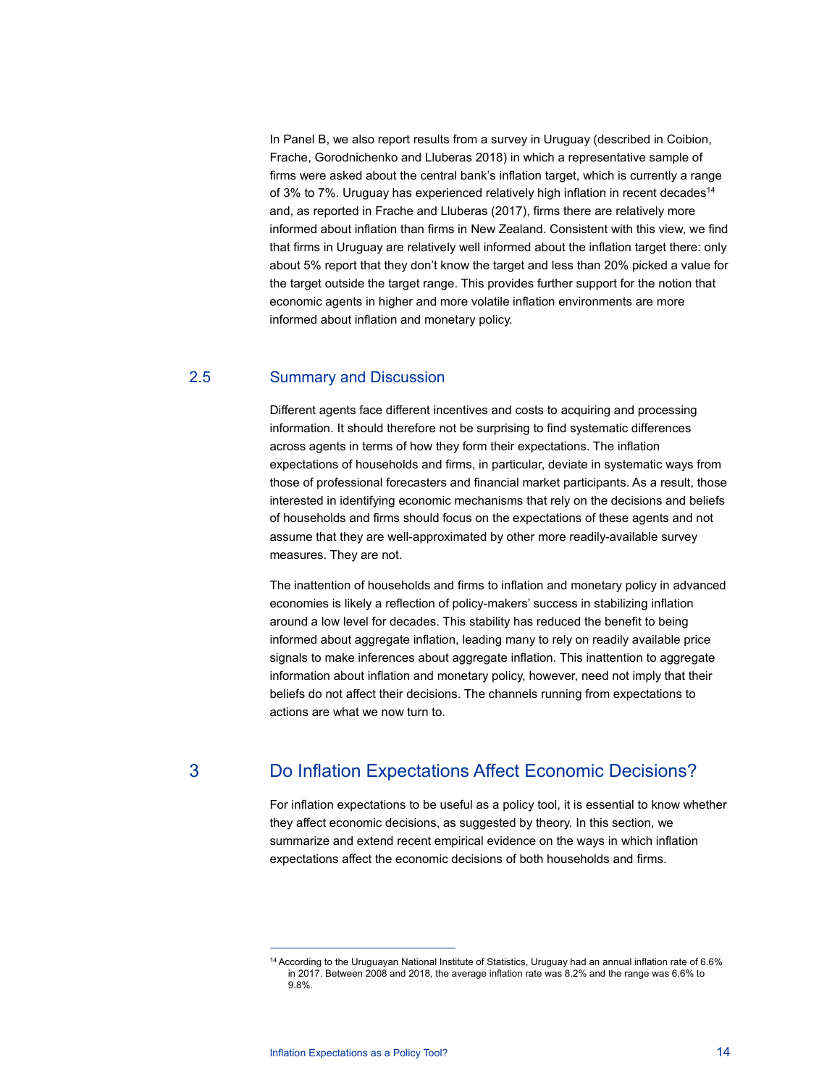In Panel B, we also report results from a survey in Uruguay (described in Coibion, Frache, Gorodnichenko and Lluberas 2018) in which a representative sample of firms were asked about the central bank's inflation target, which is currently a range of 3% to 7%. Uruguay has experienced relatively high inflation in recent decades<sup>14</sup> and, as reported in Frache and Lluberas (2017), firms there are relatively more informed about inflation than firms in New Zealand. Consistent with this view, we find that firms in Uruguay are relatively well informed about the inflation target there: only about 5% report that they don't know the target and less than 20% picked a value for the target outside the target range. This provides further support for the notion that economic agents in higher and more volatile inflation environments are more informed about inflation and monetary policy.

## 2.5 Summary and Discussion

Different agents face different incentives and costs to acquiring and processing information. It should therefore not be surprising to find systematic differences across agents in terms of how they form their expectations. The inflation expectations of households and firms, in particular, deviate in systematic ways from those of professional forecasters and financial market participants. As a result, those interested in identifying economic mechanisms that rely on the decisions and beliefs of households and firms should focus on the expectations of these agents and not assume that they are well-approximated by other more readily-available survey measures. They are not.

The inattention of households and firms to inflation and monetary policy in advanced economies is likely a reflection of policy-makers' success in stabilizing inflation around a low level for decades. This stability has reduced the benefit to being informed about aggregate inflation, leading many to rely on readily available price signals to make inferences about aggregate inflation. This inattention to aggregate information about inflation and monetary policy, however, need not imply that their beliefs do not affect their decisions. The channels running from expectations to actions are what we now turn to.

## 3 Do Inflation Expectations Affect Economic Decisions?

For inflation expectations to be useful as a policy tool, it is essential to know whether they affect economic decisions, as suggested by theory. In this section, we summarize and extend recent empirical evidence on the ways in which inflation expectations affect the economic decisions of both households and firms.

<sup>14</sup> According to the Uruguayan National Institute of Statistics, Uruguay had an annual inflation rate of 6.6% in 2017. Between 2008 and 2018, the average inflation rate was 8.2% and the range was 6.6% to 9.8%.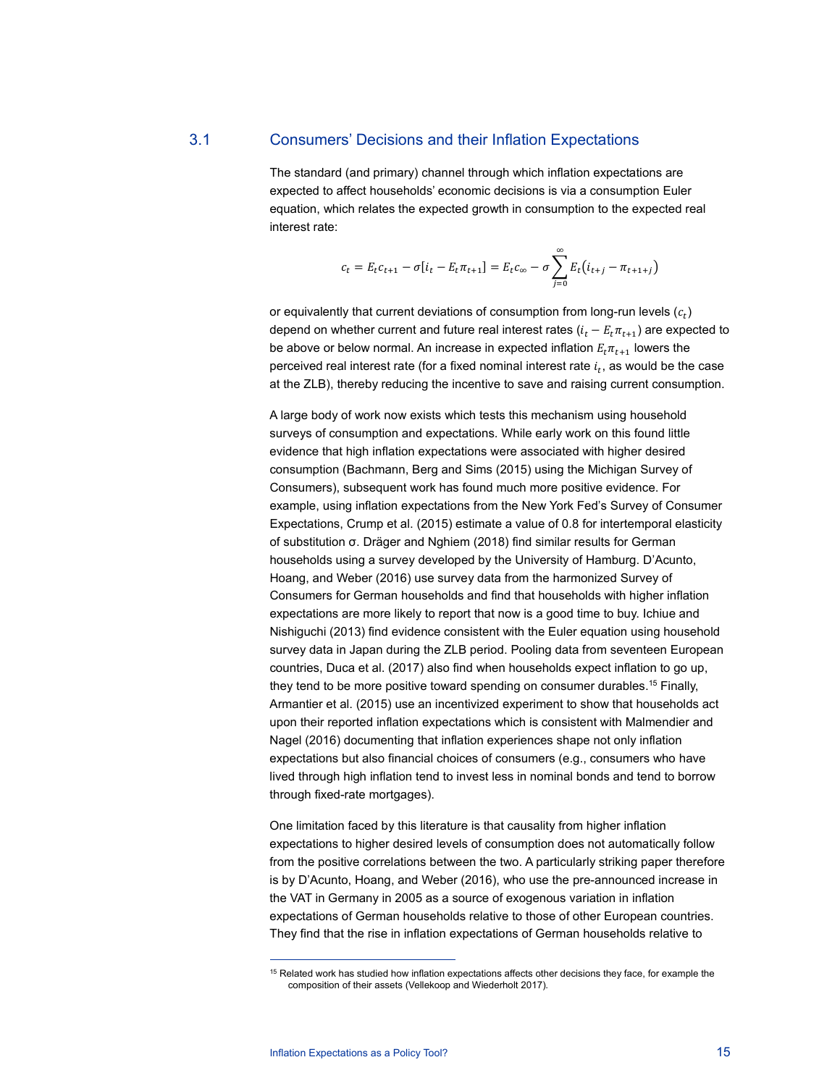## 3.1 Consumers' Decisions and their Inflation Expectations

The standard (and primary) channel through which inflation expectations are expected to affect households' economic decisions is via a consumption Euler equation, which relates the expected growth in consumption to the expected real interest rate:

$$
c_t = E_t c_{t+1} - \sigma[i_t - E_t \pi_{t+1}] = E_t c_{\infty} - \sigma \sum_{j=0}^{\infty} E_t (i_{t+j} - \pi_{t+1+j})
$$

or equivalently that current deviations of consumption from long-run levels  $(c_t)$ depend on whether current and future real interest rates  $(i_t - E_t \pi_{t+1})$  are expected to be above or below normal. An increase in expected inflation  $E_t \pi_{t+1}$  lowers the perceived real interest rate (for a fixed nominal interest rate  $i_t$ , as would be the case at the ZLB), thereby reducing the incentive to save and raising current consumption.

A large body of work now exists which tests this mechanism using household surveys of consumption and expectations. While early work on this found little evidence that high inflation expectations were associated with higher desired consumption (Bachmann, Berg and Sims (2015) using the Michigan Survey of Consumers), subsequent work has found much more positive evidence. For example, using inflation expectations from the New York Fed's Survey of Consumer Expectations, Crump et al. (2015) estimate a value of 0.8 for intertemporal elasticity of substitution σ. Dräger and Nghiem (2018) find similar results for German households using a survey developed by the University of Hamburg. D'Acunto, Hoang, and Weber (2016) use survey data from the harmonized Survey of Consumers for German households and find that households with higher inflation expectations are more likely to report that now is a good time to buy. Ichiue and Nishiguchi (2013) find evidence consistent with the Euler equation using household survey data in Japan during the ZLB period. Pooling data from seventeen European countries, Duca et al. (2017) also find when households expect inflation to go up, they tend to be more positive toward spending on consumer durables.<sup>15</sup> Finally, Armantier et al. (2015) use an incentivized experiment to show that households act upon their reported inflation expectations which is consistent with Malmendier and Nagel (2016) documenting that inflation experiences shape not only inflation expectations but also financial choices of consumers (e.g., consumers who have lived through high inflation tend to invest less in nominal bonds and tend to borrow through fixed-rate mortgages).

One limitation faced by this literature is that causality from higher inflation expectations to higher desired levels of consumption does not automatically follow from the positive correlations between the two. A particularly striking paper therefore is by D'Acunto, Hoang, and Weber (2016), who use the pre-announced increase in the VAT in Germany in 2005 as a source of exogenous variation in inflation expectations of German households relative to those of other European countries. They find that the rise in inflation expectations of German households relative to

<sup>&</sup>lt;sup>15</sup> Related work has studied how inflation expectations affects other decisions they face, for example the composition of their assets (Vellekoop and Wiederholt 2017).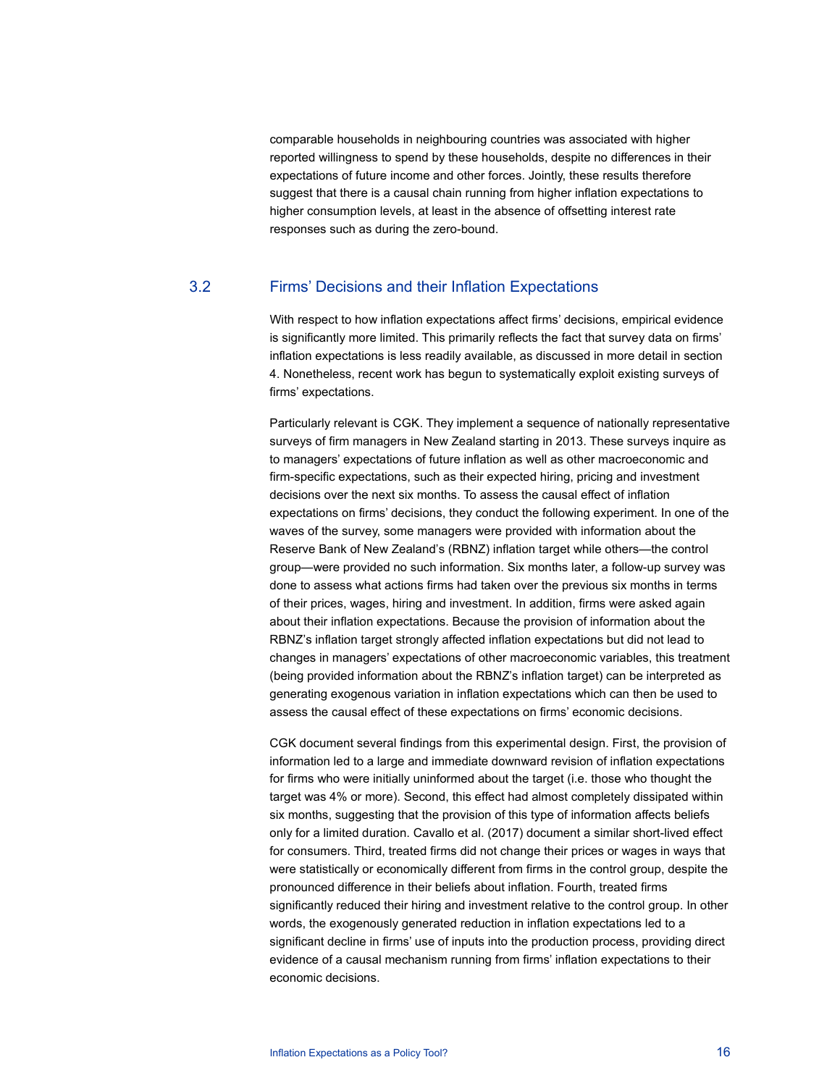comparable households in neighbouring countries was associated with higher reported willingness to spend by these households, despite no differences in their expectations of future income and other forces. Jointly, these results therefore suggest that there is a causal chain running from higher inflation expectations to higher consumption levels, at least in the absence of offsetting interest rate responses such as during the zero-bound.

## 3.2 Firms' Decisions and their Inflation Expectations

With respect to how inflation expectations affect firms' decisions, empirical evidence is significantly more limited. This primarily reflects the fact that survey data on firms' inflation expectations is less readily available, as discussed in more detail in section 4. Nonetheless, recent work has begun to systematically exploit existing surveys of firms' expectations.

Particularly relevant is CGK. They implement a sequence of nationally representative surveys of firm managers in New Zealand starting in 2013. These surveys inquire as to managers' expectations of future inflation as well as other macroeconomic and firm-specific expectations, such as their expected hiring, pricing and investment decisions over the next six months. To assess the causal effect of inflation expectations on firms' decisions, they conduct the following experiment. In one of the waves of the survey, some managers were provided with information about the Reserve Bank of New Zealand's (RBNZ) inflation target while others—the control group—were provided no such information. Six months later, a follow-up survey was done to assess what actions firms had taken over the previous six months in terms of their prices, wages, hiring and investment. In addition, firms were asked again about their inflation expectations. Because the provision of information about the RBNZ's inflation target strongly affected inflation expectations but did not lead to changes in managers' expectations of other macroeconomic variables, this treatment (being provided information about the RBNZ's inflation target) can be interpreted as generating exogenous variation in inflation expectations which can then be used to assess the causal effect of these expectations on firms' economic decisions.

CGK document several findings from this experimental design. First, the provision of information led to a large and immediate downward revision of inflation expectations for firms who were initially uninformed about the target (i.e. those who thought the target was 4% or more). Second, this effect had almost completely dissipated within six months, suggesting that the provision of this type of information affects beliefs only for a limited duration. Cavallo et al. (2017) document a similar short-lived effect for consumers. Third, treated firms did not change their prices or wages in ways that were statistically or economically different from firms in the control group, despite the pronounced difference in their beliefs about inflation. Fourth, treated firms significantly reduced their hiring and investment relative to the control group. In other words, the exogenously generated reduction in inflation expectations led to a significant decline in firms' use of inputs into the production process, providing direct evidence of a causal mechanism running from firms' inflation expectations to their economic decisions.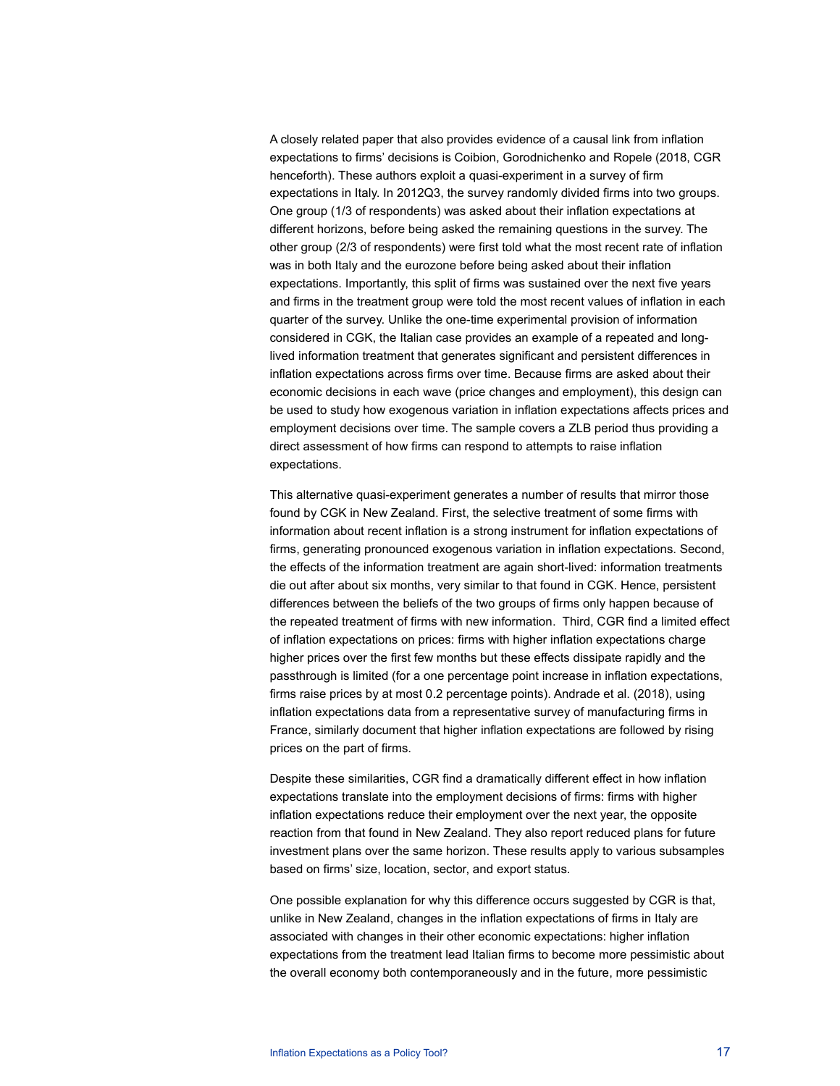A closely related paper that also provides evidence of a causal link from inflation expectations to firms' decisions is Coibion, Gorodnichenko and Ropele (2018, CGR henceforth). These authors exploit a quasi-experiment in a survey of firm expectations in Italy. In 2012Q3, the survey randomly divided firms into two groups. One group (1/3 of respondents) was asked about their inflation expectations at different horizons, before being asked the remaining questions in the survey. The other group (2/3 of respondents) were first told what the most recent rate of inflation was in both Italy and the eurozone before being asked about their inflation expectations. Importantly, this split of firms was sustained over the next five years and firms in the treatment group were told the most recent values of inflation in each quarter of the survey. Unlike the one-time experimental provision of information considered in CGK, the Italian case provides an example of a repeated and longlived information treatment that generates significant and persistent differences in inflation expectations across firms over time. Because firms are asked about their economic decisions in each wave (price changes and employment), this design can be used to study how exogenous variation in inflation expectations affects prices and employment decisions over time. The sample covers a ZLB period thus providing a direct assessment of how firms can respond to attempts to raise inflation expectations.

This alternative quasi-experiment generates a number of results that mirror those found by CGK in New Zealand. First, the selective treatment of some firms with information about recent inflation is a strong instrument for inflation expectations of firms, generating pronounced exogenous variation in inflation expectations. Second, the effects of the information treatment are again short-lived: information treatments die out after about six months, very similar to that found in CGK. Hence, persistent differences between the beliefs of the two groups of firms only happen because of the repeated treatment of firms with new information. Third, CGR find a limited effect of inflation expectations on prices: firms with higher inflation expectations charge higher prices over the first few months but these effects dissipate rapidly and the passthrough is limited (for a one percentage point increase in inflation expectations, firms raise prices by at most 0.2 percentage points). Andrade et al. (2018), using inflation expectations data from a representative survey of manufacturing firms in France, similarly document that higher inflation expectations are followed by rising prices on the part of firms.

Despite these similarities, CGR find a dramatically different effect in how inflation expectations translate into the employment decisions of firms: firms with higher inflation expectations reduce their employment over the next year, the opposite reaction from that found in New Zealand. They also report reduced plans for future investment plans over the same horizon. These results apply to various subsamples based on firms' size, location, sector, and export status.

One possible explanation for why this difference occurs suggested by CGR is that, unlike in New Zealand, changes in the inflation expectations of firms in Italy are associated with changes in their other economic expectations: higher inflation expectations from the treatment lead Italian firms to become more pessimistic about the overall economy both contemporaneously and in the future, more pessimistic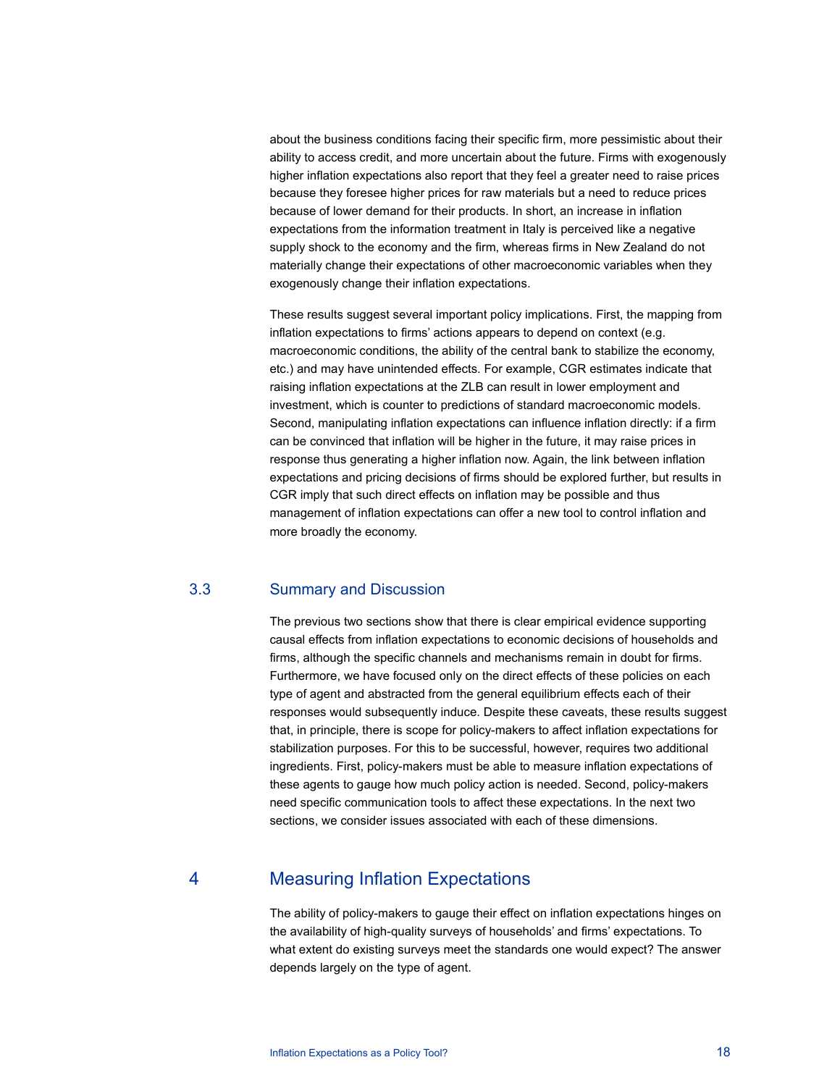about the business conditions facing their specific firm, more pessimistic about their ability to access credit, and more uncertain about the future. Firms with exogenously higher inflation expectations also report that they feel a greater need to raise prices because they foresee higher prices for raw materials but a need to reduce prices because of lower demand for their products. In short, an increase in inflation expectations from the information treatment in Italy is perceived like a negative supply shock to the economy and the firm, whereas firms in New Zealand do not materially change their expectations of other macroeconomic variables when they exogenously change their inflation expectations.

These results suggest several important policy implications. First, the mapping from inflation expectations to firms' actions appears to depend on context (e.g. macroeconomic conditions, the ability of the central bank to stabilize the economy, etc.) and may have unintended effects. For example, CGR estimates indicate that raising inflation expectations at the ZLB can result in lower employment and investment, which is counter to predictions of standard macroeconomic models. Second, manipulating inflation expectations can influence inflation directly: if a firm can be convinced that inflation will be higher in the future, it may raise prices in response thus generating a higher inflation now. Again, the link between inflation expectations and pricing decisions of firms should be explored further, but results in CGR imply that such direct effects on inflation may be possible and thus management of inflation expectations can offer a new tool to control inflation and more broadly the economy.

## 3.3 Summary and Discussion

The previous two sections show that there is clear empirical evidence supporting causal effects from inflation expectations to economic decisions of households and firms, although the specific channels and mechanisms remain in doubt for firms. Furthermore, we have focused only on the direct effects of these policies on each type of agent and abstracted from the general equilibrium effects each of their responses would subsequently induce. Despite these caveats, these results suggest that, in principle, there is scope for policy-makers to affect inflation expectations for stabilization purposes. For this to be successful, however, requires two additional ingredients. First, policy-makers must be able to measure inflation expectations of these agents to gauge how much policy action is needed. Second, policy-makers need specific communication tools to affect these expectations. In the next two sections, we consider issues associated with each of these dimensions.

## 4 Measuring Inflation Expectations

The ability of policy-makers to gauge their effect on inflation expectations hinges on the availability of high-quality surveys of households' and firms' expectations. To what extent do existing surveys meet the standards one would expect? The answer depends largely on the type of agent.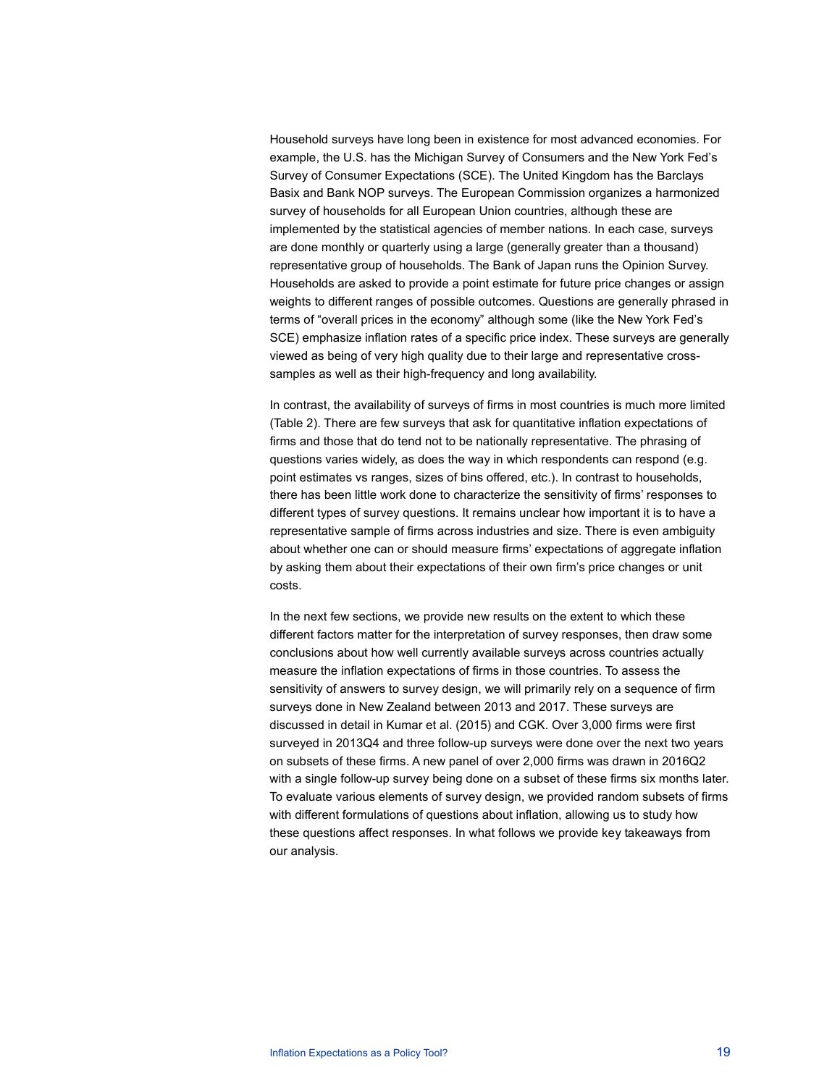Household surveys have long been in existence for most advanced economies. For example, the U.S. has the Michigan Survey of Consumers and the New York Fed's Survey of Consumer Expectations (SCE). The United Kingdom has the Barclays Basix and Bank NOP surveys. The European Commission organizes a harmonized survey of households for all European Union countries, although these are implemented by the statistical agencies of member nations. In each case, surveys are done monthly or quarterly using a large (generally greater than a thousand) representative group of households. The Bank of Japan runs the Opinion Survey. Households are asked to provide a point estimate for future price changes or assign weights to different ranges of possible outcomes. Questions are generally phrased in terms of "overall prices in the economy" although some (like the New York Fed's SCE) emphasize inflation rates of a specific price index. These surveys are generally viewed as being of very high quality due to their large and representative crosssamples as well as their high-frequency and long availability.

In contrast, the availability of surveys of firms in most countries is much more limited (Table 2). There are few surveys that ask for quantitative inflation expectations of firms and those that do tend not to be nationally representative. The phrasing of questions varies widely, as does the way in which respondents can respond (e.g. point estimates vs ranges, sizes of bins offered, etc.). In contrast to households, there has been little work done to characterize the sensitivity of firms' responses to different types of survey questions. It remains unclear how important it is to have a representative sample of firms across industries and size. There is even ambiguity about whether one can or should measure firms' expectations of aggregate inflation by asking them about their expectations of their own firm's price changes or unit costs.

In the next few sections, we provide new results on the extent to which these different factors matter for the interpretation of survey responses, then draw some conclusions about how well currently available surveys across countries actually measure the inflation expectations of firms in those countries. To assess the sensitivity of answers to survey design, we will primarily rely on a sequence of firm surveys done in New Zealand between 2013 and 2017. These surveys are discussed in detail in Kumar et al. (2015) and CGK. Over 3,000 firms were first surveyed in 2013Q4 and three follow-up surveys were done over the next two years on subsets of these firms. A new panel of over 2,000 firms was drawn in 2016Q2 with a single follow-up survey being done on a subset of these firms six months later. To evaluate various elements of survey design, we provided random subsets of firms with different formulations of questions about inflation, allowing us to study how these questions affect responses. In what follows we provide key takeaways from our analysis.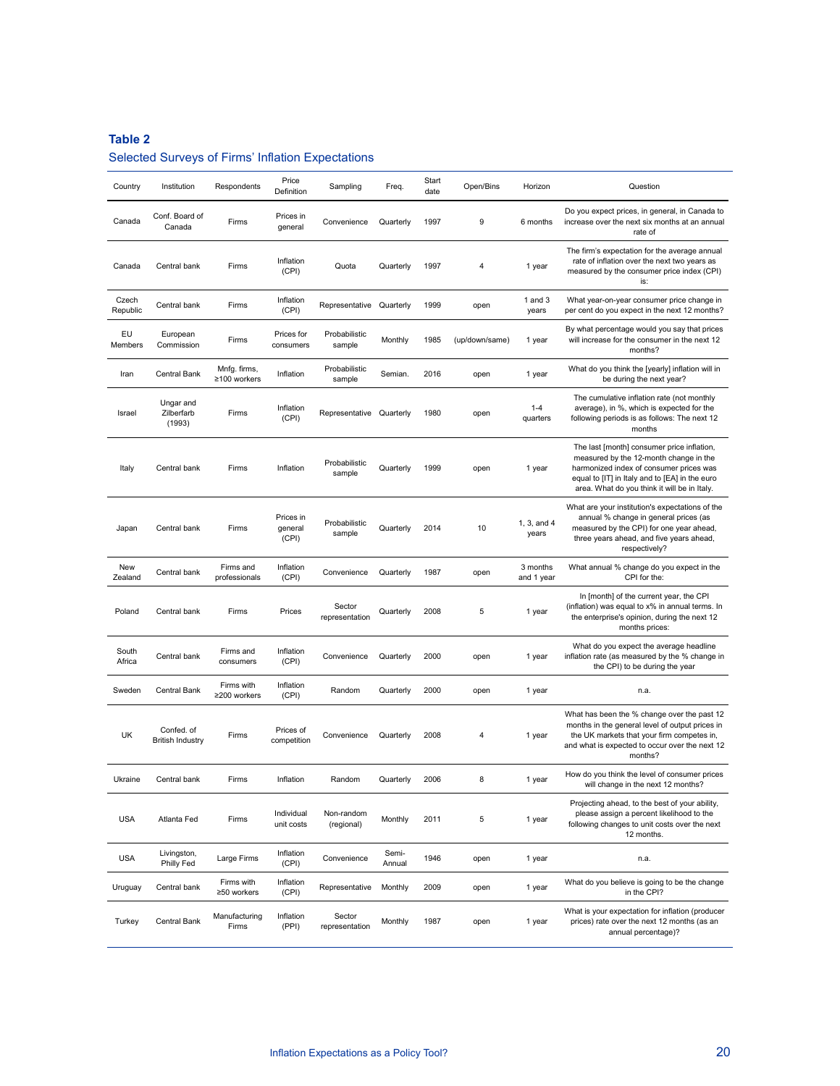## **Table 2**

## Selected Surveys of Firms' Inflation Expectations

| Country           | Institution                           | Respondents                  | Price<br>Definition           | Sampling                 | Freq.           | Start<br>date | Open/Bins      | Horizon                | Question                                                                                                                                                                                                                          |
|-------------------|---------------------------------------|------------------------------|-------------------------------|--------------------------|-----------------|---------------|----------------|------------------------|-----------------------------------------------------------------------------------------------------------------------------------------------------------------------------------------------------------------------------------|
| Canada            | Conf. Board of<br>Canada              | Firms                        | Prices in<br>general          | Convenience              | Quarterly       | 1997          | 9              | 6 months               | Do you expect prices, in general, in Canada to<br>increase over the next six months at an annual<br>rate of                                                                                                                       |
| Canada            | Central bank                          | Firms                        | Inflation<br>(CPI)            | Quota                    | Quarterly       | 1997          | 4              | 1 year                 | The firm's expectation for the average annual<br>rate of inflation over the next two years as<br>measured by the consumer price index (CPI)<br>is:                                                                                |
| Czech<br>Republic | Central bank                          | Firms                        | Inflation<br>(CPI)            | Representative Quarterly |                 | 1999          | open           | 1 and $3$<br>years     | What year-on-year consumer price change in<br>per cent do you expect in the next 12 months?                                                                                                                                       |
| EU<br>Members     | European<br>Commission                | Firms                        | Prices for<br>consumers       | Probabilistic<br>sample  | Monthly         | 1985          | (up/down/same) | 1 year                 | By what percentage would you say that prices<br>will increase for the consumer in the next 12<br>months?                                                                                                                          |
| Iran              | Central Bank                          | Mnfg. firms,<br>≥100 workers | Inflation                     | Probabilistic<br>sample  | Semian.         | 2016          | open           | 1 year                 | What do you think the [yearly] inflation will in<br>be during the next year?                                                                                                                                                      |
| Israel            | Ungar and<br>Zilberfarb<br>(1993)     | Firms                        | Inflation<br>(CPI)            | Representative           | Quarterly       | 1980          | open           | $1 - 4$<br>quarters    | The cumulative inflation rate (not monthly<br>average), in %, which is expected for the<br>following periods is as follows: The next 12<br>months                                                                                 |
| Italy             | Central bank                          | Firms                        | Inflation                     | Probabilistic<br>sample  | Quarterly       | 1999          | open           | 1 year                 | The last [month] consumer price inflation,<br>measured by the 12-month change in the<br>harmonized index of consumer prices was<br>equal to [IT] in Italy and to [EA] in the euro<br>area. What do you think it will be in Italy. |
| Japan             | Central bank                          | Firms                        | Prices in<br>general<br>(CPI) | Probabilistic<br>sample  | Quarterly       | 2014          | 10             | 1, 3, and 4<br>years   | What are your institution's expectations of the<br>annual % change in general prices (as<br>measured by the CPI) for one year ahead,<br>three years ahead, and five years ahead,<br>respectively?                                 |
| New<br>Zealand    | Central bank                          | Firms and<br>professionals   | Inflation<br>(CPI)            | Convenience              | Quarterly       | 1987          | open           | 3 months<br>and 1 year | What annual % change do you expect in the<br>CPI for the:                                                                                                                                                                         |
| Poland            | Central bank                          | Firms                        | Prices                        | Sector<br>representation | Quarterly       | 2008          | 5              | 1 year                 | In [month] of the current year, the CPI<br>(inflation) was equal to x% in annual terms. In<br>the enterprise's opinion, during the next 12<br>months prices:                                                                      |
| South<br>Africa   | Central bank                          | Firms and<br>consumers       | Inflation<br>(CPI)            | Convenience              | Quarterly       | 2000          | open           | 1 year                 | What do you expect the average headline<br>inflation rate (as measured by the % change in<br>the CPI) to be during the year                                                                                                       |
| Sweden            | Central Bank                          | Firms with<br>≥200 workers   | Inflation<br>(CPI)            | Random                   | Quarterly       | 2000          | open           | 1 year                 | n.a.                                                                                                                                                                                                                              |
| UK                | Confed. of<br><b>British Industry</b> | Firms                        | Prices of<br>competition      | Convenience              | Quarterly       | 2008          | 4              | 1 year                 | What has been the % change over the past 12<br>months in the general level of output prices in<br>the UK markets that your firm competes in,<br>and what is expected to occur over the next 12<br>months?                         |
| Ukraine           | Central bank                          | Firms                        | Inflation                     | Random                   | Quarterly       | 2006          |                | 1 year                 | How do you think the level of consumer prices<br>will change in the next 12 months?                                                                                                                                               |
| <b>USA</b>        | Atlanta Fed                           | Firms                        | Individual<br>unit costs      | Non-random<br>(regional) | Monthly         | 2011          | 5              | 1 year                 | Projecting ahead, to the best of your ability,<br>please assign a percent likelihood to the<br>following changes to unit costs over the next<br>12 months.                                                                        |
| <b>USA</b>        | Livingston,<br>Philly Fed             | Large Firms                  | Inflation<br>(CPI)            | Convenience              | Semi-<br>Annual | 1946          | open           | 1 year                 | n.a.                                                                                                                                                                                                                              |
| Uruguay           | Central bank                          | Firms with<br>≥50 workers    | Inflation<br>(CPI)            | Representative           | Monthly         | 2009          | open           | 1 year                 | What do you believe is going to be the change<br>in the CPI?                                                                                                                                                                      |
| Turkey            | Central Bank                          | Manufacturing<br>Firms       | Inflation<br>(PPI)            | Sector<br>representation | Monthly         | 1987          | open           | 1 year                 | What is your expectation for inflation (producer<br>prices) rate over the next 12 months (as an<br>annual percentage)?                                                                                                            |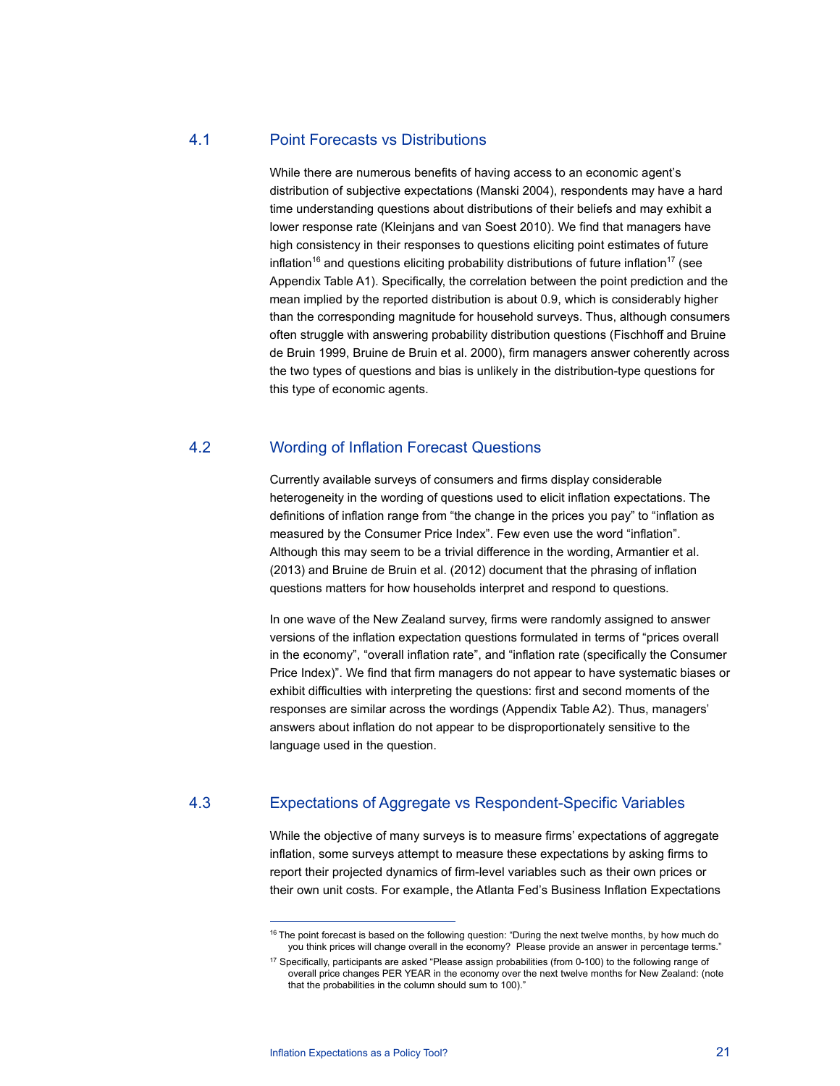## 4.1 Point Forecasts vs Distributions

While there are numerous benefits of having access to an economic agent's distribution of subjective expectations (Manski 2004), respondents may have a hard time understanding questions about distributions of their beliefs and may exhibit a lower response rate (Kleinjans and van Soest 2010). We find that managers have high consistency in their responses to questions eliciting point estimates of future inflation<sup>16</sup> and questions eliciting probability distributions of future inflation<sup>17</sup> (see Appendix Table A1). Specifically, the correlation between the point prediction and the mean implied by the reported distribution is about 0.9, which is considerably higher than the corresponding magnitude for household surveys. Thus, although consumers often struggle with answering probability distribution questions (Fischhoff and Bruine de Bruin 1999, Bruine de Bruin et al. 2000), firm managers answer coherently across the two types of questions and bias is unlikely in the distribution-type questions for this type of economic agents.

## 4.2 Wording of Inflation Forecast Questions

Currently available surveys of consumers and firms display considerable heterogeneity in the wording of questions used to elicit inflation expectations. The definitions of inflation range from "the change in the prices you pay" to "inflation as measured by the Consumer Price Index". Few even use the word "inflation". Although this may seem to be a trivial difference in the wording, Armantier et al. (2013) and Bruine de Bruin et al. (2012) document that the phrasing of inflation questions matters for how households interpret and respond to questions.

In one wave of the New Zealand survey, firms were randomly assigned to answer versions of the inflation expectation questions formulated in terms of "prices overall in the economy", "overall inflation rate", and "inflation rate (specifically the Consumer Price Index)". We find that firm managers do not appear to have systematic biases or exhibit difficulties with interpreting the questions: first and second moments of the responses are similar across the wordings (Appendix Table A2). Thus, managers' answers about inflation do not appear to be disproportionately sensitive to the language used in the question.

## 4.3 Expectations of Aggregate vs Respondent-Specific Variables

While the objective of many surveys is to measure firms' expectations of aggregate inflation, some surveys attempt to measure these expectations by asking firms to report their projected dynamics of firm-level variables such as their own prices or their own unit costs. For example, the Atlanta Fed's Business Inflation Expectations

<sup>&</sup>lt;sup>16</sup> The point forecast is based on the following question: "During the next twelve months, by how much do you think prices will change overall in the economy? Please provide an answer in percentage terms."

<sup>17</sup> Specifically, participants are asked "Please assign probabilities (from 0-100) to the following range of overall price changes PER YEAR in the economy over the next twelve months for New Zealand: (note that the probabilities in the column should sum to 100)."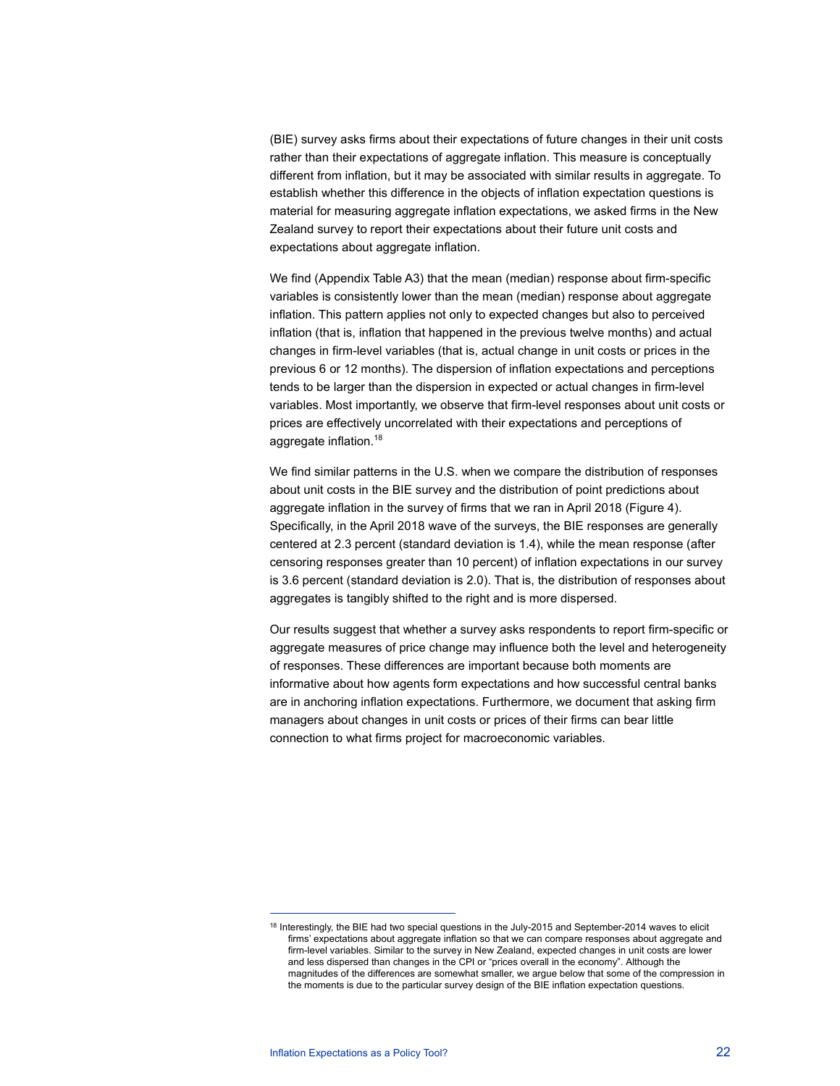(BIE) survey asks firms about their expectations of future changes in their unit costs rather than their expectations of aggregate inflation. This measure is conceptually different from inflation, but it may be associated with similar results in aggregate. To establish whether this difference in the objects of inflation expectation questions is material for measuring aggregate inflation expectations, we asked firms in the New Zealand survey to report their expectations about their future unit costs and expectations about aggregate inflation.

We find (Appendix Table A3) that the mean (median) response about firm-specific variables is consistently lower than the mean (median) response about aggregate inflation. This pattern applies not only to expected changes but also to perceived inflation (that is, inflation that happened in the previous twelve months) and actual changes in firm-level variables (that is, actual change in unit costs or prices in the previous 6 or 12 months). The dispersion of inflation expectations and perceptions tends to be larger than the dispersion in expected or actual changes in firm-level variables. Most importantly, we observe that firm-level responses about unit costs or prices are effectively uncorrelated with their expectations and perceptions of aggregate inflation.18

We find similar patterns in the U.S. when we compare the distribution of responses about unit costs in the BIE survey and the distribution of point predictions about aggregate inflation in the survey of firms that we ran in April 2018 (Figure 4). Specifically, in the April 2018 wave of the surveys, the BIE responses are generally centered at 2.3 percent (standard deviation is 1.4), while the mean response (after censoring responses greater than 10 percent) of inflation expectations in our survey is 3.6 percent (standard deviation is 2.0). That is, the distribution of responses about aggregates is tangibly shifted to the right and is more dispersed.

Our results suggest that whether a survey asks respondents to report firm-specific or aggregate measures of price change may influence both the level and heterogeneity of responses. These differences are important because both moments are informative about how agents form expectations and how successful central banks are in anchoring inflation expectations. Furthermore, we document that asking firm managers about changes in unit costs or prices of their firms can bear little connection to what firms project for macroeconomic variables.

<sup>&</sup>lt;sup>18</sup> Interestingly, the BIE had two special questions in the July-2015 and September-2014 waves to elicit firms' expectations about aggregate inflation so that we can compare responses about aggregate and firm-level variables. Similar to the survey in New Zealand, expected changes in unit costs are lower and less dispersed than changes in the CPI or "prices overall in the economy". Although the magnitudes of the differences are somewhat smaller, we argue below that some of the compression in the moments is due to the particular survey design of the BIE inflation expectation questions.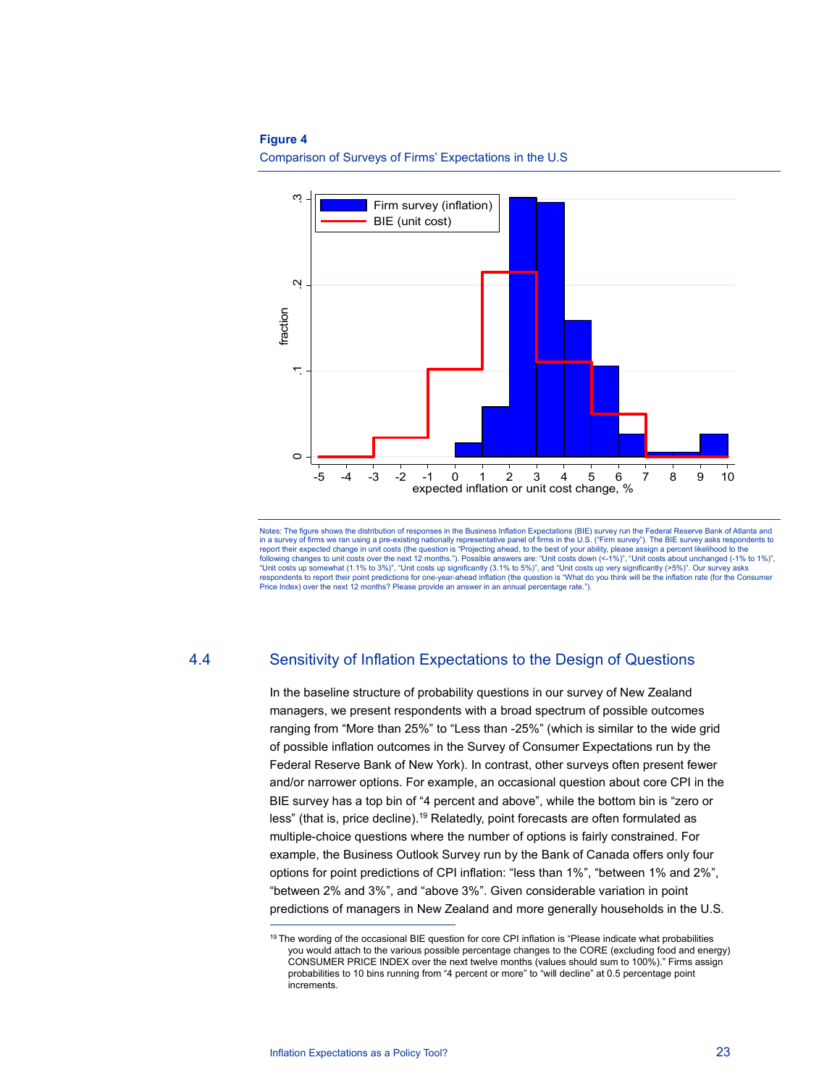#### **Figure 4**

Comparison of Surveys of Firms' Expectations in the U.S



Notes: The figure shows the distribution of responses in the Business Inflation Expectations (BIE) survey run the Federal Reserve Bank of Atlanta and<br>in a survey of firms we ran using a pre-existing nationally representati report their expected change in unit costs (the question is "Projecting ahead, to the best of your ability, please assign a percent likelihood to the following changes to unit costs over the next 12 months."). Possible answers are: "Unit costs down (<-1%)", "Unit costs about unchanged (-1% to 1%)",<br>"Unit costs up somewhat (1.1% to 3%)", "Unit costs up significantly (3.1 respondents to report their point predictions for one-year-ahead inflation (the question is "What do you think will be the inflation rate (for the Consumer Price Index) over the next 12 months? Please provide an answer in an annual percentage rate.").

## 4.4 Sensitivity of Inflation Expectations to the Design of Questions

In the baseline structure of probability questions in our survey of New Zealand managers, we present respondents with a broad spectrum of possible outcomes ranging from "More than 25%" to "Less than -25%" (which is similar to the wide grid of possible inflation outcomes in the Survey of Consumer Expectations run by the Federal Reserve Bank of New York). In contrast, other surveys often present fewer and/or narrower options. For example, an occasional question about core CPI in the BIE survey has a top bin of "4 percent and above", while the bottom bin is "zero or less" (that is, price decline).19 Relatedly, point forecasts are often formulated as multiple-choice questions where the number of options is fairly constrained. For example, the Business Outlook Survey run by the Bank of Canada offers only four options for point predictions of CPI inflation: "less than 1%", "between 1% and 2%", "between 2% and 3%", and "above 3%". Given considerable variation in point predictions of managers in New Zealand and more generally households in the U.S.

<sup>&</sup>lt;sup>19</sup> The wording of the occasional BIE question for core CPI inflation is "Please indicate what probabilities you would attach to the various possible percentage changes to the CORE (excluding food and energy) CONSUMER PRICE INDEX over the next twelve months (values should sum to 100%)." Firms assign probabilities to 10 bins running from "4 percent or more" to "will decline" at 0.5 percentage point increments.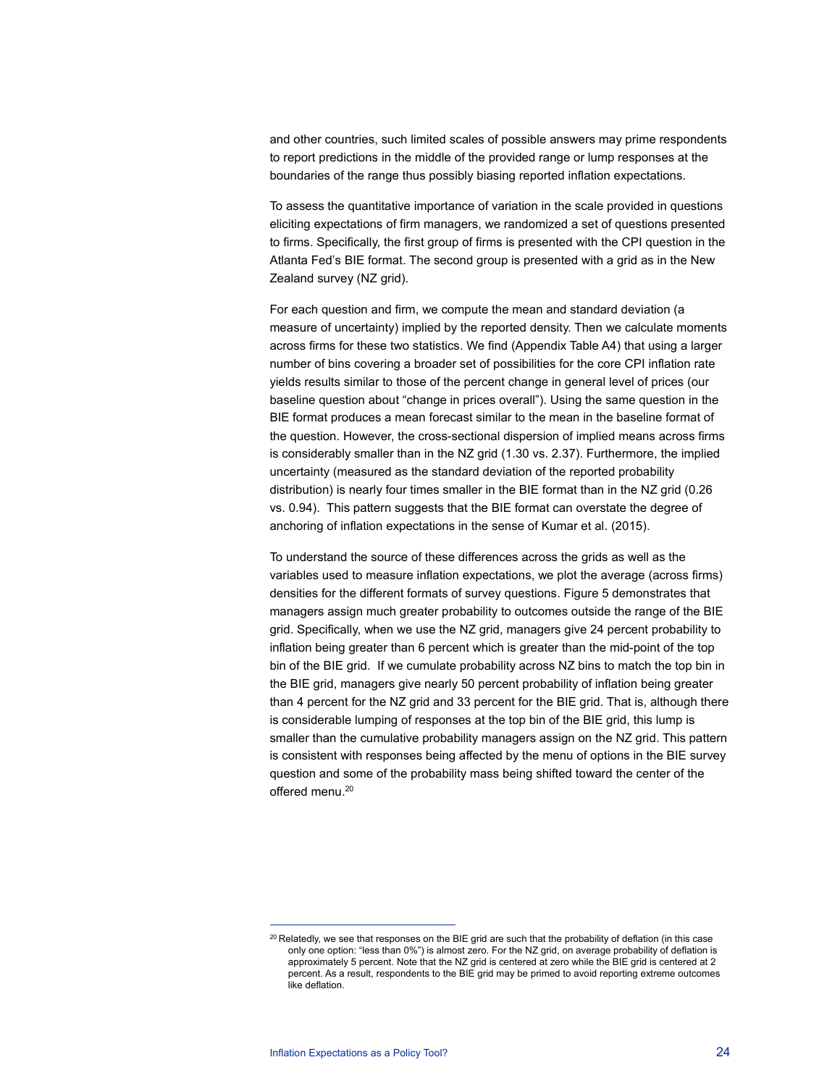and other countries, such limited scales of possible answers may prime respondents to report predictions in the middle of the provided range or lump responses at the boundaries of the range thus possibly biasing reported inflation expectations.

To assess the quantitative importance of variation in the scale provided in questions eliciting expectations of firm managers, we randomized a set of questions presented to firms. Specifically, the first group of firms is presented with the CPI question in the Atlanta Fed's BIE format. The second group is presented with a grid as in the New Zealand survey (NZ grid).

For each question and firm, we compute the mean and standard deviation (a measure of uncertainty) implied by the reported density. Then we calculate moments across firms for these two statistics. We find (Appendix Table A4) that using a larger number of bins covering a broader set of possibilities for the core CPI inflation rate yields results similar to those of the percent change in general level of prices (our baseline question about "change in prices overall"). Using the same question in the BIE format produces a mean forecast similar to the mean in the baseline format of the question. However, the cross-sectional dispersion of implied means across firms is considerably smaller than in the NZ grid (1.30 vs. 2.37). Furthermore, the implied uncertainty (measured as the standard deviation of the reported probability distribution) is nearly four times smaller in the BIE format than in the NZ grid (0.26 vs. 0.94). This pattern suggests that the BIE format can overstate the degree of anchoring of inflation expectations in the sense of Kumar et al. (2015).

To understand the source of these differences across the grids as well as the variables used to measure inflation expectations, we plot the average (across firms) densities for the different formats of survey questions. Figure 5 demonstrates that managers assign much greater probability to outcomes outside the range of the BIE grid. Specifically, when we use the NZ grid, managers give 24 percent probability to inflation being greater than 6 percent which is greater than the mid-point of the top bin of the BIE grid. If we cumulate probability across NZ bins to match the top bin in the BIE grid, managers give nearly 50 percent probability of inflation being greater than 4 percent for the NZ grid and 33 percent for the BIE grid. That is, although there is considerable lumping of responses at the top bin of the BIE grid, this lump is smaller than the cumulative probability managers assign on the NZ grid. This pattern is consistent with responses being affected by the menu of options in the BIE survey question and some of the probability mass being shifted toward the center of the offered menu.<sup>20</sup>

<sup>&</sup>lt;sup>20</sup> Relatedly, we see that responses on the BIE grid are such that the probability of deflation (in this case only one option: "less than 0%") is almost zero. For the NZ grid, on average probability of deflation is approximately 5 percent. Note that the NZ grid is centered at zero while the BIE grid is centered at 2 percent. As a result, respondents to the BIE grid may be primed to avoid reporting extreme outcomes like deflation.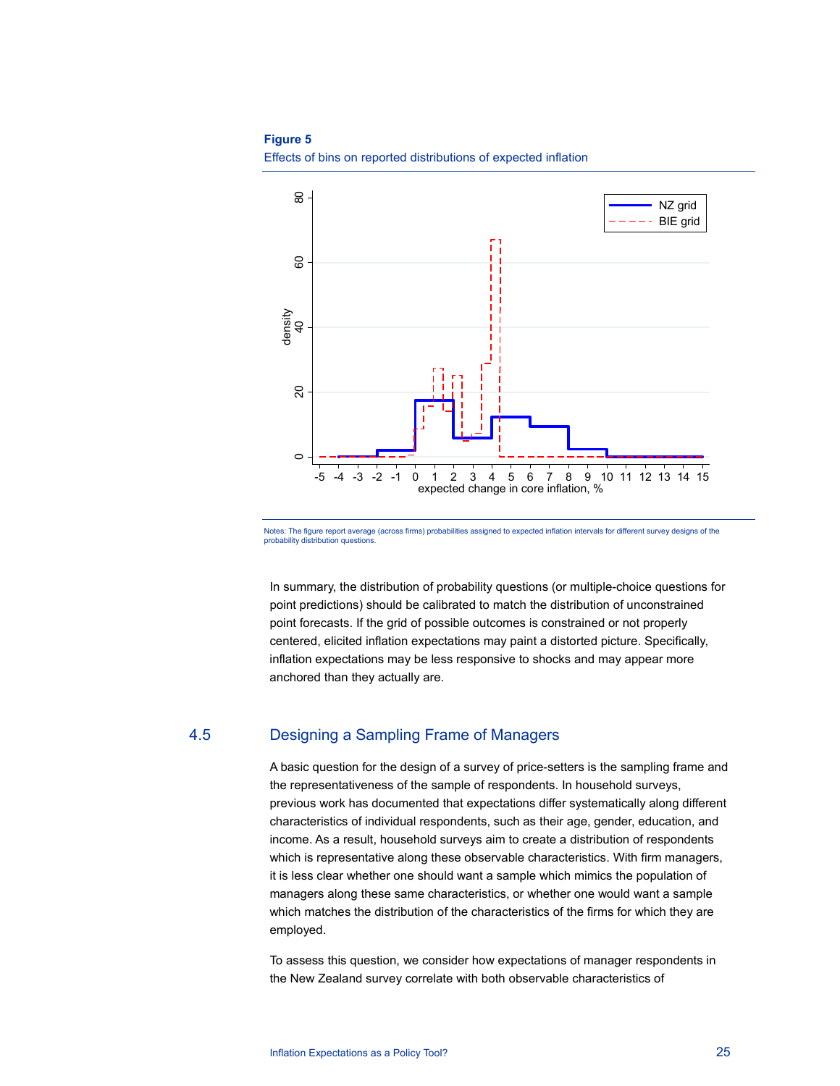#### **Figure 5**

Effects of bins on reported distributions of expected inflation



Notes: The figure report average (across firms) probabilities assigned to expected inflation intervals for different survey designs of the probability distribution questions.

In summary, the distribution of probability questions (or multiple-choice questions for point predictions) should be calibrated to match the distribution of unconstrained point forecasts. If the grid of possible outcomes is constrained or not properly centered, elicited inflation expectations may paint a distorted picture. Specifically, inflation expectations may be less responsive to shocks and may appear more anchored than they actually are.

## 4.5 Designing a Sampling Frame of Managers

A basic question for the design of a survey of price-setters is the sampling frame and the representativeness of the sample of respondents. In household surveys, previous work has documented that expectations differ systematically along different characteristics of individual respondents, such as their age, gender, education, and income. As a result, household surveys aim to create a distribution of respondents which is representative along these observable characteristics. With firm managers, it is less clear whether one should want a sample which mimics the population of managers along these same characteristics, or whether one would want a sample which matches the distribution of the characteristics of the firms for which they are employed.

To assess this question, we consider how expectations of manager respondents in the New Zealand survey correlate with both observable characteristics of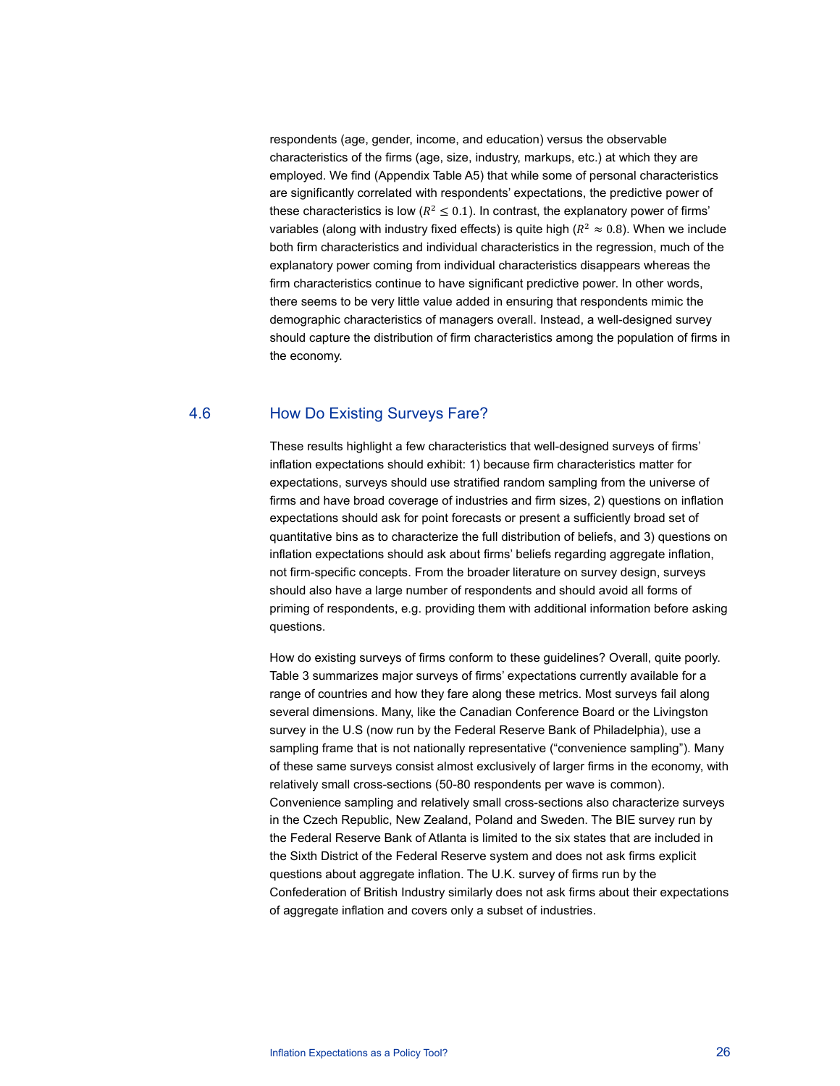respondents (age, gender, income, and education) versus the observable characteristics of the firms (age, size, industry, markups, etc.) at which they are employed. We find (Appendix Table A5) that while some of personal characteristics are significantly correlated with respondents' expectations, the predictive power of these characteristics is low ( $R^2 \le 0.1$ ). In contrast, the explanatory power of firms' variables (along with industry fixed effects) is quite high ( $R^2 \approx 0.8$ ). When we include both firm characteristics and individual characteristics in the regression, much of the explanatory power coming from individual characteristics disappears whereas the firm characteristics continue to have significant predictive power. In other words, there seems to be very little value added in ensuring that respondents mimic the demographic characteristics of managers overall. Instead, a well-designed survey should capture the distribution of firm characteristics among the population of firms in the economy.

## 4.6 How Do Existing Surveys Fare?

These results highlight a few characteristics that well-designed surveys of firms' inflation expectations should exhibit: 1) because firm characteristics matter for expectations, surveys should use stratified random sampling from the universe of firms and have broad coverage of industries and firm sizes, 2) questions on inflation expectations should ask for point forecasts or present a sufficiently broad set of quantitative bins as to characterize the full distribution of beliefs, and 3) questions on inflation expectations should ask about firms' beliefs regarding aggregate inflation, not firm-specific concepts. From the broader literature on survey design, surveys should also have a large number of respondents and should avoid all forms of priming of respondents, e.g. providing them with additional information before asking questions.

How do existing surveys of firms conform to these guidelines? Overall, quite poorly. Table 3 summarizes major surveys of firms' expectations currently available for a range of countries and how they fare along these metrics. Most surveys fail along several dimensions. Many, like the Canadian Conference Board or the Livingston survey in the U.S (now run by the Federal Reserve Bank of Philadelphia), use a sampling frame that is not nationally representative ("convenience sampling"). Many of these same surveys consist almost exclusively of larger firms in the economy, with relatively small cross-sections (50-80 respondents per wave is common). Convenience sampling and relatively small cross-sections also characterize surveys in the Czech Republic, New Zealand, Poland and Sweden. The BIE survey run by the Federal Reserve Bank of Atlanta is limited to the six states that are included in the Sixth District of the Federal Reserve system and does not ask firms explicit questions about aggregate inflation. The U.K. survey of firms run by the Confederation of British Industry similarly does not ask firms about their expectations of aggregate inflation and covers only a subset of industries.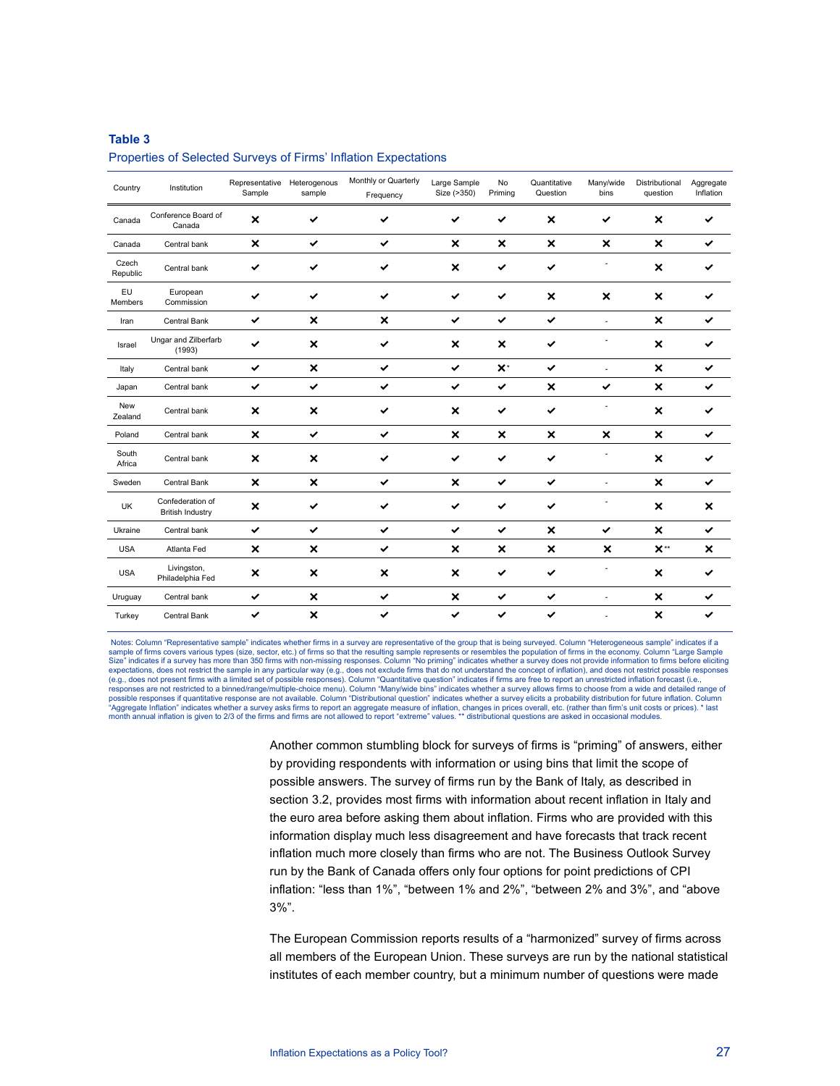#### **Table 3**

#### Properties of Selected Surveys of Firms' Inflation Expectations

| Country               | Institution                                 | Representative<br>Sample  | Heterogenous<br>sample    | Monthly or Quarterly<br>Frequency | Large Sample<br>Size (>350) | No<br>Priming             | Quantitative<br>Question  | Many/wide<br>bins         | Distributional<br>question | Aggregate<br>Inflation |
|-----------------------|---------------------------------------------|---------------------------|---------------------------|-----------------------------------|-----------------------------|---------------------------|---------------------------|---------------------------|----------------------------|------------------------|
| Canada                | Conference Board of<br>Canada               | ×                         | ✓                         | ✔                                 |                             | ✓                         | ×                         |                           | ×                          | ✓                      |
| Canada                | Central bank                                | $\boldsymbol{\mathsf{x}}$ | $\checkmark$              | $\checkmark$                      | $\boldsymbol{\mathsf{x}}$   | $\boldsymbol{\mathsf{x}}$ | $\boldsymbol{\mathsf{x}}$ | $\boldsymbol{\mathsf{x}}$ | $\boldsymbol{\mathsf{x}}$  | ✔                      |
| Czech<br>Republic     | Central bank                                | ✓                         | ✓                         | ✔                                 | $\boldsymbol{\mathsf{x}}$   | ✓                         | $\checkmark$              |                           | $\boldsymbol{\mathsf{x}}$  |                        |
| EU<br>Members         | European<br>Commission                      | ✓                         | ✓                         | ✔                                 | ✔                           | ✓                         | $\boldsymbol{\mathsf{x}}$ | $\boldsymbol{\mathsf{x}}$ | $\boldsymbol{\mathsf{x}}$  |                        |
| Iran                  | Central Bank                                | $\checkmark$              | $\boldsymbol{\mathsf{x}}$ | $\boldsymbol{\mathsf{x}}$         | $\checkmark$                | $\checkmark$              | $\checkmark$              | ÷.                        | $\boldsymbol{\mathsf{x}}$  | ✓                      |
| Israel                | Ungar and Zilberfarb<br>(1993)              | ✓                         | ×                         | ✓                                 | ×                           | $\boldsymbol{\mathsf{x}}$ | ✓                         |                           | $\boldsymbol{\mathsf{x}}$  | ✓                      |
| Italy                 | Central bank                                | $\checkmark$              | $\boldsymbol{\mathsf{x}}$ | ✔                                 | $\checkmark$                | $\mathsf{X}^*$            | ✓                         | $\overline{\phantom{a}}$  | ×                          | ✓                      |
| Japan                 | Central bank                                | $\checkmark$              | $\checkmark$              | ✓                                 | $\checkmark$                | $\checkmark$              | ×                         | $\checkmark$              | $\pmb{\times}$             | ✓                      |
| <b>New</b><br>Zealand | Central bank                                | ×                         | ×                         | ✔                                 | ×                           | ✔                         | $\checkmark$              |                           | ×                          | ✓                      |
| Poland                | Central bank                                | ×                         | $\checkmark$              | $\checkmark$                      | ×                           | $\boldsymbol{\mathsf{x}}$ | $\boldsymbol{\mathsf{x}}$ | $\boldsymbol{\mathsf{x}}$ | $\boldsymbol{\mathsf{x}}$  | ✔                      |
| South<br>Africa       | Central bank                                | ×                         | ×                         | ✔                                 | ✓                           | ✔                         | ✔                         |                           | $\boldsymbol{\mathsf{x}}$  | ✓                      |
| Sweden                | Central Bank                                | $\boldsymbol{\mathsf{x}}$ | $\boldsymbol{\mathsf{x}}$ | ✔                                 | ×                           | $\checkmark$              | $\checkmark$              | $\overline{a}$            | ×                          | ✓                      |
| UK                    | Confederation of<br><b>British Industry</b> | ×                         | ✓                         | ✔                                 | ✓                           | ✓                         | ✔                         |                           | $\boldsymbol{\mathsf{x}}$  | ×                      |
| Ukraine               | Central bank                                | $\checkmark$              | $\checkmark$              | ✓                                 | $\checkmark$                | $\checkmark$              | $\boldsymbol{\mathsf{x}}$ | $\checkmark$              | $\boldsymbol{\mathsf{x}}$  | ✓                      |
| <b>USA</b>            | Atlanta Fed                                 | ×                         | ×                         | $\checkmark$                      | ×                           | $\boldsymbol{\mathsf{x}}$ | $\boldsymbol{\mathsf{x}}$ | ×                         | $X^{\ast\ast}$             | ×                      |
| <b>USA</b>            | Livingston,<br>Philadelphia Fed             | ×                         | $\boldsymbol{\mathsf{x}}$ | $\boldsymbol{\mathsf{x}}$         | ×                           | ✔                         | $\checkmark$              |                           | $\boldsymbol{\mathsf{x}}$  |                        |
| Uruguay               | Central bank                                | $\checkmark$              | $\boldsymbol{\mathsf{x}}$ | $\checkmark$                      | $\boldsymbol{\mathsf{x}}$   | $\checkmark$              | $\checkmark$              | ä,                        | $\pmb{\times}$             | ✓                      |
| Turkey                | <b>Central Bank</b>                         | ✓                         | $\pmb{\times}$            | ✔                                 | ✓                           | $\checkmark$              | ✓                         |                           | $\boldsymbol{\mathsf{x}}$  | ✓                      |

Notes: Column "Representative sample" indicates whether firms in a survey are representative of the group that is being surveyed. Column "Heterogeneous sample" indicates if a sample of firms covers various types (size, sector, etc.) of firms so that the resulting sample represents or resembles the population of firms in the economy. Column "Large Sample" Size" indicates if a survey has more than 350 firms with non-missing responses. Column "No priming" indicates whether a survey does not provide information to firms before eliciting expectations, does not restrict the sample in any particular way (e.g., does not exclude firms that do not understand the concept of inflation), and does not restrict possible responses (e.g., does not present firms with a limited set of possible responses). Column "Quantitative question" indicates if firms are free to report an unrestricted inflation forecast (i.e., responses are not restricted to a binned/range/multiple-choice menu). Column "Many/wide bins" indicates whether a survey allows firms to choose from a wide and detailed range of possible responses if quantitative response are not available. Column "Distributional question" indicates whether a survey elicits a probability distribution for future inflation. Column "Aggregate Inflation" indicates whether a survey asks firms to report an aggregate measure of inflation, changes in prices overall, etc. (rather than firm's unit costs or prices). \* last<br>month annual inflation is given to

> Another common stumbling block for surveys of firms is "priming" of answers, either by providing respondents with information or using bins that limit the scope of possible answers. The survey of firms run by the Bank of Italy, as described in section 3.2, provides most firms with information about recent inflation in Italy and the euro area before asking them about inflation. Firms who are provided with this information display much less disagreement and have forecasts that track recent inflation much more closely than firms who are not. The Business Outlook Survey run by the Bank of Canada offers only four options for point predictions of CPI inflation: "less than 1%", "between 1% and 2%", "between 2% and 3%", and "above 3%".

The European Commission reports results of a "harmonized" survey of firms across all members of the European Union. These surveys are run by the national statistical institutes of each member country, but a minimum number of questions were made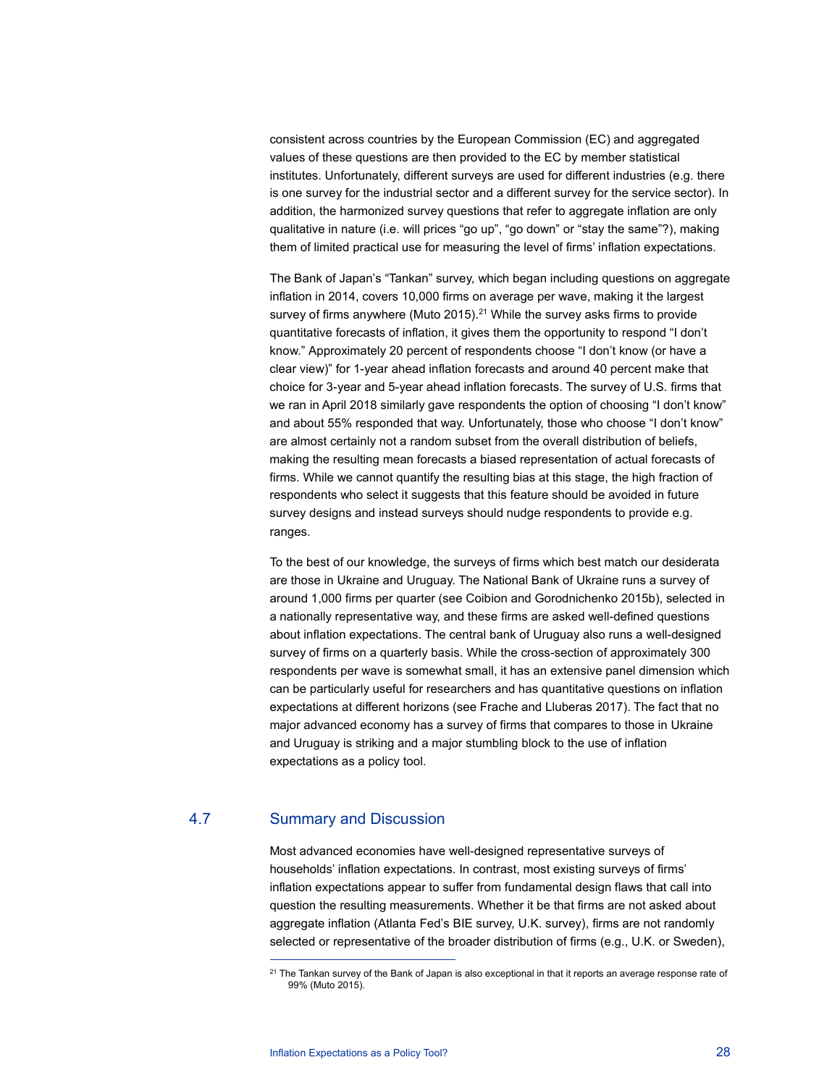consistent across countries by the European Commission (EC) and aggregated values of these questions are then provided to the EC by member statistical institutes. Unfortunately, different surveys are used for different industries (e.g. there is one survey for the industrial sector and a different survey for the service sector). In addition, the harmonized survey questions that refer to aggregate inflation are only qualitative in nature (i.e. will prices "go up", "go down" or "stay the same"?), making them of limited practical use for measuring the level of firms' inflation expectations.

The Bank of Japan's "Tankan" survey, which began including questions on aggregate inflation in 2014, covers 10,000 firms on average per wave, making it the largest survey of firms anywhere (Muto 2015).<sup>21</sup> While the survey asks firms to provide quantitative forecasts of inflation, it gives them the opportunity to respond "I don't know." Approximately 20 percent of respondents choose "I don't know (or have a clear view)" for 1-year ahead inflation forecasts and around 40 percent make that choice for 3-year and 5-year ahead inflation forecasts. The survey of U.S. firms that we ran in April 2018 similarly gave respondents the option of choosing "I don't know" and about 55% responded that way. Unfortunately, those who choose "I don't know" are almost certainly not a random subset from the overall distribution of beliefs, making the resulting mean forecasts a biased representation of actual forecasts of firms. While we cannot quantify the resulting bias at this stage, the high fraction of respondents who select it suggests that this feature should be avoided in future survey designs and instead surveys should nudge respondents to provide e.g. ranges.

To the best of our knowledge, the surveys of firms which best match our desiderata are those in Ukraine and Uruguay. The National Bank of Ukraine runs a survey of around 1,000 firms per quarter (see Coibion and Gorodnichenko 2015b), selected in a nationally representative way, and these firms are asked well-defined questions about inflation expectations. The central bank of Uruguay also runs a well-designed survey of firms on a quarterly basis. While the cross-section of approximately 300 respondents per wave is somewhat small, it has an extensive panel dimension which can be particularly useful for researchers and has quantitative questions on inflation expectations at different horizons (see Frache and Lluberas 2017). The fact that no major advanced economy has a survey of firms that compares to those in Ukraine and Uruguay is striking and a major stumbling block to the use of inflation expectations as a policy tool.

## 4.7 Summary and Discussion

 $\overline{a}$ 

Most advanced economies have well-designed representative surveys of households' inflation expectations. In contrast, most existing surveys of firms' inflation expectations appear to suffer from fundamental design flaws that call into question the resulting measurements. Whether it be that firms are not asked about aggregate inflation (Atlanta Fed's BIE survey, U.K. survey), firms are not randomly selected or representative of the broader distribution of firms (e.g., U.K. or Sweden),

<sup>&</sup>lt;sup>21</sup> The Tankan survey of the Bank of Japan is also exceptional in that it reports an average response rate of 99% (Muto 2015).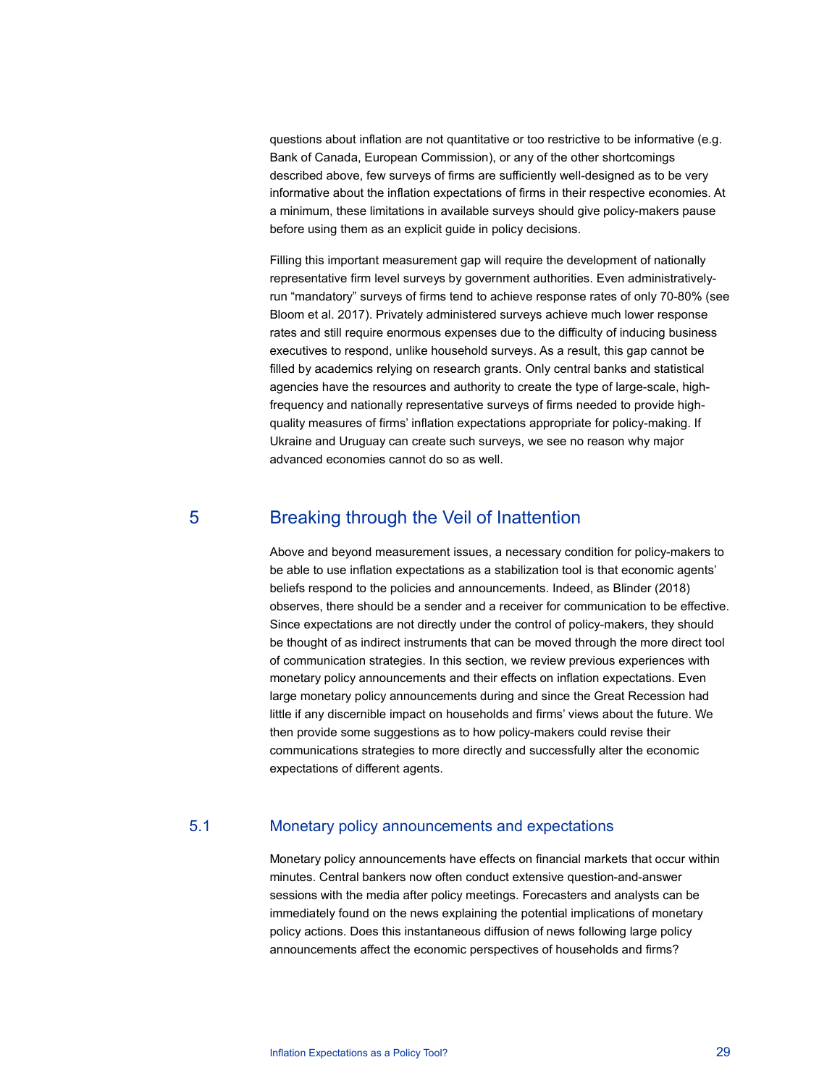questions about inflation are not quantitative or too restrictive to be informative (e.g. Bank of Canada, European Commission), or any of the other shortcomings described above, few surveys of firms are sufficiently well-designed as to be very informative about the inflation expectations of firms in their respective economies. At a minimum, these limitations in available surveys should give policy-makers pause before using them as an explicit guide in policy decisions.

Filling this important measurement gap will require the development of nationally representative firm level surveys by government authorities. Even administrativelyrun "mandatory" surveys of firms tend to achieve response rates of only 70-80% (see Bloom et al. 2017). Privately administered surveys achieve much lower response rates and still require enormous expenses due to the difficulty of inducing business executives to respond, unlike household surveys. As a result, this gap cannot be filled by academics relying on research grants. Only central banks and statistical agencies have the resources and authority to create the type of large-scale, highfrequency and nationally representative surveys of firms needed to provide highquality measures of firms' inflation expectations appropriate for policy-making. If Ukraine and Uruguay can create such surveys, we see no reason why major advanced economies cannot do so as well.

## 5 Breaking through the Veil of Inattention

Above and beyond measurement issues, a necessary condition for policy-makers to be able to use inflation expectations as a stabilization tool is that economic agents' beliefs respond to the policies and announcements. Indeed, as Blinder (2018) observes, there should be a sender and a receiver for communication to be effective. Since expectations are not directly under the control of policy-makers, they should be thought of as indirect instruments that can be moved through the more direct tool of communication strategies. In this section, we review previous experiences with monetary policy announcements and their effects on inflation expectations. Even large monetary policy announcements during and since the Great Recession had little if any discernible impact on households and firms' views about the future. We then provide some suggestions as to how policy-makers could revise their communications strategies to more directly and successfully alter the economic expectations of different agents.

## 5.1 Monetary policy announcements and expectations

Monetary policy announcements have effects on financial markets that occur within minutes. Central bankers now often conduct extensive question-and-answer sessions with the media after policy meetings. Forecasters and analysts can be immediately found on the news explaining the potential implications of monetary policy actions. Does this instantaneous diffusion of news following large policy announcements affect the economic perspectives of households and firms?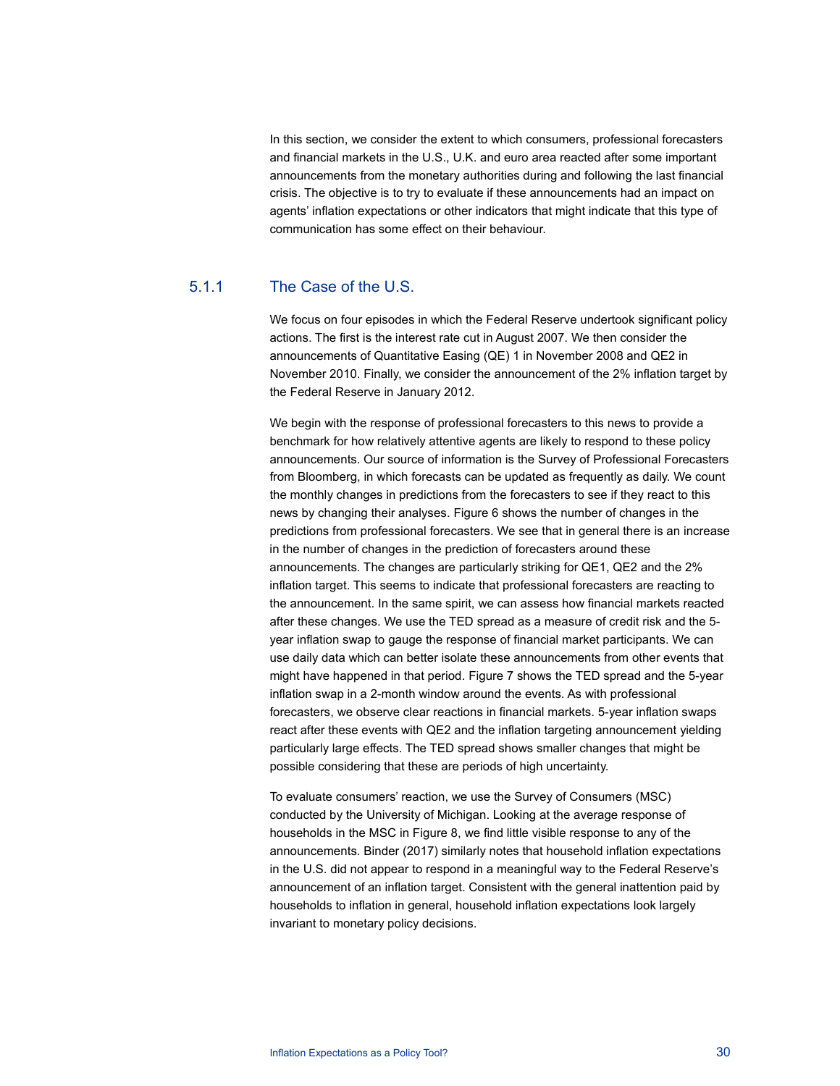In this section, we consider the extent to which consumers, professional forecasters and financial markets in the U.S., U.K. and euro area reacted after some important announcements from the monetary authorities during and following the last financial crisis. The objective is to try to evaluate if these announcements had an impact on agents' inflation expectations or other indicators that might indicate that this type of communication has some effect on their behaviour.

## 5.1.1 The Case of the U.S.

We focus on four episodes in which the Federal Reserve undertook significant policy actions. The first is the interest rate cut in August 2007. We then consider the announcements of Quantitative Easing (QE) 1 in November 2008 and QE2 in November 2010. Finally, we consider the announcement of the 2% inflation target by the Federal Reserve in January 2012.

We begin with the response of professional forecasters to this news to provide a benchmark for how relatively attentive agents are likely to respond to these policy announcements. Our source of information is the Survey of Professional Forecasters from Bloomberg, in which forecasts can be updated as frequently as daily. We count the monthly changes in predictions from the forecasters to see if they react to this news by changing their analyses. Figure 6 shows the number of changes in the predictions from professional forecasters. We see that in general there is an increase in the number of changes in the prediction of forecasters around these announcements. The changes are particularly striking for QE1, QE2 and the 2% inflation target. This seems to indicate that professional forecasters are reacting to the announcement. In the same spirit, we can assess how financial markets reacted after these changes. We use the TED spread as a measure of credit risk and the 5 year inflation swap to gauge the response of financial market participants. We can use daily data which can better isolate these announcements from other events that might have happened in that period. Figure 7 shows the TED spread and the 5-year inflation swap in a 2-month window around the events. As with professional forecasters, we observe clear reactions in financial markets. 5-year inflation swaps react after these events with QE2 and the inflation targeting announcement yielding particularly large effects. The TED spread shows smaller changes that might be possible considering that these are periods of high uncertainty.

To evaluate consumers' reaction, we use the Survey of Consumers (MSC) conducted by the University of Michigan. Looking at the average response of households in the MSC in Figure 8, we find little visible response to any of the announcements. Binder (2017) similarly notes that household inflation expectations in the U.S. did not appear to respond in a meaningful way to the Federal Reserve's announcement of an inflation target. Consistent with the general inattention paid by households to inflation in general, household inflation expectations look largely invariant to monetary policy decisions.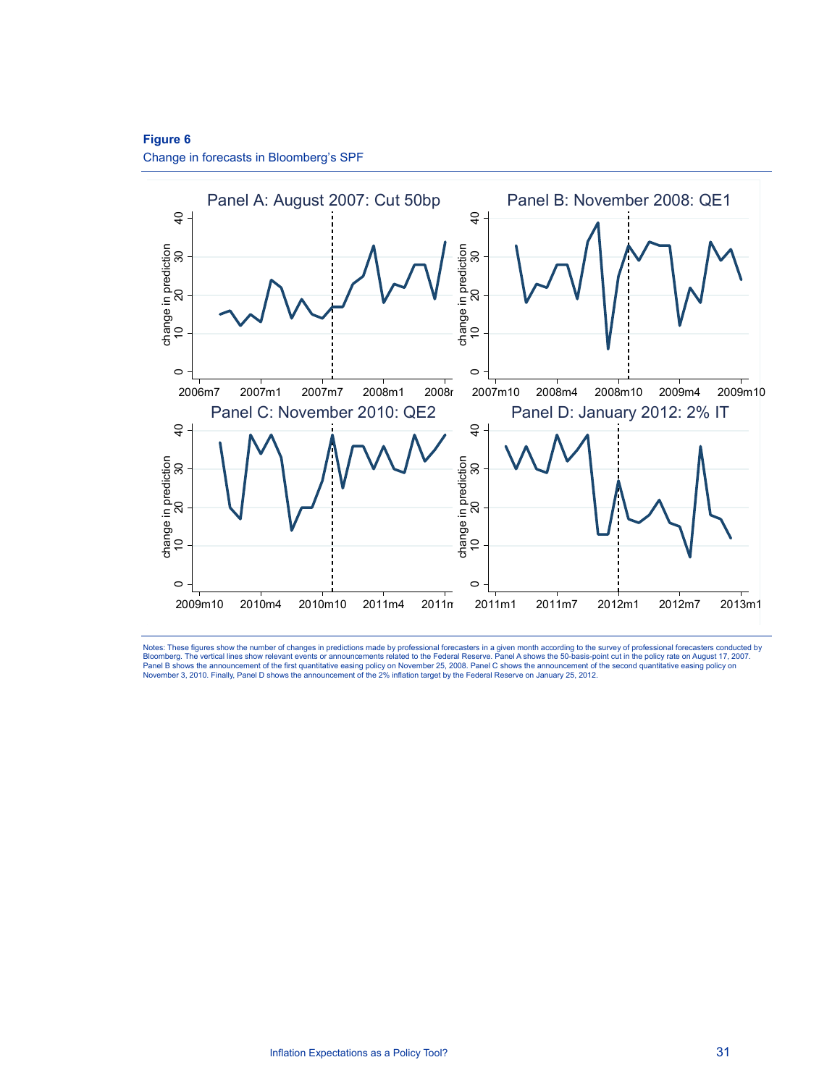## **Figure 6**

Change in forecasts in Bloomberg's SPF



Notes: These figures show the number of changes in predictions made by professional forecasters in a given month according to the survey of professional forecasters conducted by<br>Bloomberg. The vertical lines show relevant Panel B shows the announcement of the first quantitative easing policy on November 25, 2008. Panel C shows the announcement of the second quantitative easing policy on<br>November 3, 2010. Finally, Panel D shows the announcem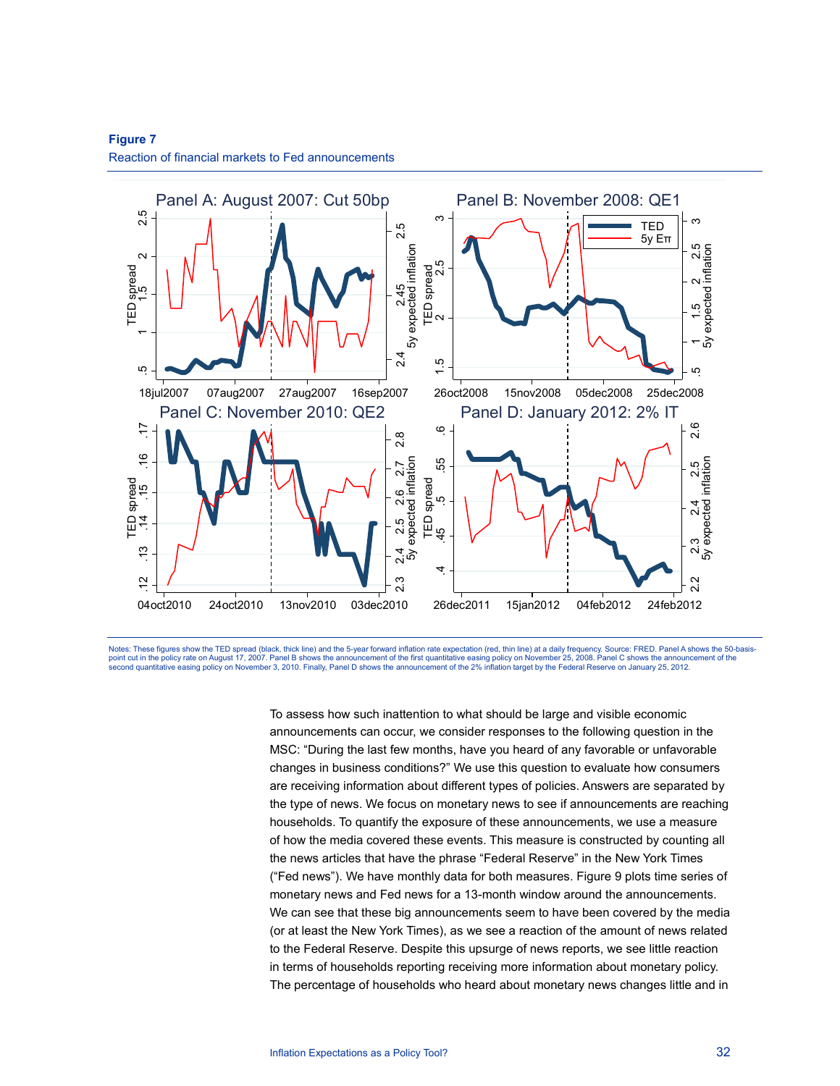

## **Figure 7**  Reaction of financial markets to Fed announcements

Notes: These figures show the TED spread (black, thick line) and the 5-year forward inflation rate expectation (red, thin line) at a daily frequency. Source: FRED. Panel A shows the 50-basispoint cut in the policy rate on August 17, 2007. Panel B shows the announcement of the first quantitative easing policy on November 25, 2008. Panel C shows the announcement of the first quantitative easing policy on Novemb

> To assess how such inattention to what should be large and visible economic announcements can occur, we consider responses to the following question in the MSC: "During the last few months, have you heard of any favorable or unfavorable changes in business conditions?" We use this question to evaluate how consumers are receiving information about different types of policies. Answers are separated by the type of news. We focus on monetary news to see if announcements are reaching households. To quantify the exposure of these announcements, we use a measure of how the media covered these events. This measure is constructed by counting all the news articles that have the phrase "Federal Reserve" in the New York Times ("Fed news"). We have monthly data for both measures. Figure 9 plots time series of monetary news and Fed news for a 13-month window around the announcements. We can see that these big announcements seem to have been covered by the media (or at least the New York Times), as we see a reaction of the amount of news related to the Federal Reserve. Despite this upsurge of news reports, we see little reaction in terms of households reporting receiving more information about monetary policy. The percentage of households who heard about monetary news changes little and in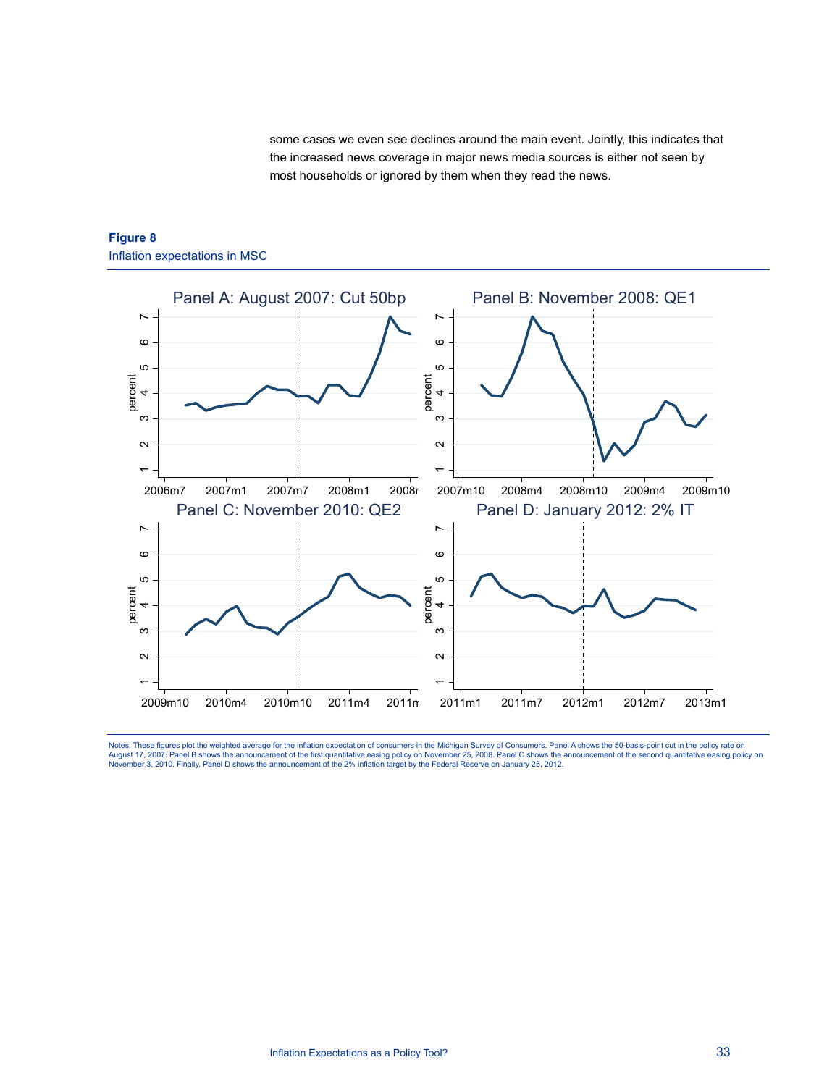some cases we even see declines around the main event. Jointly, this indicates that the increased news coverage in major news media sources is either not seen by most households or ignored by them when they read the news.



## **Figure 8**  Inflation expectations in MSC

Notes: These figures plot the weighted average for the inflation expectation of consumers in the Michigan Survey of Consumers. Panel A shows the 50-basis-point cut in the policy rate on<br>August 17, 2007. Panel B shows the a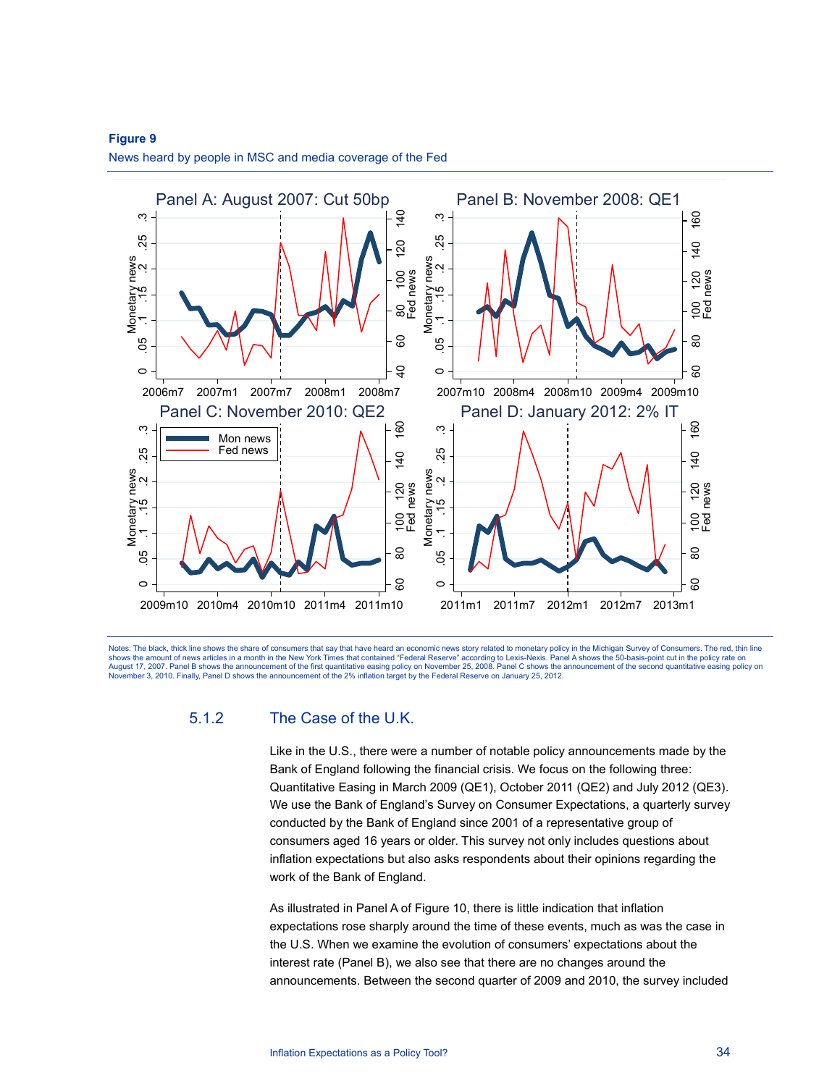

## **Figure 9**  News heard by people in MSC and media coverage of the Fed

Notes: The black, thick line shows the share of consumers that say that have heard an economic news story related to monetary policy in the Michigan Survey of Consumers. The red, thin line shows the amount of news articles in a month in the New York Times that contained "Federal Reserve" according to Lexis-Nexis. Panel A shows the 50-basis-point cut in the policy rate on<br>August 17, 2007. Panel B shows the an

## 5.1.2 The Case of the U.K.

Like in the U.S., there were a number of notable policy announcements made by the Bank of England following the financial crisis. We focus on the following three: Quantitative Easing in March 2009 (QE1), October 2011 (QE2) and July 2012 (QE3). We use the Bank of England's Survey on Consumer Expectations, a quarterly survey conducted by the Bank of England since 2001 of a representative group of consumers aged 16 years or older. This survey not only includes questions about inflation expectations but also asks respondents about their opinions regarding the work of the Bank of England.

As illustrated in Panel A of Figure 10, there is little indication that inflation expectations rose sharply around the time of these events, much as was the case in the U.S. When we examine the evolution of consumers' expectations about the interest rate (Panel B), we also see that there are no changes around the announcements. Between the second quarter of 2009 and 2010, the survey included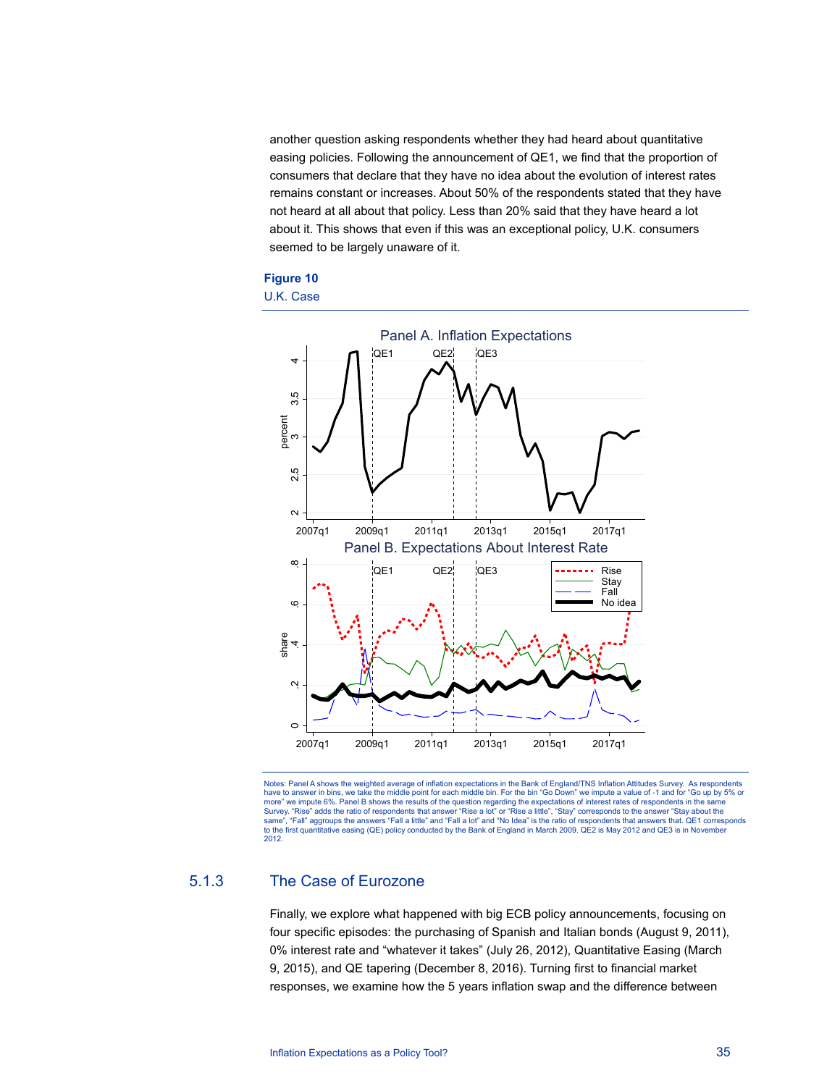another question asking respondents whether they had heard about quantitative easing policies. Following the announcement of QE1, we find that the proportion of consumers that declare that they have no idea about the evolution of interest rates remains constant or increases. About 50% of the respondents stated that they have not heard at all about that policy. Less than 20% said that they have heard a lot about it. This shows that even if this was an exceptional policy, U.K. consumers seemed to be largely unaware of it.







## 5.1.3 The Case of Eurozone

Finally, we explore what happened with big ECB policy announcements, focusing on four specific episodes: the purchasing of Spanish and Italian bonds (August 9, 2011), 0% interest rate and "whatever it takes" (July 26, 2012), Quantitative Easing (March 9, 2015), and QE tapering (December 8, 2016). Turning first to financial market responses, we examine how the 5 years inflation swap and the difference between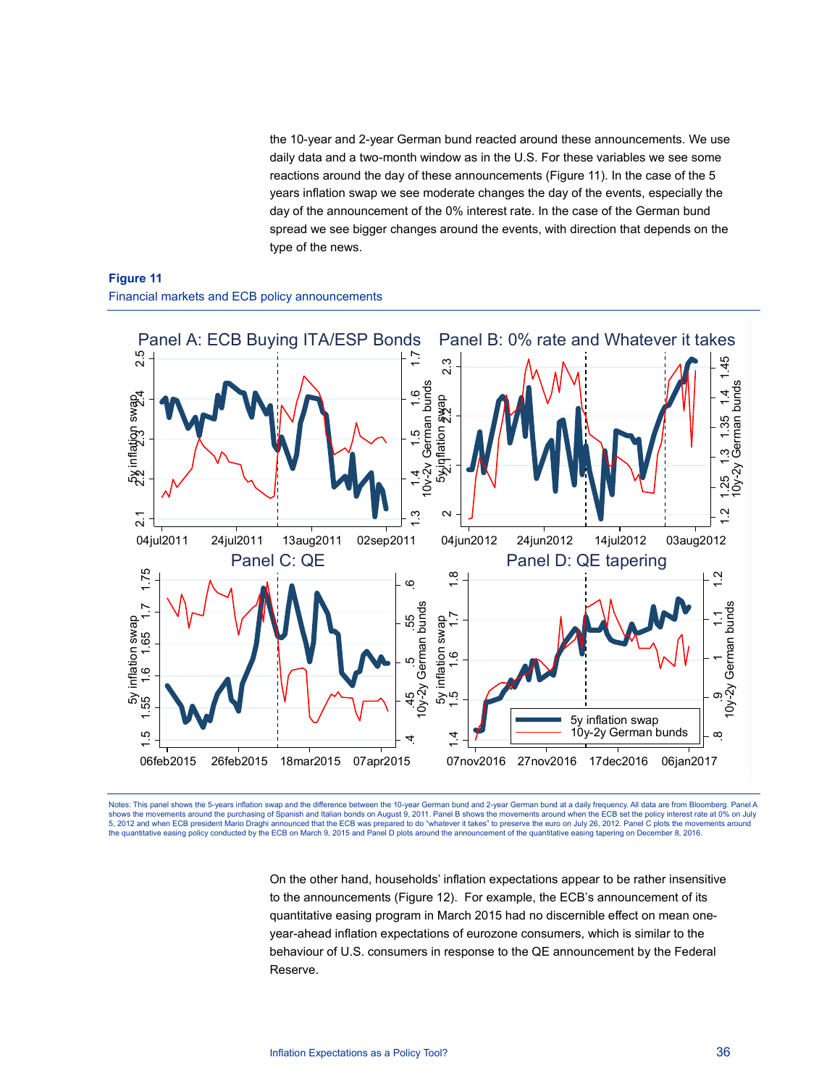the 10-year and 2-year German bund reacted around these announcements. We use daily data and a two-month window as in the U.S. For these variables we see some reactions around the day of these announcements (Figure 11). In the case of the 5 years inflation swap we see moderate changes the day of the events, especially the day of the announcement of the 0% interest rate. In the case of the German bund spread we see bigger changes around the events, with direction that depends on the type of the news.





Notes: This panel shows the 5-years inflation swap and the difference between the 10-year German bund and 2-year German bund at a daily frequency. All data are from Bloomberg. Panel A<br>shows the movements around the purchas 5, 2012 and when ECB president Mario Draghi announced that the ECB was prepared to do "whatever it takes" to preserve the euro on July 26, 2012. Panel C plots the movements around<br>the quantitative easing policy conducted b

> On the other hand, households' inflation expectations appear to be rather insensitive to the announcements (Figure 12). For example, the ECB's announcement of its quantitative easing program in March 2015 had no discernible effect on mean oneyear-ahead inflation expectations of eurozone consumers, which is similar to the behaviour of U.S. consumers in response to the QE announcement by the Federal Reserve.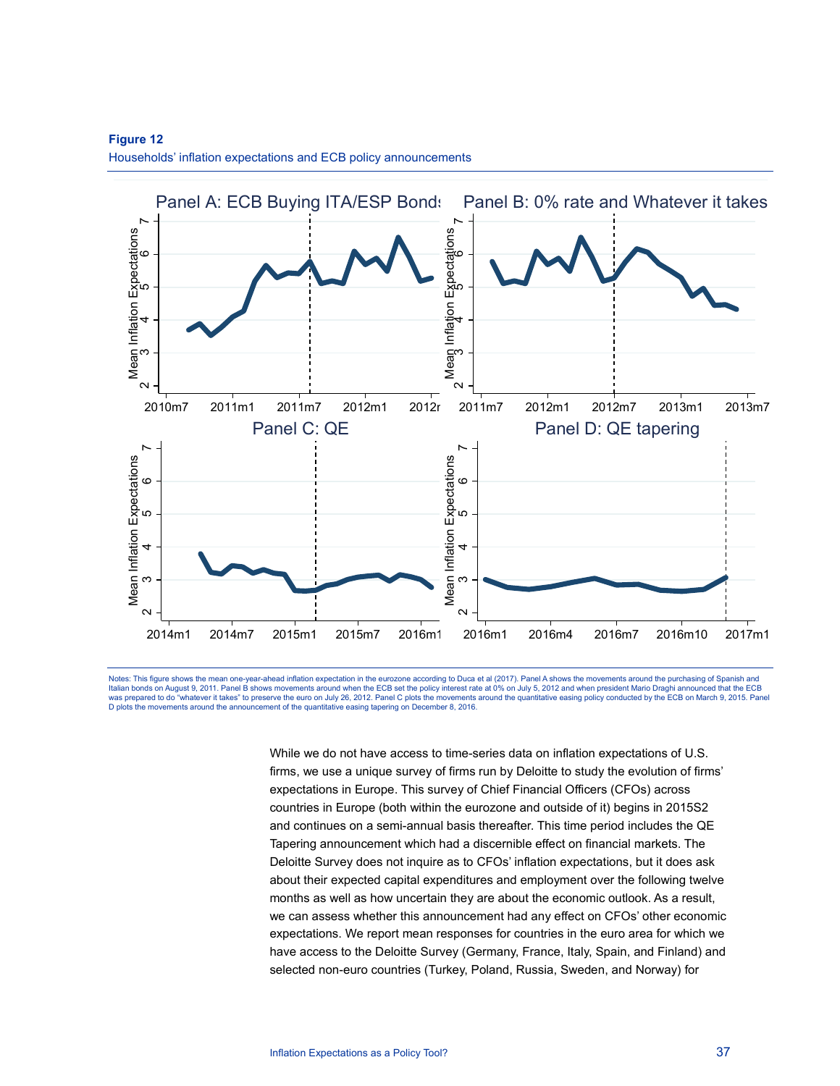

**Figure 12**  Households' inflation expectations and ECB policy announcements

Notes: This figure shows the mean one-year-ahead inflation expectation in the eurozone according to Duca et al (2017). Panel A shows the movements around the purchasing of Spanish and<br>Italian bonds on August 9, 2011. Panel was prepared to do "whatever it takes" to preserve the euro on July 26, 2012. Panel C plots the movements around the quantitative easing policy conducted by the ECB on March 9, 2015. Panel<br>D plots the movements around the

> While we do not have access to time-series data on inflation expectations of U.S. firms, we use a unique survey of firms run by Deloitte to study the evolution of firms' expectations in Europe. This survey of Chief Financial Officers (CFOs) across countries in Europe (both within the eurozone and outside of it) begins in 2015S2 and continues on a semi-annual basis thereafter. This time period includes the QE Tapering announcement which had a discernible effect on financial markets. The Deloitte Survey does not inquire as to CFOs' inflation expectations, but it does ask about their expected capital expenditures and employment over the following twelve months as well as how uncertain they are about the economic outlook. As a result, we can assess whether this announcement had any effect on CFOs' other economic expectations. We report mean responses for countries in the euro area for which we have access to the Deloitte Survey (Germany, France, Italy, Spain, and Finland) and selected non-euro countries (Turkey, Poland, Russia, Sweden, and Norway) for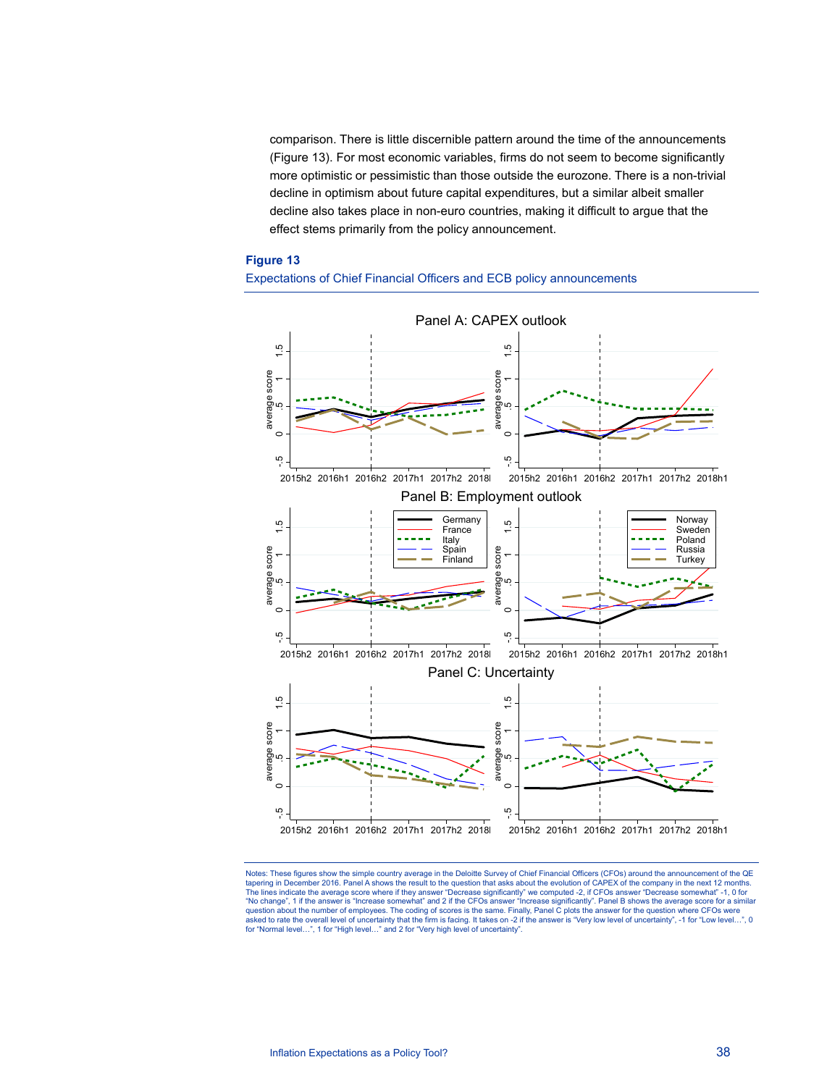comparison. There is little discernible pattern around the time of the announcements (Figure 13). For most economic variables, firms do not seem to become significantly more optimistic or pessimistic than those outside the eurozone. There is a non-trivial decline in optimism about future capital expenditures, but a similar albeit smaller decline also takes place in non-euro countries, making it difficult to argue that the effect stems primarily from the policy announcement.

#### **Figure 13**





Notes: These figures show the simple country average in the Deloitte Survey of Chief Financial Officers (CFOs) around the announcement of the QE tapering in December 2016. Panel A shows the result to the question that asks about the evolution of CAPEX of the company in the next 12 months. The lines indicate the average score where if they answer "Decrease significantly" we computed -2, if CFOs answer "Decrease somewhat" -1, 0 for<br>"No change", 1 if the answer is "Increase somewhat" and 2 if the CFOs answer " question about the number of employees. The coding of scores is the same. Finally, Panel C plots the answer for the question where CFOs were<br>asked to rate the overall level of uncertainty that the firm is facing. It takes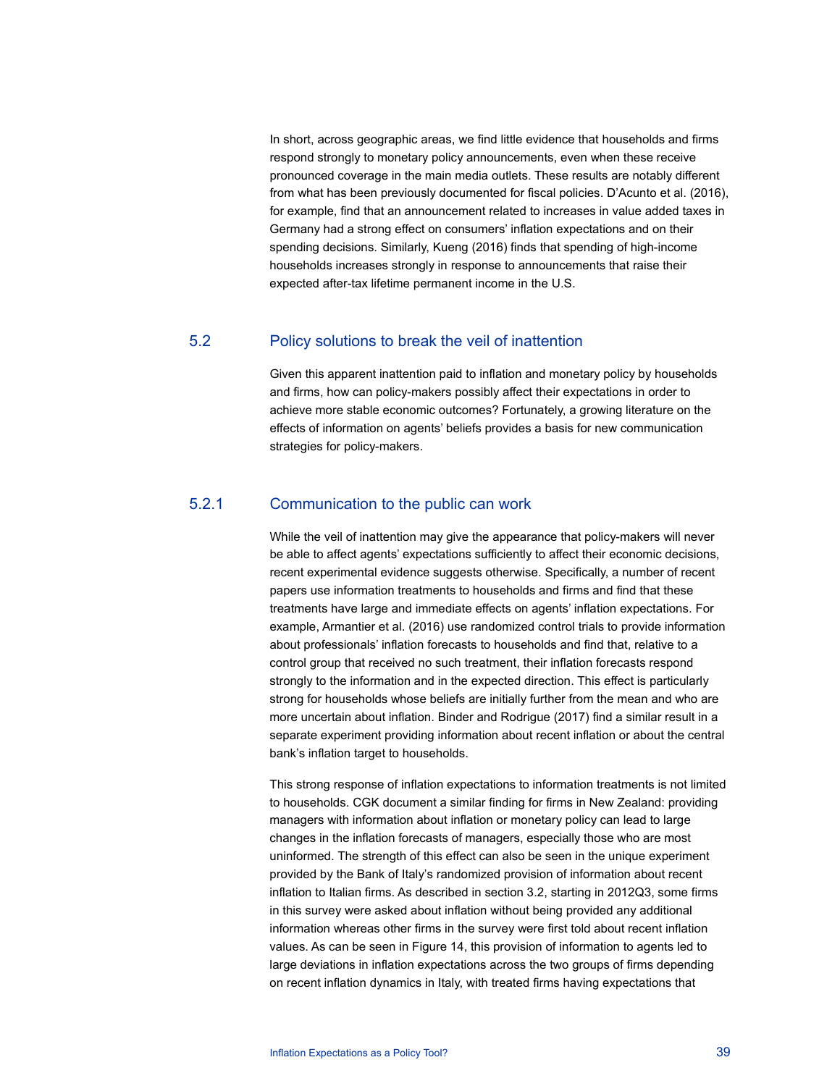In short, across geographic areas, we find little evidence that households and firms respond strongly to monetary policy announcements, even when these receive pronounced coverage in the main media outlets. These results are notably different from what has been previously documented for fiscal policies. D'Acunto et al. (2016), for example, find that an announcement related to increases in value added taxes in Germany had a strong effect on consumers' inflation expectations and on their spending decisions. Similarly, Kueng (2016) finds that spending of high-income households increases strongly in response to announcements that raise their expected after-tax lifetime permanent income in the U.S.

## 5.2 Policy solutions to break the veil of inattention

Given this apparent inattention paid to inflation and monetary policy by households and firms, how can policy-makers possibly affect their expectations in order to achieve more stable economic outcomes? Fortunately, a growing literature on the effects of information on agents' beliefs provides a basis for new communication strategies for policy-makers.

## 5.2.1 Communication to the public can work

While the veil of inattention may give the appearance that policy-makers will never be able to affect agents' expectations sufficiently to affect their economic decisions, recent experimental evidence suggests otherwise. Specifically, a number of recent papers use information treatments to households and firms and find that these treatments have large and immediate effects on agents' inflation expectations. For example, Armantier et al. (2016) use randomized control trials to provide information about professionals' inflation forecasts to households and find that, relative to a control group that received no such treatment, their inflation forecasts respond strongly to the information and in the expected direction. This effect is particularly strong for households whose beliefs are initially further from the mean and who are more uncertain about inflation. Binder and Rodrigue (2017) find a similar result in a separate experiment providing information about recent inflation or about the central bank's inflation target to households.

This strong response of inflation expectations to information treatments is not limited to households. CGK document a similar finding for firms in New Zealand: providing managers with information about inflation or monetary policy can lead to large changes in the inflation forecasts of managers, especially those who are most uninformed. The strength of this effect can also be seen in the unique experiment provided by the Bank of Italy's randomized provision of information about recent inflation to Italian firms. As described in section 3.2, starting in 2012Q3, some firms in this survey were asked about inflation without being provided any additional information whereas other firms in the survey were first told about recent inflation values. As can be seen in Figure 14, this provision of information to agents led to large deviations in inflation expectations across the two groups of firms depending on recent inflation dynamics in Italy, with treated firms having expectations that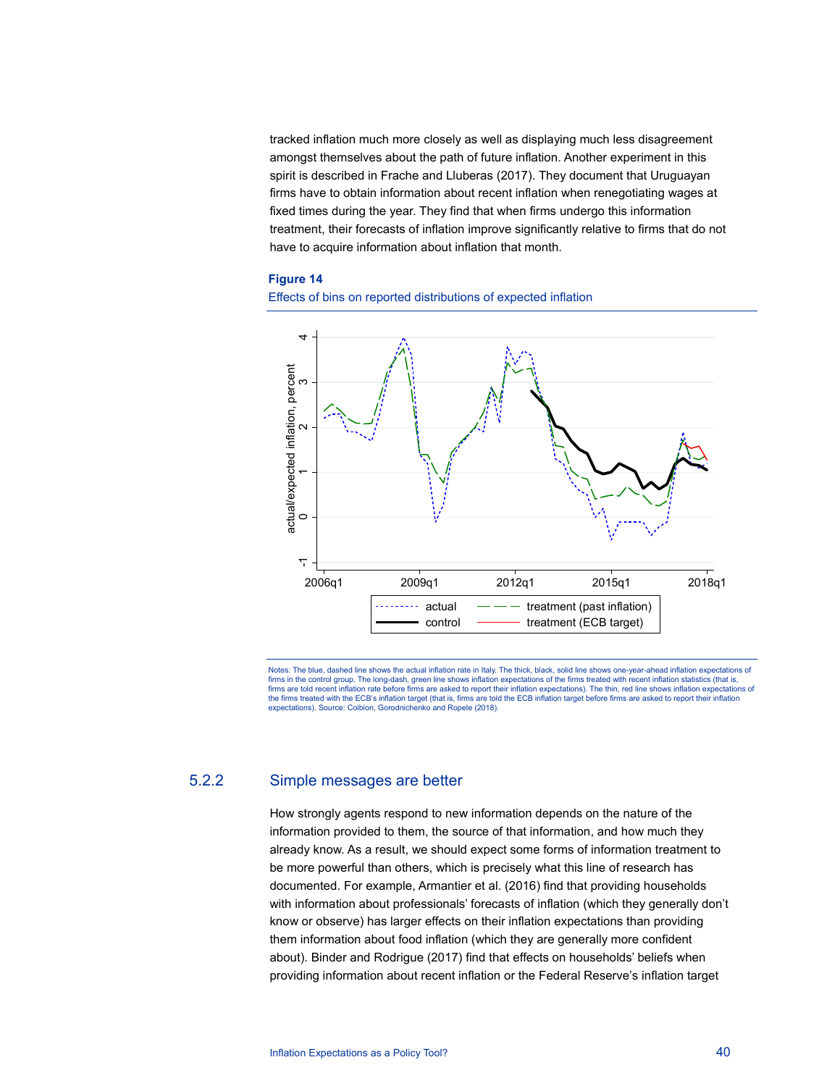tracked inflation much more closely as well as displaying much less disagreement amongst themselves about the path of future inflation. Another experiment in this spirit is described in Frache and Lluberas (2017). They document that Uruguayan firms have to obtain information about recent inflation when renegotiating wages at fixed times during the year. They find that when firms undergo this information treatment, their forecasts of inflation improve significantly relative to firms that do not have to acquire information about inflation that month.

### **Figure 14**





Notes: The blue, dashed line shows the actual inflation rate in Italy. The thick, black, solid line shows one-year-ahead inflation expectations of firms in the control group. The long-dash, green line shows inflation expectations of the firms treated with recent inflation statistics (that is, firms are told recent inflation rate before firms are asked to report their inflation expectations). The thin, red line shows inflation expectations of the firms treated with the ECB's inflation target (that is, firms are told the ECB inflation target before firms are asked to report their inflation<br>expectations). Source: Coibion, Gorodnichenko and Ropele (2018).

## 5.2.2 Simple messages are better

How strongly agents respond to new information depends on the nature of the information provided to them, the source of that information, and how much they already know. As a result, we should expect some forms of information treatment to be more powerful than others, which is precisely what this line of research has documented. For example, Armantier et al. (2016) find that providing households with information about professionals' forecasts of inflation (which they generally don't know or observe) has larger effects on their inflation expectations than providing them information about food inflation (which they are generally more confident about). Binder and Rodrigue (2017) find that effects on households' beliefs when providing information about recent inflation or the Federal Reserve's inflation target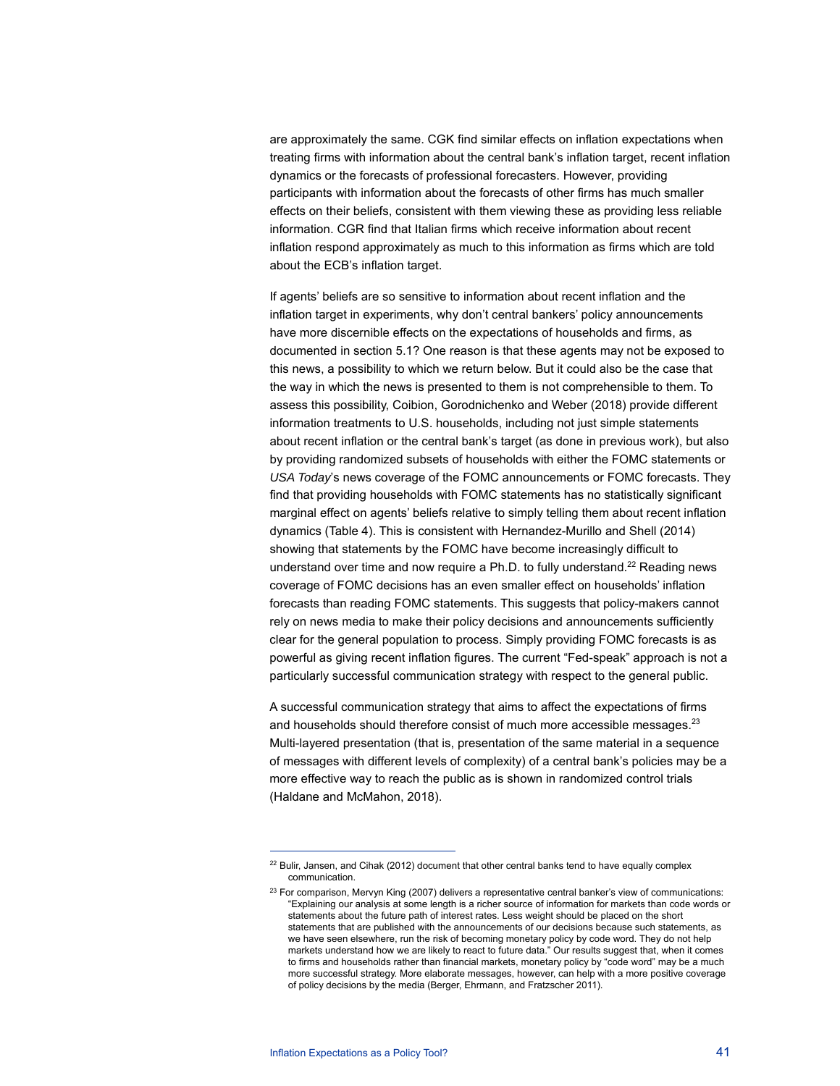are approximately the same. CGK find similar effects on inflation expectations when treating firms with information about the central bank's inflation target, recent inflation dynamics or the forecasts of professional forecasters. However, providing participants with information about the forecasts of other firms has much smaller effects on their beliefs, consistent with them viewing these as providing less reliable information. CGR find that Italian firms which receive information about recent inflation respond approximately as much to this information as firms which are told about the ECB's inflation target.

If agents' beliefs are so sensitive to information about recent inflation and the inflation target in experiments, why don't central bankers' policy announcements have more discernible effects on the expectations of households and firms, as documented in section 5.1? One reason is that these agents may not be exposed to this news, a possibility to which we return below. But it could also be the case that the way in which the news is presented to them is not comprehensible to them. To assess this possibility, Coibion, Gorodnichenko and Weber (2018) provide different information treatments to U.S. households, including not just simple statements about recent inflation or the central bank's target (as done in previous work), but also by providing randomized subsets of households with either the FOMC statements or *USA Today*'s news coverage of the FOMC announcements or FOMC forecasts. They find that providing households with FOMC statements has no statistically significant marginal effect on agents' beliefs relative to simply telling them about recent inflation dynamics (Table 4). This is consistent with Hernandez-Murillo and Shell (2014) showing that statements by the FOMC have become increasingly difficult to understand over time and now require a Ph.D. to fully understand.<sup>22</sup> Reading news coverage of FOMC decisions has an even smaller effect on households' inflation forecasts than reading FOMC statements. This suggests that policy-makers cannot rely on news media to make their policy decisions and announcements sufficiently clear for the general population to process. Simply providing FOMC forecasts is as powerful as giving recent inflation figures. The current "Fed-speak" approach is not a particularly successful communication strategy with respect to the general public.

A successful communication strategy that aims to affect the expectations of firms and households should therefore consist of much more accessible messages.<sup>23</sup> Multi-layered presentation (that is, presentation of the same material in a sequence of messages with different levels of complexity) of a central bank's policies may be a more effective way to reach the public as is shown in randomized control trials (Haldane and McMahon, 2018).

<sup>&</sup>lt;sup>22</sup> Bulir, Jansen, and Cihak (2012) document that other central banks tend to have equally complex communication.

 $23$  For comparison, Mervyn King (2007) delivers a representative central banker's view of communications: "Explaining our analysis at some length is a richer source of information for markets than code words or statements about the future path of interest rates. Less weight should be placed on the short statements that are published with the announcements of our decisions because such statements, as we have seen elsewhere, run the risk of becoming monetary policy by code word. They do not help markets understand how we are likely to react to future data." Our results suggest that, when it comes to firms and households rather than financial markets, monetary policy by "code word" may be a much more successful strategy. More elaborate messages, however, can help with a more positive coverage of policy decisions by the media (Berger, Ehrmann, and Fratzscher 2011).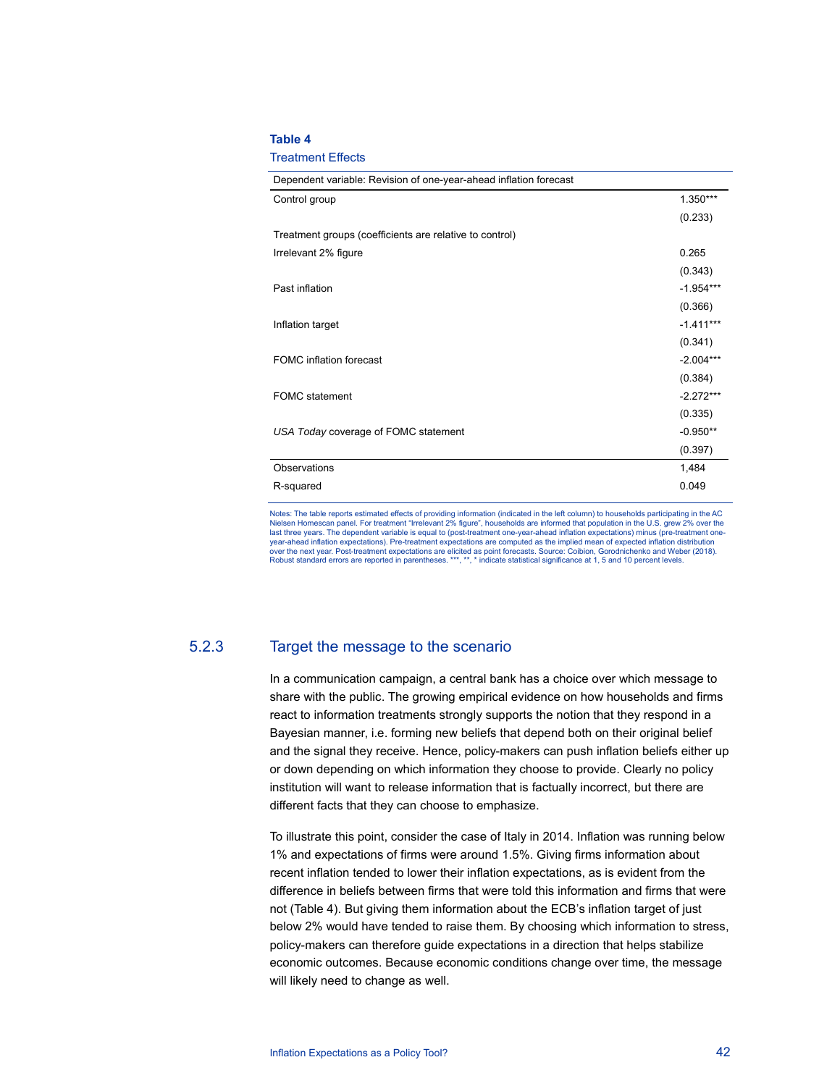#### **Table 4**

#### Treatment Effects

| Dependent variable: Revision of one-year-ahead inflation forecast |             |
|-------------------------------------------------------------------|-------------|
| Control group                                                     | $1.350***$  |
|                                                                   | (0.233)     |
| Treatment groups (coefficients are relative to control)           |             |
| Irrelevant 2% figure                                              | 0.265       |
|                                                                   | (0.343)     |
| Past inflation                                                    | $-1.954***$ |
|                                                                   | (0.366)     |
| Inflation target                                                  | $-1.411***$ |
|                                                                   | (0.341)     |
| <b>FOMC</b> inflation forecast                                    | $-2.004***$ |
|                                                                   | (0.384)     |
| <b>FOMC</b> statement                                             | $-2.272***$ |
|                                                                   | (0.335)     |
| USA Today coverage of FOMC statement                              | $-0.950**$  |
|                                                                   | (0.397)     |
| Observations                                                      | 1,484       |
| R-squared                                                         | 0.049       |
|                                                                   |             |

Notes: The table reports estimated effects of providing information (indicated in the left column) to households participating in the AC Nielsen Homescan panel. For treatment "Irrelevant 2% figure", households are informed that population in the U.S. grew 2% over the last three years. The dependent variable is equal to (post-treatment one-year-ahead inflation expectations) minus (pre-treatment oneyear-ahead inflation expectations). Pre-treatment expectations are computed as the implied mean of expected inflation distribution over the next year. Post-treatment expectations are elicited as point forecasts. Source: Coibion, Gorodnichenko and Weber (2018). Robust standard errors are reported in parentheses. \*\*\*, \*\*, \* indicate statistical significance at 1, 5 and 10 percent levels.

## 5.2.3 Target the message to the scenario

In a communication campaign, a central bank has a choice over which message to share with the public. The growing empirical evidence on how households and firms react to information treatments strongly supports the notion that they respond in a Bayesian manner, i.e. forming new beliefs that depend both on their original belief and the signal they receive. Hence, policy-makers can push inflation beliefs either up or down depending on which information they choose to provide. Clearly no policy institution will want to release information that is factually incorrect, but there are different facts that they can choose to emphasize.

To illustrate this point, consider the case of Italy in 2014. Inflation was running below 1% and expectations of firms were around 1.5%. Giving firms information about recent inflation tended to lower their inflation expectations, as is evident from the difference in beliefs between firms that were told this information and firms that were not (Table 4). But giving them information about the ECB's inflation target of just below 2% would have tended to raise them. By choosing which information to stress, policy-makers can therefore guide expectations in a direction that helps stabilize economic outcomes. Because economic conditions change over time, the message will likely need to change as well.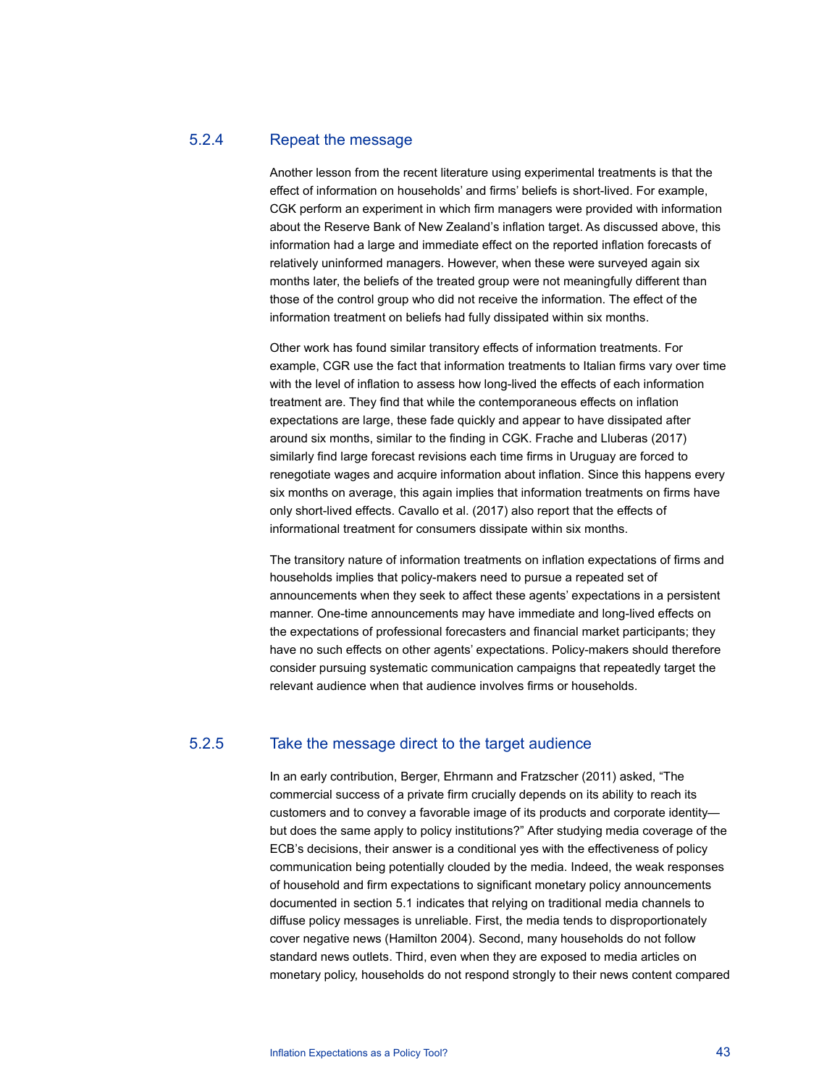## 5.2.4 Repeat the message

Another lesson from the recent literature using experimental treatments is that the effect of information on households' and firms' beliefs is short-lived. For example, CGK perform an experiment in which firm managers were provided with information about the Reserve Bank of New Zealand's inflation target. As discussed above, this information had a large and immediate effect on the reported inflation forecasts of relatively uninformed managers. However, when these were surveyed again six months later, the beliefs of the treated group were not meaningfully different than those of the control group who did not receive the information. The effect of the information treatment on beliefs had fully dissipated within six months.

Other work has found similar transitory effects of information treatments. For example, CGR use the fact that information treatments to Italian firms vary over time with the level of inflation to assess how long-lived the effects of each information treatment are. They find that while the contemporaneous effects on inflation expectations are large, these fade quickly and appear to have dissipated after around six months, similar to the finding in CGK. Frache and Lluberas (2017) similarly find large forecast revisions each time firms in Uruguay are forced to renegotiate wages and acquire information about inflation. Since this happens every six months on average, this again implies that information treatments on firms have only short-lived effects. Cavallo et al. (2017) also report that the effects of informational treatment for consumers dissipate within six months.

The transitory nature of information treatments on inflation expectations of firms and households implies that policy-makers need to pursue a repeated set of announcements when they seek to affect these agents' expectations in a persistent manner. One-time announcements may have immediate and long-lived effects on the expectations of professional forecasters and financial market participants; they have no such effects on other agents' expectations. Policy-makers should therefore consider pursuing systematic communication campaigns that repeatedly target the relevant audience when that audience involves firms or households.

## 5.2.5 Take the message direct to the target audience

In an early contribution, Berger, Ehrmann and Fratzscher (2011) asked, "The commercial success of a private firm crucially depends on its ability to reach its customers and to convey a favorable image of its products and corporate identity but does the same apply to policy institutions?" After studying media coverage of the ECB's decisions, their answer is a conditional yes with the effectiveness of policy communication being potentially clouded by the media. Indeed, the weak responses of household and firm expectations to significant monetary policy announcements documented in section 5.1 indicates that relying on traditional media channels to diffuse policy messages is unreliable. First, the media tends to disproportionately cover negative news (Hamilton 2004). Second, many households do not follow standard news outlets. Third, even when they are exposed to media articles on monetary policy, households do not respond strongly to their news content compared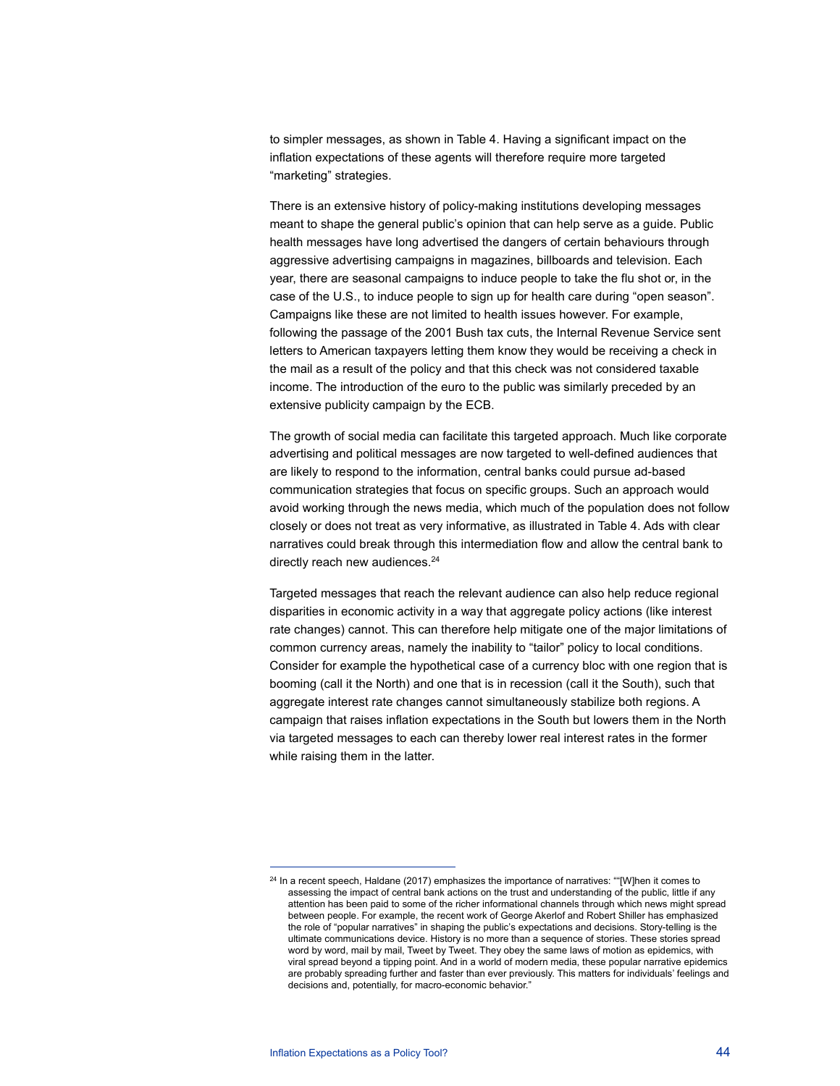to simpler messages, as shown in Table 4. Having a significant impact on the inflation expectations of these agents will therefore require more targeted "marketing" strategies.

There is an extensive history of policy-making institutions developing messages meant to shape the general public's opinion that can help serve as a guide. Public health messages have long advertised the dangers of certain behaviours through aggressive advertising campaigns in magazines, billboards and television. Each year, there are seasonal campaigns to induce people to take the flu shot or, in the case of the U.S., to induce people to sign up for health care during "open season". Campaigns like these are not limited to health issues however. For example, following the passage of the 2001 Bush tax cuts, the Internal Revenue Service sent letters to American taxpayers letting them know they would be receiving a check in the mail as a result of the policy and that this check was not considered taxable income. The introduction of the euro to the public was similarly preceded by an extensive publicity campaign by the ECB.

The growth of social media can facilitate this targeted approach. Much like corporate advertising and political messages are now targeted to well-defined audiences that are likely to respond to the information, central banks could pursue ad-based communication strategies that focus on specific groups. Such an approach would avoid working through the news media, which much of the population does not follow closely or does not treat as very informative, as illustrated in Table 4. Ads with clear narratives could break through this intermediation flow and allow the central bank to directly reach new audiences.<sup>24</sup>

Targeted messages that reach the relevant audience can also help reduce regional disparities in economic activity in a way that aggregate policy actions (like interest rate changes) cannot. This can therefore help mitigate one of the major limitations of common currency areas, namely the inability to "tailor" policy to local conditions. Consider for example the hypothetical case of a currency bloc with one region that is booming (call it the North) and one that is in recession (call it the South), such that aggregate interest rate changes cannot simultaneously stabilize both regions. A campaign that raises inflation expectations in the South but lowers them in the North via targeted messages to each can thereby lower real interest rates in the former while raising them in the latter.

<sup>&</sup>lt;sup>24</sup> In a recent speech, Haldane (2017) emphasizes the importance of narratives: ""[W]hen it comes to assessing the impact of central bank actions on the trust and understanding of the public, little if any attention has been paid to some of the richer informational channels through which news might spread between people. For example, the recent work of George Akerlof and Robert Shiller has emphasized the role of "popular narratives" in shaping the public's expectations and decisions. Story-telling is the ultimate communications device. History is no more than a sequence of stories. These stories spread word by word, mail by mail, Tweet by Tweet. They obey the same laws of motion as epidemics, with viral spread beyond a tipping point. And in a world of modern media, these popular narrative epidemics are probably spreading further and faster than ever previously. This matters for individuals' feelings and decisions and, potentially, for macro-economic behavior."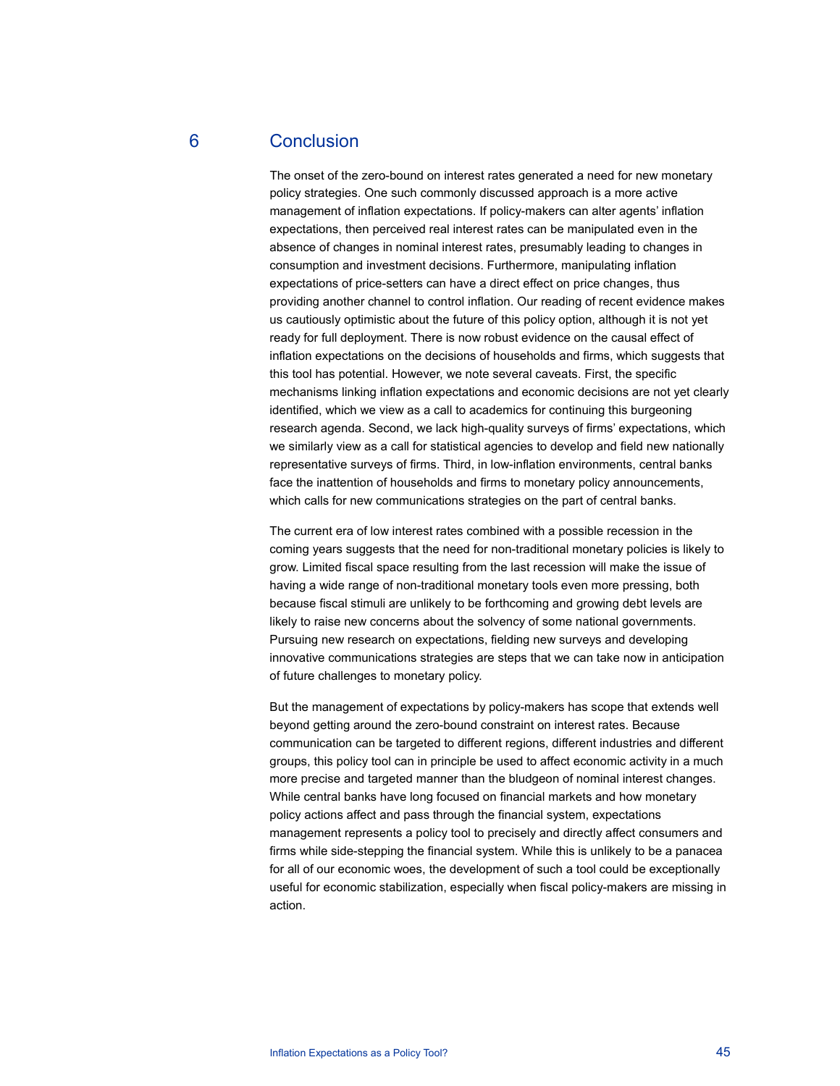## 6 Conclusion

The onset of the zero-bound on interest rates generated a need for new monetary policy strategies. One such commonly discussed approach is a more active management of inflation expectations. If policy-makers can alter agents' inflation expectations, then perceived real interest rates can be manipulated even in the absence of changes in nominal interest rates, presumably leading to changes in consumption and investment decisions. Furthermore, manipulating inflation expectations of price-setters can have a direct effect on price changes, thus providing another channel to control inflation. Our reading of recent evidence makes us cautiously optimistic about the future of this policy option, although it is not yet ready for full deployment. There is now robust evidence on the causal effect of inflation expectations on the decisions of households and firms, which suggests that this tool has potential. However, we note several caveats. First, the specific mechanisms linking inflation expectations and economic decisions are not yet clearly identified, which we view as a call to academics for continuing this burgeoning research agenda. Second, we lack high-quality surveys of firms' expectations, which we similarly view as a call for statistical agencies to develop and field new nationally representative surveys of firms. Third, in low-inflation environments, central banks face the inattention of households and firms to monetary policy announcements, which calls for new communications strategies on the part of central banks.

The current era of low interest rates combined with a possible recession in the coming years suggests that the need for non-traditional monetary policies is likely to grow. Limited fiscal space resulting from the last recession will make the issue of having a wide range of non-traditional monetary tools even more pressing, both because fiscal stimuli are unlikely to be forthcoming and growing debt levels are likely to raise new concerns about the solvency of some national governments. Pursuing new research on expectations, fielding new surveys and developing innovative communications strategies are steps that we can take now in anticipation of future challenges to monetary policy.

But the management of expectations by policy-makers has scope that extends well beyond getting around the zero-bound constraint on interest rates. Because communication can be targeted to different regions, different industries and different groups, this policy tool can in principle be used to affect economic activity in a much more precise and targeted manner than the bludgeon of nominal interest changes. While central banks have long focused on financial markets and how monetary policy actions affect and pass through the financial system, expectations management represents a policy tool to precisely and directly affect consumers and firms while side-stepping the financial system. While this is unlikely to be a panacea for all of our economic woes, the development of such a tool could be exceptionally useful for economic stabilization, especially when fiscal policy-makers are missing in action.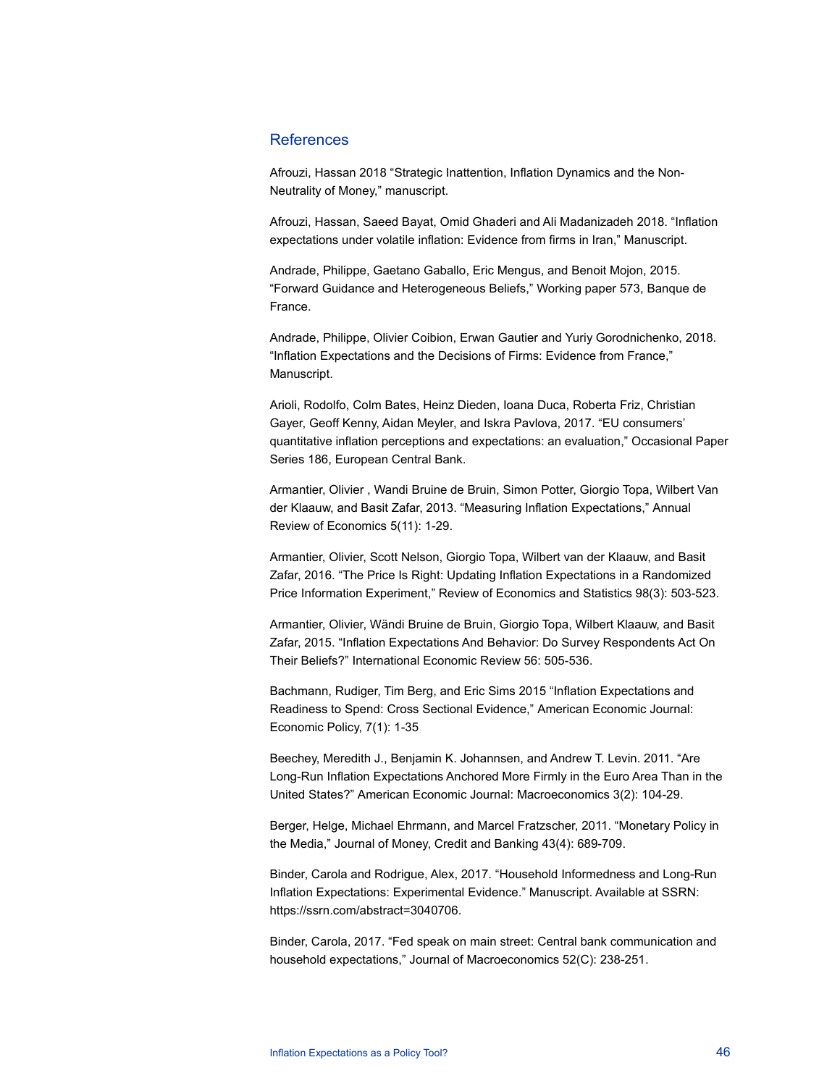## **References**

Afrouzi, Hassan 2018 "Strategic Inattention, Inflation Dynamics and the Non-Neutrality of Money," manuscript.

Afrouzi, Hassan, Saeed Bayat, Omid Ghaderi and Ali Madanizadeh 2018. "Inflation expectations under volatile inflation: Evidence from firms in Iran," Manuscript.

Andrade, Philippe, Gaetano Gaballo, Eric Mengus, and Benoit Mojon, 2015. "Forward Guidance and Heterogeneous Beliefs," Working paper 573, Banque de France.

Andrade, Philippe, Olivier Coibion, Erwan Gautier and Yuriy Gorodnichenko, 2018. "Inflation Expectations and the Decisions of Firms: Evidence from France," Manuscript.

Arioli, Rodolfo, Colm Bates, Heinz Dieden, Ioana Duca, Roberta Friz, Christian Gayer, Geoff Kenny, Aidan Meyler, and Iskra Pavlova, 2017. "EU consumers' quantitative inflation perceptions and expectations: an evaluation," Occasional Paper Series 186, European Central Bank.

Armantier, Olivier , Wandi Bruine de Bruin, Simon Potter, Giorgio Topa, Wilbert Van der Klaauw, and Basit Zafar, 2013. "Measuring Inflation Expectations," Annual Review of Economics 5(11): 1-29.

Armantier, Olivier, Scott Nelson, Giorgio Topa, Wilbert van der Klaauw, and Basit Zafar, 2016. "The Price Is Right: Updating Inflation Expectations in a Randomized Price Information Experiment," Review of Economics and Statistics 98(3): 503-523.

Armantier, Olivier, Wändi Bruine de Bruin, Giorgio Topa, Wilbert Klaauw, and Basit Zafar, 2015. "Inflation Expectations And Behavior: Do Survey Respondents Act On Their Beliefs?" International Economic Review 56: 505-536.

Bachmann, Rudiger, Tim Berg, and Eric Sims 2015 "Inflation Expectations and Readiness to Spend: Cross Sectional Evidence," American Economic Journal: Economic Policy, 7(1): 1-35

Beechey, Meredith J., Benjamin K. Johannsen, and Andrew T. Levin. 2011. "Are Long-Run Inflation Expectations Anchored More Firmly in the Euro Area Than in the United States?" American Economic Journal: Macroeconomics 3(2): 104-29.

Berger, Helge, Michael Ehrmann, and Marcel Fratzscher, 2011. "Monetary Policy in the Media," Journal of Money, Credit and Banking 43(4): 689-709.

Binder, Carola and Rodrigue, Alex, 2017. "Household Informedness and Long-Run Inflation Expectations: Experimental Evidence." Manuscript. Available at SSRN: https://ssrn.com/abstract=3040706.

Binder, Carola, 2017. "Fed speak on main street: Central bank communication and household expectations," Journal of Macroeconomics 52(C): 238-251.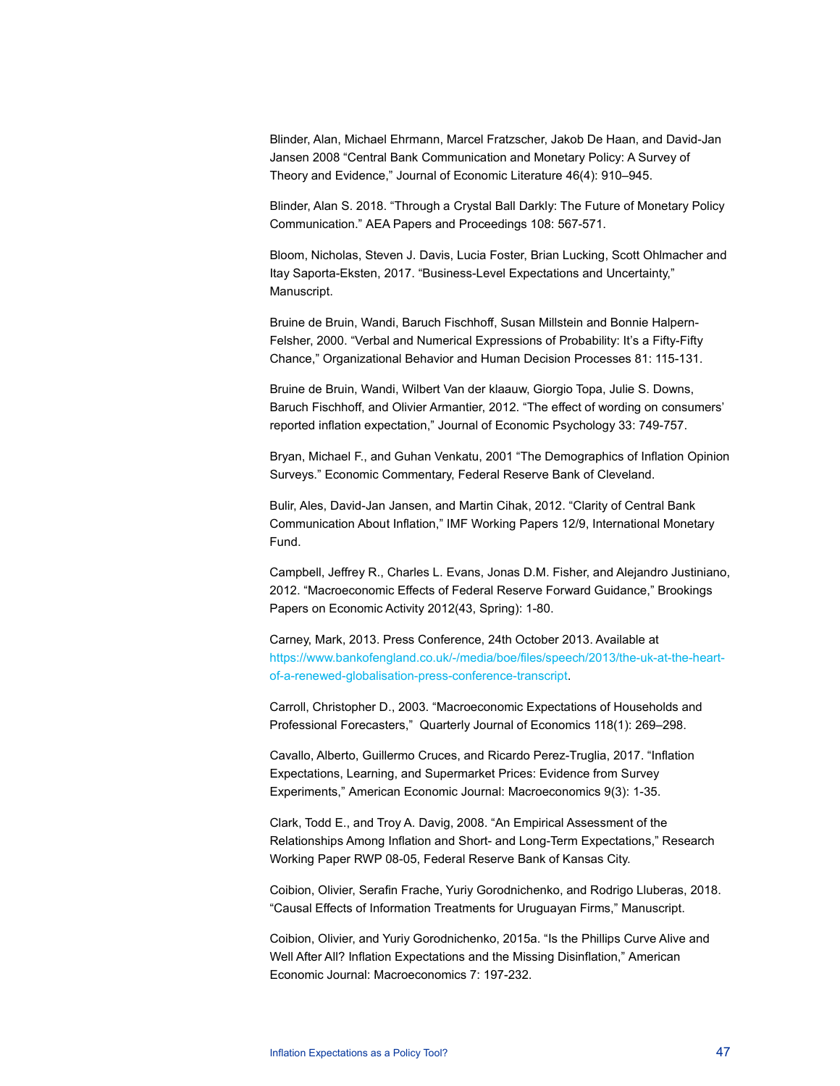Blinder, Alan, Michael Ehrmann, Marcel Fratzscher, Jakob De Haan, and David-Jan Jansen 2008 "Central Bank Communication and Monetary Policy: A Survey of Theory and Evidence," Journal of Economic Literature 46(4): 910–945.

Blinder, Alan S. 2018. "Through a Crystal Ball Darkly: The Future of Monetary Policy Communication." AEA Papers and Proceedings 108: 567-571.

Bloom, Nicholas, Steven J. Davis, Lucia Foster, Brian Lucking, Scott Ohlmacher and Itay Saporta-Eksten, 2017. "Business-Level Expectations and Uncertainty," Manuscript.

Bruine de Bruin, Wandi, Baruch Fischhoff, Susan Millstein and Bonnie Halpern-Felsher, 2000. "Verbal and Numerical Expressions of Probability: It's a Fifty-Fifty Chance," Organizational Behavior and Human Decision Processes 81: 115-131.

Bruine de Bruin, Wandi, Wilbert Van der klaauw, Giorgio Topa, Julie S. Downs, Baruch Fischhoff, and Olivier Armantier, 2012. "The effect of wording on consumers' reported inflation expectation," Journal of Economic Psychology 33: 749-757.

Bryan, Michael F., and Guhan Venkatu, 2001 "The Demographics of Inflation Opinion Surveys." Economic Commentary, Federal Reserve Bank of Cleveland.

Bulir, Ales, David-Jan Jansen, and Martin Cihak, 2012. "Clarity of Central Bank Communication About Inflation," IMF Working Papers 12/9, International Monetary Fund.

Campbell, Jeffrey R., Charles L. Evans, Jonas D.M. Fisher, and Alejandro Justiniano, 2012. "Macroeconomic Effects of Federal Reserve Forward Guidance," Brookings Papers on Economic Activity 2012(43, Spring): 1-80.

Carney, Mark, 2013. Press Conference, 24th October 2013. Available at https://www.bankofengland.co.uk/-/media/boe/files/speech/2013/the-uk-at-the-heartof-a-renewed-globalisation-press-conference-transcript.

Carroll, Christopher D., 2003. "Macroeconomic Expectations of Households and Professional Forecasters," Quarterly Journal of Economics 118(1): 269–298.

Cavallo, Alberto, Guillermo Cruces, and Ricardo Perez-Truglia, 2017. "Inflation Expectations, Learning, and Supermarket Prices: Evidence from Survey Experiments," American Economic Journal: Macroeconomics 9(3): 1-35.

Clark, Todd E., and Troy A. Davig, 2008. "An Empirical Assessment of the Relationships Among Inflation and Short- and Long-Term Expectations," Research Working Paper RWP 08-05, Federal Reserve Bank of Kansas City.

Coibion, Olivier, Serafin Frache, Yuriy Gorodnichenko, and Rodrigo Lluberas, 2018. "Causal Effects of Information Treatments for Uruguayan Firms," Manuscript.

Coibion, Olivier, and Yuriy Gorodnichenko, 2015a. "Is the Phillips Curve Alive and Well After All? Inflation Expectations and the Missing Disinflation," American Economic Journal: Macroeconomics 7: 197-232.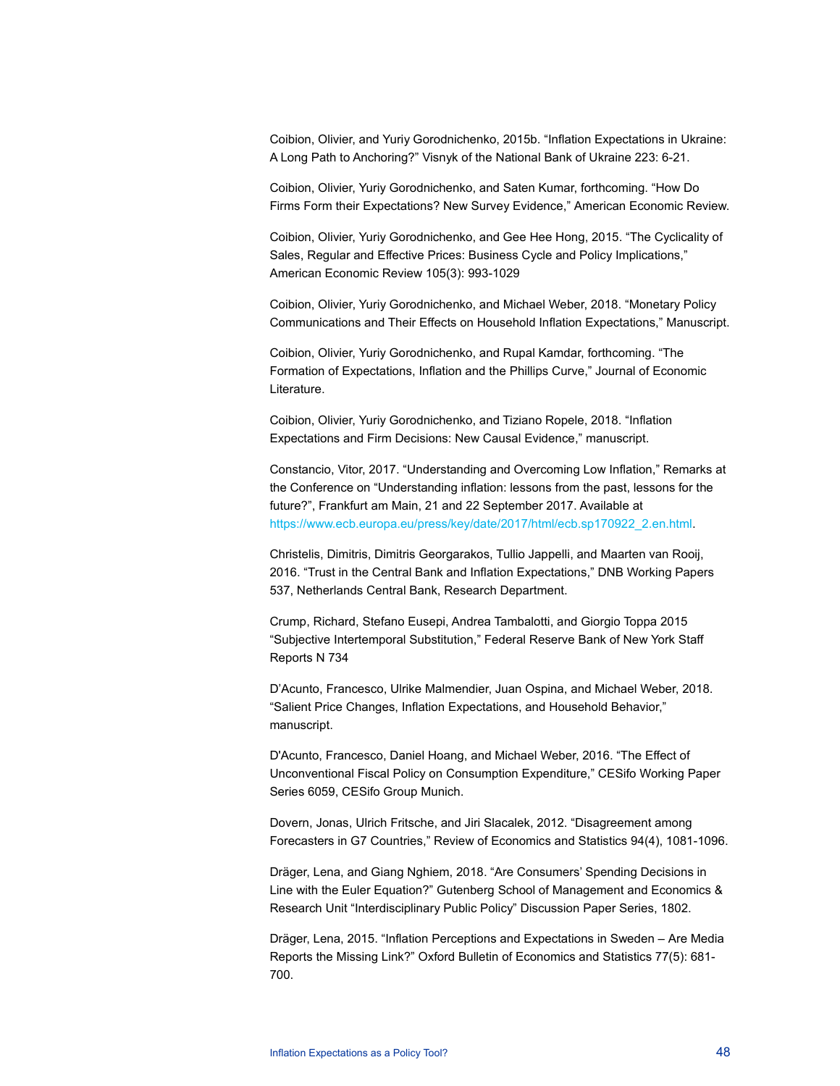Coibion, Olivier, and Yuriy Gorodnichenko, 2015b. "Inflation Expectations in Ukraine: A Long Path to Anchoring?" Visnyk of the National Bank of Ukraine 223: 6-21.

Coibion, Olivier, Yuriy Gorodnichenko, and Saten Kumar, forthcoming. "How Do Firms Form their Expectations? New Survey Evidence," American Economic Review.

Coibion, Olivier, Yuriy Gorodnichenko, and Gee Hee Hong, 2015. "The Cyclicality of Sales, Regular and Effective Prices: Business Cycle and Policy Implications," American Economic Review 105(3): 993-1029

Coibion, Olivier, Yuriy Gorodnichenko, and Michael Weber, 2018. "Monetary Policy Communications and Their Effects on Household Inflation Expectations," Manuscript.

Coibion, Olivier, Yuriy Gorodnichenko, and Rupal Kamdar, forthcoming. "The Formation of Expectations, Inflation and the Phillips Curve," Journal of Economic Literature.

Coibion, Olivier, Yuriy Gorodnichenko, and Tiziano Ropele, 2018. "Inflation Expectations and Firm Decisions: New Causal Evidence," manuscript.

Constancio, Vitor, 2017. "Understanding and Overcoming Low Inflation," Remarks at the Conference on "Understanding inflation: lessons from the past, lessons for the future?", Frankfurt am Main, 21 and 22 September 2017. Available at https://www.ecb.europa.eu/press/key/date/2017/html/ecb.sp170922\_2.en.html.

Christelis, Dimitris, Dimitris Georgarakos, Tullio Jappelli, and Maarten van Rooij, 2016. "Trust in the Central Bank and Inflation Expectations," DNB Working Papers 537, Netherlands Central Bank, Research Department.

Crump, Richard, Stefano Eusepi, Andrea Tambalotti, and Giorgio Toppa 2015 "Subjective Intertemporal Substitution," Federal Reserve Bank of New York Staff Reports N 734

D'Acunto, Francesco, Ulrike Malmendier, Juan Ospina, and Michael Weber, 2018. "Salient Price Changes, Inflation Expectations, and Household Behavior," manuscript.

D'Acunto, Francesco, Daniel Hoang, and Michael Weber, 2016. "The Effect of Unconventional Fiscal Policy on Consumption Expenditure," CESifo Working Paper Series 6059, CESifo Group Munich.

Dovern, Jonas, Ulrich Fritsche, and Jiri Slacalek, 2012. "Disagreement among Forecasters in G7 Countries," Review of Economics and Statistics 94(4), 1081-1096.

Dräger, Lena, and Giang Nghiem, 2018. "Are Consumers' Spending Decisions in Line with the Euler Equation?" Gutenberg School of Management and Economics & Research Unit "Interdisciplinary Public Policy" Discussion Paper Series, 1802.

Dräger, Lena, 2015. "Inflation Perceptions and Expectations in Sweden – Are Media Reports the Missing Link?" Oxford Bulletin of Economics and Statistics 77(5): 681- 700.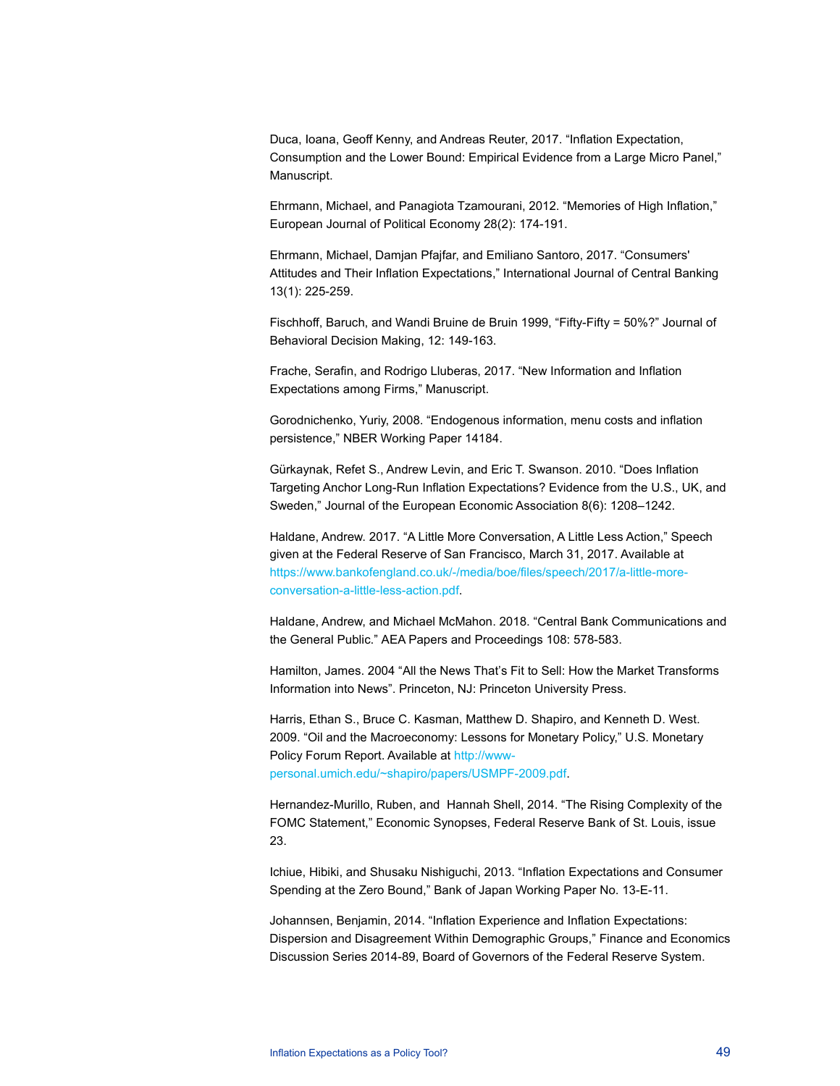Duca, Ioana, Geoff Kenny, and Andreas Reuter, 2017. "Inflation Expectation, Consumption and the Lower Bound: Empirical Evidence from a Large Micro Panel," Manuscript.

Ehrmann, Michael, and Panagiota Tzamourani, 2012. "Memories of High Inflation," European Journal of Political Economy 28(2): 174-191.

Ehrmann, Michael, Damjan Pfajfar, and Emiliano Santoro, 2017. "Consumers' Attitudes and Their Inflation Expectations," International Journal of Central Banking 13(1): 225-259.

Fischhoff, Baruch, and Wandi Bruine de Bruin 1999, "Fifty-Fifty = 50%?" Journal of Behavioral Decision Making, 12: 149-163.

Frache, Serafin, and Rodrigo Lluberas, 2017. "New Information and Inflation Expectations among Firms," Manuscript.

Gorodnichenko, Yuriy, 2008. "Endogenous information, menu costs and inflation persistence," NBER Working Paper 14184.

Gürkaynak, Refet S., Andrew Levin, and Eric T. Swanson. 2010. "Does Inflation Targeting Anchor Long-Run Inflation Expectations? Evidence from the U.S., UK, and Sweden," Journal of the European Economic Association 8(6): 1208–1242.

Haldane, Andrew. 2017. "A Little More Conversation, A Little Less Action," Speech given at the Federal Reserve of San Francisco, March 31, 2017. Available at https://www.bankofengland.co.uk/-/media/boe/files/speech/2017/a-little-moreconversation-a-little-less-action.pdf.

Haldane, Andrew, and Michael McMahon. 2018. "Central Bank Communications and the General Public." AEA Papers and Proceedings 108: 578-583.

Hamilton, James. 2004 "All the News That's Fit to Sell: How the Market Transforms Information into News". Princeton, NJ: Princeton University Press.

Harris, Ethan S., Bruce C. Kasman, Matthew D. Shapiro, and Kenneth D. West. 2009. "Oil and the Macroeconomy: Lessons for Monetary Policy," U.S. Monetary Policy Forum Report. Available at http://wwwpersonal.umich.edu/~shapiro/papers/USMPF-2009.pdf.

Hernandez-Murillo, Ruben, and Hannah Shell, 2014. "The Rising Complexity of the FOMC Statement," Economic Synopses, Federal Reserve Bank of St. Louis, issue 23.

Ichiue, Hibiki, and Shusaku Nishiguchi, 2013. "Inflation Expectations and Consumer Spending at the Zero Bound," Bank of Japan Working Paper No. 13-E-11.

Johannsen, Benjamin, 2014. "Inflation Experience and Inflation Expectations: Dispersion and Disagreement Within Demographic Groups," Finance and Economics Discussion Series 2014-89, Board of Governors of the Federal Reserve System.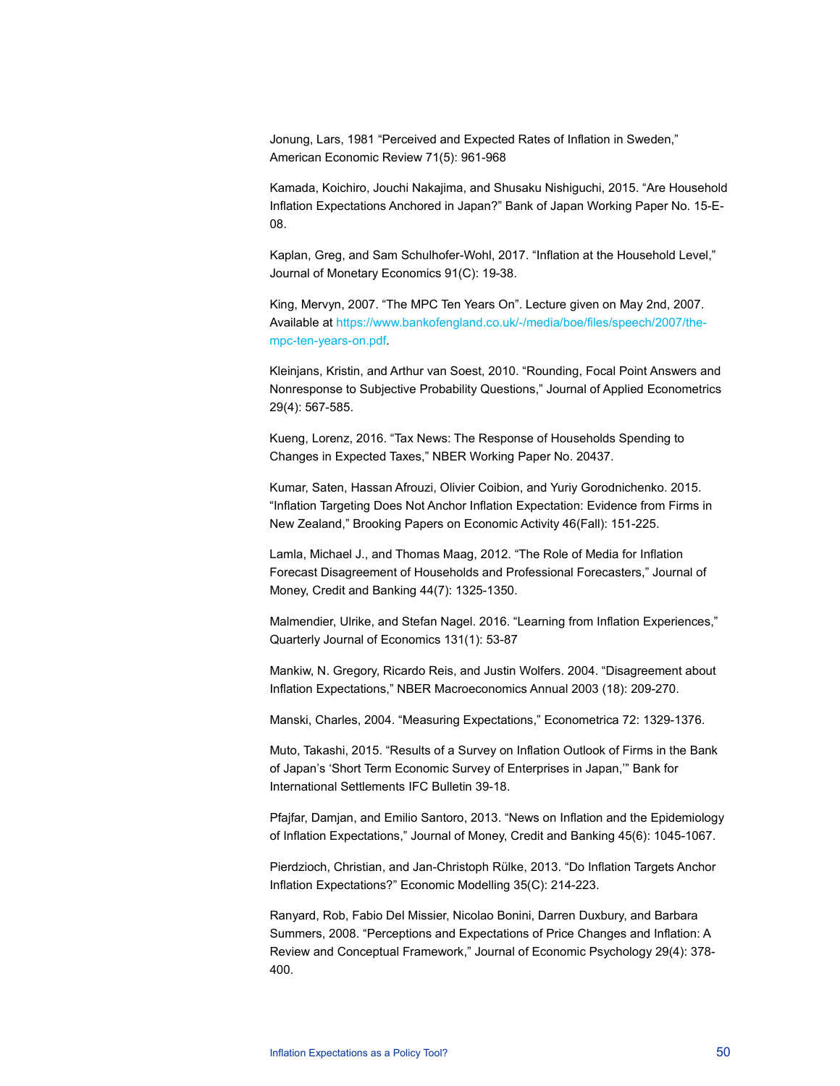Jonung, Lars, 1981 "Perceived and Expected Rates of Inflation in Sweden," American Economic Review 71(5): 961-968

Kamada, Koichiro, Jouchi Nakajima, and Shusaku Nishiguchi, 2015. "Are Household Inflation Expectations Anchored in Japan?" Bank of Japan Working Paper No. 15-E-08.

Kaplan, Greg, and Sam Schulhofer-Wohl, 2017. "Inflation at the Household Level," Journal of Monetary Economics 91(C): 19-38.

King, Mervyn, 2007. "The MPC Ten Years On". Lecture given on May 2nd, 2007. Available at https://www.bankofengland.co.uk/-/media/boe/files/speech/2007/thempc-ten-years-on.pdf.

Kleinjans, Kristin, and Arthur van Soest, 2010. "Rounding, Focal Point Answers and Nonresponse to Subjective Probability Questions," Journal of Applied Econometrics 29(4): 567-585.

Kueng, Lorenz, 2016. "Tax News: The Response of Households Spending to Changes in Expected Taxes," NBER Working Paper No. 20437.

Kumar, Saten, Hassan Afrouzi, Olivier Coibion, and Yuriy Gorodnichenko. 2015. "Inflation Targeting Does Not Anchor Inflation Expectation: Evidence from Firms in New Zealand," Brooking Papers on Economic Activity 46(Fall): 151-225.

Lamla, Michael J., and Thomas Maag, 2012. "The Role of Media for Inflation Forecast Disagreement of Households and Professional Forecasters," Journal of Money, Credit and Banking 44(7): 1325-1350.

Malmendier, Ulrike, and Stefan Nagel. 2016. "Learning from Inflation Experiences," Quarterly Journal of Economics 131(1): 53-87

Mankiw, N. Gregory, Ricardo Reis, and Justin Wolfers. 2004. "Disagreement about Inflation Expectations," NBER Macroeconomics Annual 2003 (18): 209-270.

Manski, Charles, 2004. "Measuring Expectations," Econometrica 72: 1329-1376.

Muto, Takashi, 2015. "Results of a Survey on Inflation Outlook of Firms in the Bank of Japan's 'Short Term Economic Survey of Enterprises in Japan,'" Bank for International Settlements IFC Bulletin 39-18.

Pfajfar, Damjan, and Emilio Santoro, 2013. "News on Inflation and the Epidemiology of Inflation Expectations," Journal of Money, Credit and Banking 45(6): 1045-1067.

Pierdzioch, Christian, and Jan-Christoph Rülke, 2013. "Do Inflation Targets Anchor Inflation Expectations?" Economic Modelling 35(C): 214-223.

Ranyard, Rob, Fabio Del Missier, Nicolao Bonini, Darren Duxbury, and Barbara Summers, 2008. "Perceptions and Expectations of Price Changes and Inflation: A Review and Conceptual Framework," Journal of Economic Psychology 29(4): 378- 400.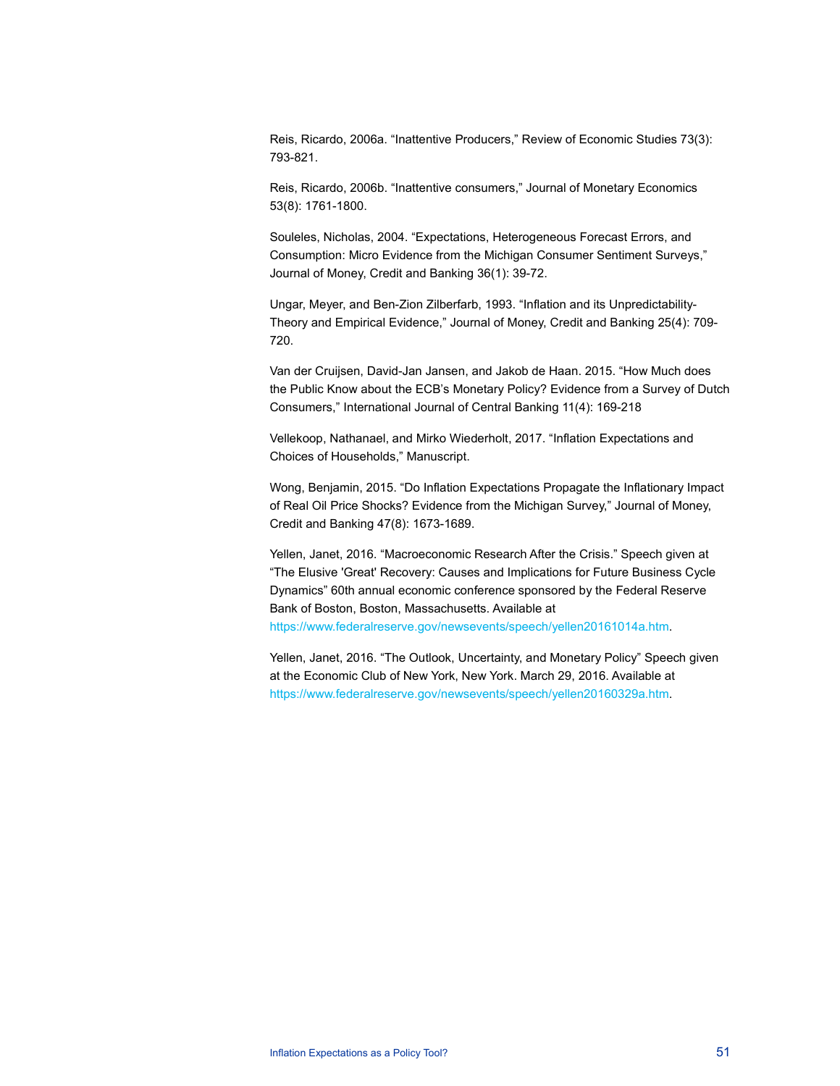Reis, Ricardo, 2006a. "Inattentive Producers," Review of Economic Studies 73(3): 793-821.

Reis, Ricardo, 2006b. "Inattentive consumers," Journal of Monetary Economics 53(8): 1761-1800.

Souleles, Nicholas, 2004. "Expectations, Heterogeneous Forecast Errors, and Consumption: Micro Evidence from the Michigan Consumer Sentiment Surveys," Journal of Money, Credit and Banking 36(1): 39-72.

Ungar, Meyer, and Ben-Zion Zilberfarb, 1993. "Inflation and its Unpredictability-Theory and Empirical Evidence," Journal of Money, Credit and Banking 25(4): 709- 720.

Van der Cruijsen, David-Jan Jansen, and Jakob de Haan. 2015. "How Much does the Public Know about the ECB's Monetary Policy? Evidence from a Survey of Dutch Consumers," International Journal of Central Banking 11(4): 169-218

Vellekoop, Nathanael, and Mirko Wiederholt, 2017. "Inflation Expectations and Choices of Households," Manuscript.

Wong, Benjamin, 2015. "Do Inflation Expectations Propagate the Inflationary Impact of Real Oil Price Shocks? Evidence from the Michigan Survey," Journal of Money, Credit and Banking 47(8): 1673-1689.

Yellen, Janet, 2016. "Macroeconomic Research After the Crisis." Speech given at "The Elusive 'Great' Recovery: Causes and Implications for Future Business Cycle Dynamics" 60th annual economic conference sponsored by the Federal Reserve Bank of Boston, Boston, Massachusetts. Available at

https://www.federalreserve.gov/newsevents/speech/yellen20161014a.htm.

Yellen, Janet, 2016. "The Outlook, Uncertainty, and Monetary Policy" Speech given at the Economic Club of New York, New York. March 29, 2016. Available at https://www.federalreserve.gov/newsevents/speech/yellen20160329a.htm.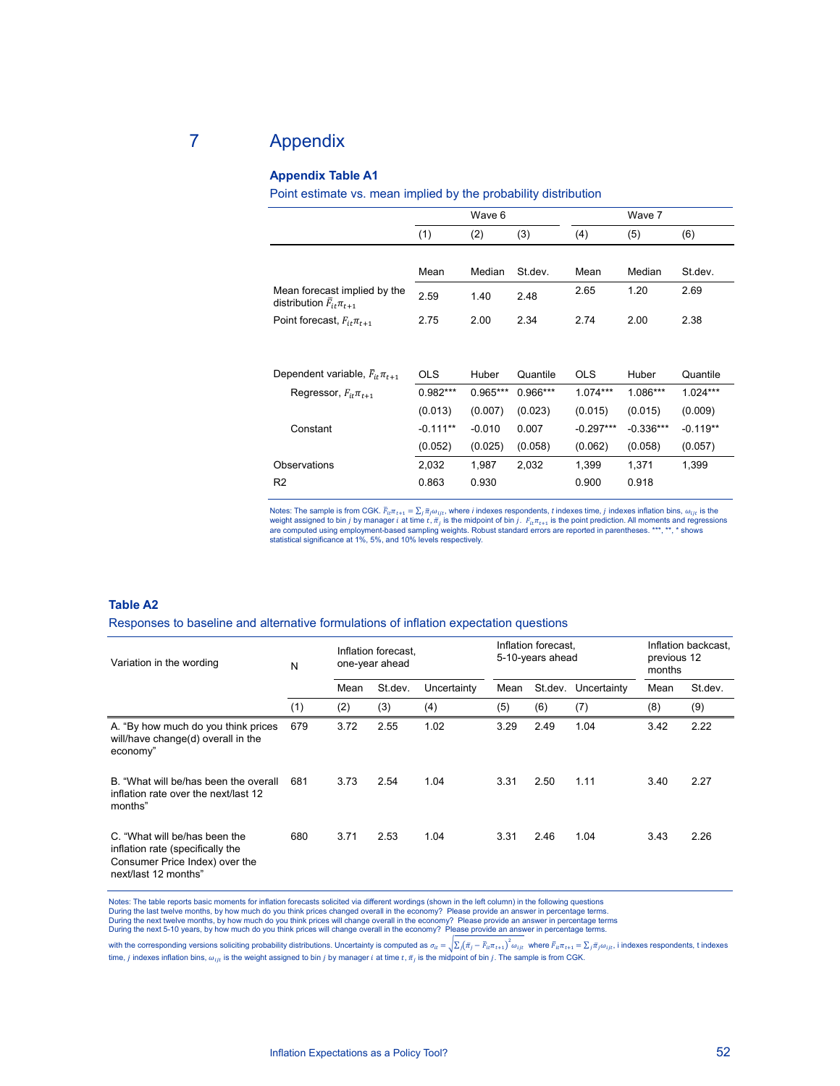## 7 Appendix

## **Appendix Table A1**

Point estimate vs. mean implied by the probability distribution

|                                                                      |            | Wave 6     |            |             | Wave 7      |            |
|----------------------------------------------------------------------|------------|------------|------------|-------------|-------------|------------|
|                                                                      | (1)        | (2)        | (3)        | (4)         | (5)         | (6)        |
|                                                                      |            |            |            |             |             |            |
|                                                                      | Mean       | Median     | St.dev.    | Mean        | Median      | St.dev.    |
| Mean forecast implied by the<br>distribution $\bar{F}_{it}\pi_{t+1}$ | 2.59       | 1.40       | 2.48       | 2.65        | 1.20        | 2.69       |
| Point forecast, $F_{it}\pi_{t+1}$                                    | 2.75       | 2.00       | 2.34       | 2.74        | 2.00        | 2.38       |
|                                                                      |            |            |            |             |             |            |
| Dependent variable, $\bar{F}_{it}\pi_{t+1}$                          | <b>OLS</b> | Huber      | Quantile   | <b>OLS</b>  | Huber       | Quantile   |
| Regressor, $F_{it}\pi_{t+1}$                                         | $0.982***$ | $0.965***$ | $0.966***$ | $1.074***$  | 1.086***    | $1.024***$ |
|                                                                      | (0.013)    | (0.007)    | (0.023)    | (0.015)     | (0.015)     | (0.009)    |
| Constant                                                             | $-0.111**$ | $-0.010$   | 0.007      | $-0.297***$ | $-0.336***$ | $-0.119**$ |
|                                                                      | (0.052)    | (0.025)    | (0.058)    | (0.062)     | (0.058)     | (0.057)    |
| Observations                                                         | 2,032      | 1,987      | 2,032      | 1,399       | 1,371       | 1,399      |
| R <sub>2</sub>                                                       | 0.863      | 0.930      |            | 0.900       | 0.918       |            |

Notes: The sample is from CGK.  $\bar{F}_{itr}$   $\bar{r}_{t+1} = \sum_j \bar{\pi}_j \omega_{ijt}$ , where *i* indexes respondents, *t* indexes time, *j* indexes inflation bins,  $\omega_{ijt}$  is the weight assigned to bin *j* by manager *i* at time *t*,  $\bar$ are computed using employment-based sampling weights. Robust standard errors are reported in parentheses. \*\*\*, \*\*, \* shows statistical significance at 1%, 5%, and 10% levels respectively.

#### **Table A2**

Responses to baseline and alternative formulations of inflation expectation questions

| Variation in the wording                                                                                                    | N   | Inflation forecast.<br>one-year ahead |         |             | Inflation forecast,<br>5-10-years ahead |         |             | Inflation backcast,<br>previous 12<br>months |         |
|-----------------------------------------------------------------------------------------------------------------------------|-----|---------------------------------------|---------|-------------|-----------------------------------------|---------|-------------|----------------------------------------------|---------|
|                                                                                                                             |     | Mean                                  | St.dev. | Uncertainty | Mean                                    | St.dev. | Uncertainty | Mean                                         | St.dev. |
|                                                                                                                             | (1) | (2)                                   | (3)     | (4)         | (5)                                     | (6)     | (7)         | (8)                                          | (9)     |
| A. "By how much do you think prices<br>will/have change(d) overall in the<br>economy"                                       | 679 | 3.72                                  | 2.55    | 1.02        | 3.29                                    | 2.49    | 1.04        | 3.42                                         | 2.22    |
| B. "What will be/has been the overall<br>inflation rate over the next/last 12<br>months"                                    | 681 | 3.73                                  | 2.54    | 1.04        | 3.31                                    | 2.50    | 1.11        | 3.40                                         | 2.27    |
| C. "What will be/has been the<br>inflation rate (specifically the<br>Consumer Price Index) over the<br>next/last 12 months" | 680 | 3.71                                  | 2.53    | 1.04        | 3.31                                    | 2.46    | 1.04        | 3.43                                         | 2.26    |

Notes: The table reports basic moments for inflation forecasts solicited via different wordings (shown in the left column) in the following questions During the last twelve months, by how much do you think prices changed overall in the economy? Please provide an answer in percentage terms.<br>During the next twelve months, by how much do you think prices will change overal

with the corresponding versions soliciting probability distributions. Uncertainty is computed as  $\sigma_{lt} = \sum_i (\bar{\pi}_i - \bar{F}_{lt} \pi_{t+1})^2 \omega_{it}$  where  $\bar{F}_{lt} \pi_{t+1} = \sum_i \bar{\pi}_i \omega_{it}$ , i indexes respondents, t indexes time, *j* indexes inflation bins,  $\omega_{ijt}$  is the weight assigned to bin *j* by manager *i* at time  $t$ ,  $\bar{\pi}_j$  is the midpoint of bin *j*. The sample is from CGK.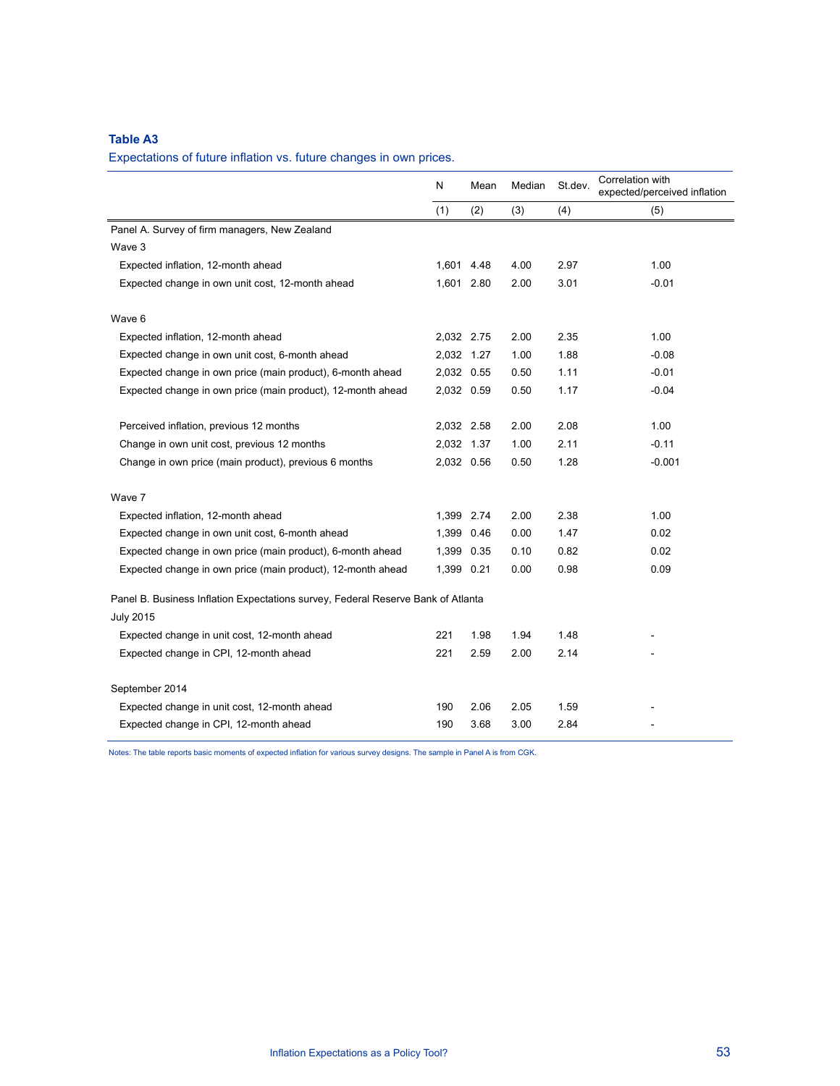## **Table A3**

Expectations of future inflation vs. future changes in own prices.

|                                                                                  | N          | Mean | Median | St.dev. | Correlation with<br>expected/perceived inflation |
|----------------------------------------------------------------------------------|------------|------|--------|---------|--------------------------------------------------|
|                                                                                  | (1)        | (2)  | (3)    | (4)     | (5)                                              |
| Panel A. Survey of firm managers, New Zealand                                    |            |      |        |         |                                                  |
| Wave 3                                                                           |            |      |        |         |                                                  |
| Expected inflation, 12-month ahead                                               | 1,601 4.48 |      | 4.00   | 2.97    | 1.00                                             |
| Expected change in own unit cost, 12-month ahead                                 | 1,601 2.80 |      | 2.00   | 3.01    | $-0.01$                                          |
| Wave 6                                                                           |            |      |        |         |                                                  |
| Expected inflation, 12-month ahead                                               | 2,032 2.75 |      | 2.00   | 2.35    | 1.00                                             |
| Expected change in own unit cost, 6-month ahead                                  | 2,032 1.27 |      | 1.00   | 1.88    | $-0.08$                                          |
| Expected change in own price (main product), 6-month ahead                       | 2,032 0.55 |      | 0.50   | 1.11    | $-0.01$                                          |
| Expected change in own price (main product), 12-month ahead                      | 2,032 0.59 |      | 0.50   | 1.17    | $-0.04$                                          |
| Perceived inflation, previous 12 months                                          | 2,032 2.58 |      | 2.00   | 2.08    | 1.00                                             |
| Change in own unit cost, previous 12 months                                      | 2,032 1.37 |      | 1.00   | 2.11    | $-0.11$                                          |
| Change in own price (main product), previous 6 months                            | 2,032 0.56 |      | 0.50   | 1.28    | $-0.001$                                         |
| Wave 7                                                                           |            |      |        |         |                                                  |
| Expected inflation, 12-month ahead                                               | 1,399 2.74 |      | 2.00   | 2.38    | 1.00                                             |
| Expected change in own unit cost, 6-month ahead                                  | 1,399 0.46 |      | 0.00   | 1.47    | 0.02                                             |
| Expected change in own price (main product), 6-month ahead                       | 1,399 0.35 |      | 0.10   | 0.82    | 0.02                                             |
| Expected change in own price (main product), 12-month ahead                      | 1,399 0.21 |      | 0.00   | 0.98    | 0.09                                             |
| Panel B. Business Inflation Expectations survey, Federal Reserve Bank of Atlanta |            |      |        |         |                                                  |
| <b>July 2015</b>                                                                 |            |      |        |         |                                                  |
| Expected change in unit cost, 12-month ahead                                     | 221        | 1.98 | 1.94   | 1.48    |                                                  |
| Expected change in CPI, 12-month ahead                                           | 221        | 2.59 | 2.00   | 2.14    |                                                  |
| September 2014                                                                   |            |      |        |         |                                                  |
| Expected change in unit cost, 12-month ahead                                     | 190        | 2.06 | 2.05   | 1.59    |                                                  |
| Expected change in CPI, 12-month ahead                                           | 190        | 3.68 | 3.00   | 2.84    |                                                  |

Notes: The table reports basic moments of expected inflation for various survey designs. The sample in Panel A is from CGK.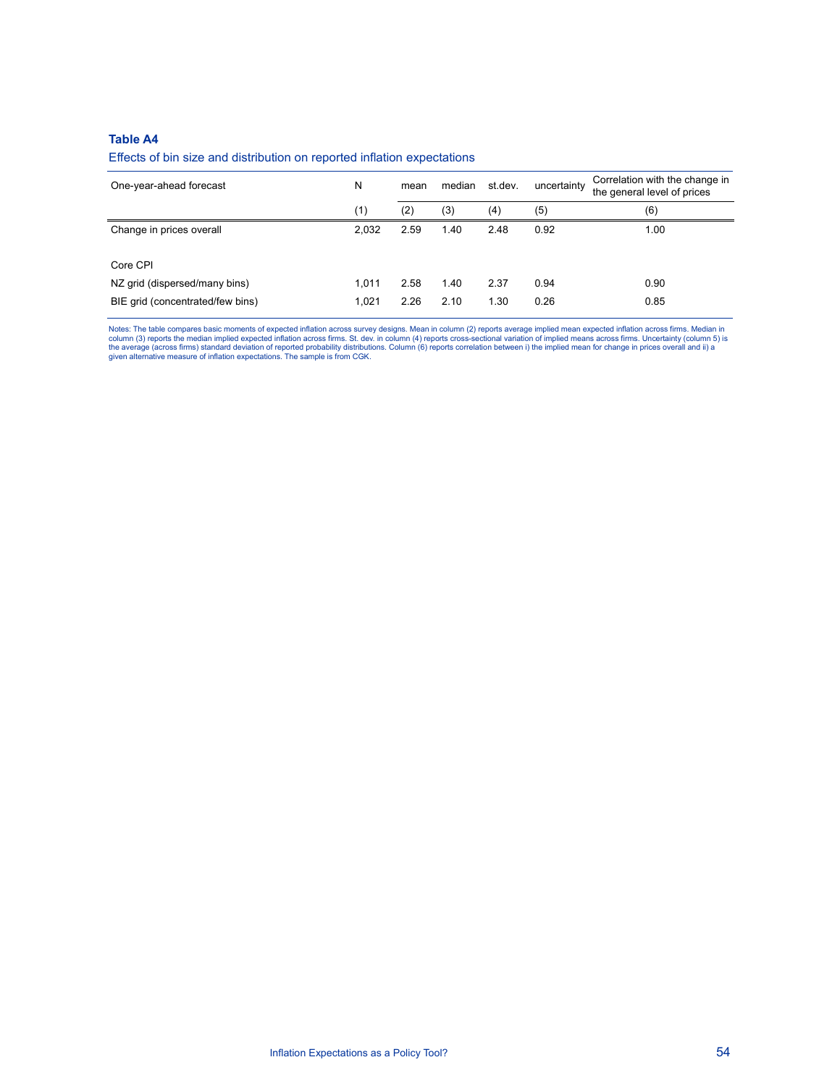## **Table A4**

## Effects of bin size and distribution on reported inflation expectations

| One-year-ahead forecast          | N     | mean | median | st.dev. | uncertainty | Correlation with the change in<br>the general level of prices |
|----------------------------------|-------|------|--------|---------|-------------|---------------------------------------------------------------|
|                                  | (1)   | (2)  | (3)    | (4)     | (5)         | (6)                                                           |
| Change in prices overall         | 2.032 | 2.59 | 1.40   | 2.48    | 0.92        | 1.00                                                          |
| Core CPI                         |       |      |        |         |             |                                                               |
| NZ grid (dispersed/many bins)    | 1.011 | 2.58 | 1.40   | 2.37    | 0.94        | 0.90                                                          |
| BIE grid (concentrated/few bins) | 1.021 | 2.26 | 2.10   | 1.30    | 0.26        | 0.85                                                          |

Notes: The table compares basic moments of expected inflation across survey designs. Mean in column (2) reports average implied mean expected inflation across firms. Median in<br>column (3) reports the median implied expected